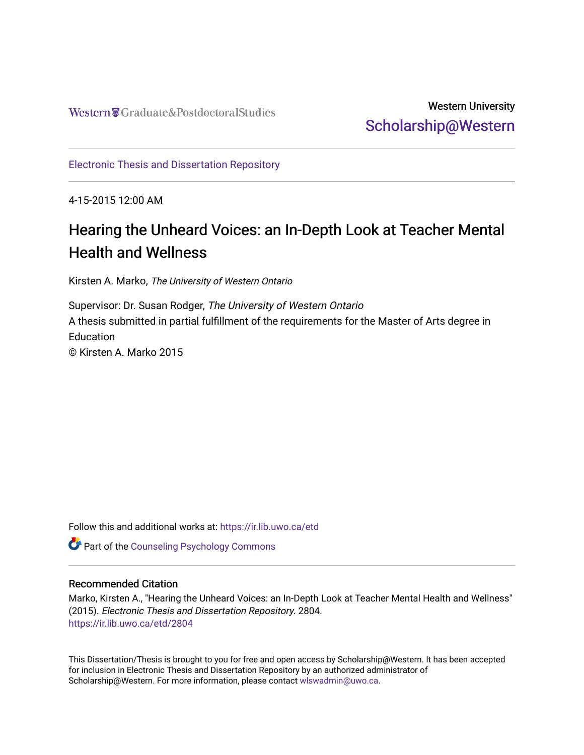# Western University [Scholarship@Western](https://ir.lib.uwo.ca/)

[Electronic Thesis and Dissertation Repository](https://ir.lib.uwo.ca/etd)

4-15-2015 12:00 AM

# Hearing the Unheard Voices: an In-Depth Look at Teacher Mental Health and Wellness

Kirsten A. Marko, The University of Western Ontario

Supervisor: Dr. Susan Rodger, The University of Western Ontario A thesis submitted in partial fulfillment of the requirements for the Master of Arts degree in **Education** © Kirsten A. Marko 2015

Follow this and additional works at: [https://ir.lib.uwo.ca/etd](https://ir.lib.uwo.ca/etd?utm_source=ir.lib.uwo.ca%2Fetd%2F2804&utm_medium=PDF&utm_campaign=PDFCoverPages) 

Part of the [Counseling Psychology Commons](http://network.bepress.com/hgg/discipline/1044?utm_source=ir.lib.uwo.ca%2Fetd%2F2804&utm_medium=PDF&utm_campaign=PDFCoverPages) 

## Recommended Citation

Marko, Kirsten A., "Hearing the Unheard Voices: an In-Depth Look at Teacher Mental Health and Wellness" (2015). Electronic Thesis and Dissertation Repository. 2804. [https://ir.lib.uwo.ca/etd/2804](https://ir.lib.uwo.ca/etd/2804?utm_source=ir.lib.uwo.ca%2Fetd%2F2804&utm_medium=PDF&utm_campaign=PDFCoverPages)

This Dissertation/Thesis is brought to you for free and open access by Scholarship@Western. It has been accepted for inclusion in Electronic Thesis and Dissertation Repository by an authorized administrator of Scholarship@Western. For more information, please contact [wlswadmin@uwo.ca.](mailto:wlswadmin@uwo.ca)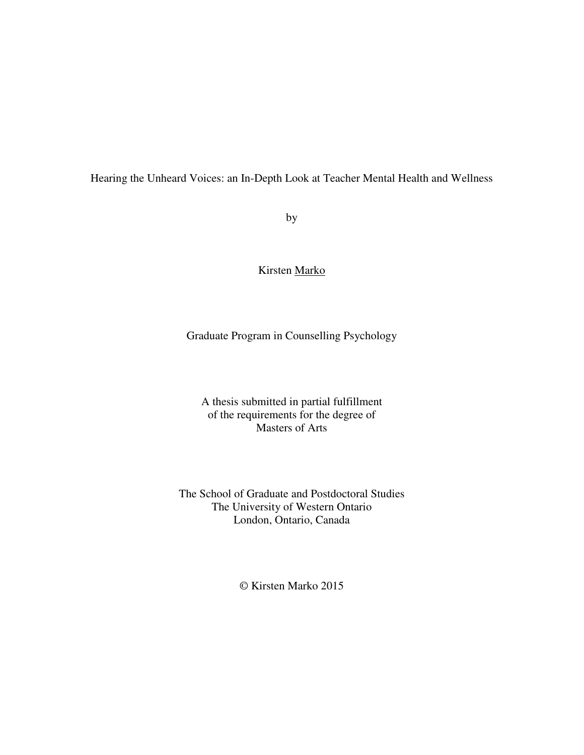Hearing the Unheard Voices: an In-Depth Look at Teacher Mental Health and Wellness

by

Kirsten Marko

Graduate Program in Counselling Psychology

A thesis submitted in partial fulfillment of the requirements for the degree of Masters of Arts

The School of Graduate and Postdoctoral Studies The University of Western Ontario London, Ontario, Canada

© Kirsten Marko 2015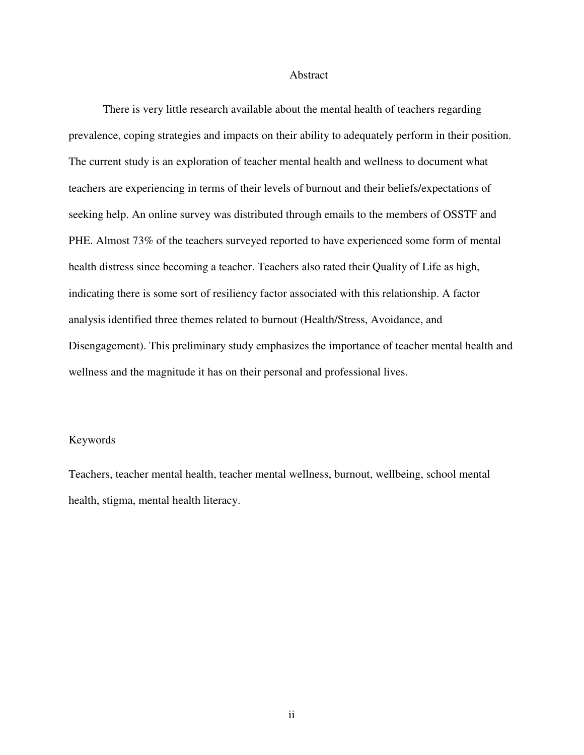#### Abstract

There is very little research available about the mental health of teachers regarding prevalence, coping strategies and impacts on their ability to adequately perform in their position. The current study is an exploration of teacher mental health and wellness to document what teachers are experiencing in terms of their levels of burnout and their beliefs/expectations of seeking help. An online survey was distributed through emails to the members of OSSTF and PHE. Almost 73% of the teachers surveyed reported to have experienced some form of mental health distress since becoming a teacher. Teachers also rated their Quality of Life as high, indicating there is some sort of resiliency factor associated with this relationship. A factor analysis identified three themes related to burnout (Health/Stress, Avoidance, and Disengagement). This preliminary study emphasizes the importance of teacher mental health and wellness and the magnitude it has on their personal and professional lives.

## Keywords

Teachers, teacher mental health, teacher mental wellness, burnout, wellbeing, school mental health, stigma, mental health literacy.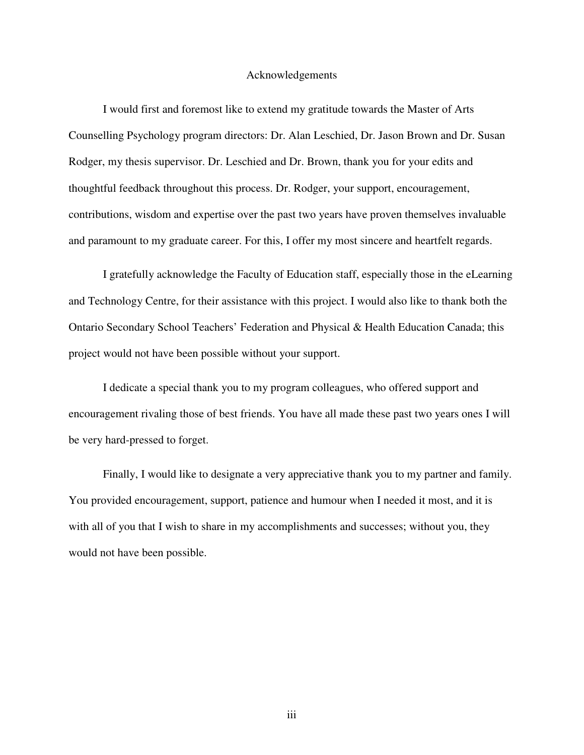#### Acknowledgements

 I would first and foremost like to extend my gratitude towards the Master of Arts Counselling Psychology program directors: Dr. Alan Leschied, Dr. Jason Brown and Dr. Susan Rodger, my thesis supervisor. Dr. Leschied and Dr. Brown, thank you for your edits and thoughtful feedback throughout this process. Dr. Rodger, your support, encouragement, contributions, wisdom and expertise over the past two years have proven themselves invaluable and paramount to my graduate career. For this, I offer my most sincere and heartfelt regards.

 I gratefully acknowledge the Faculty of Education staff, especially those in the eLearning and Technology Centre, for their assistance with this project. I would also like to thank both the Ontario Secondary School Teachers' Federation and Physical & Health Education Canada; this project would not have been possible without your support.

 I dedicate a special thank you to my program colleagues, who offered support and encouragement rivaling those of best friends. You have all made these past two years ones I will be very hard-pressed to forget.

 Finally, I would like to designate a very appreciative thank you to my partner and family. You provided encouragement, support, patience and humour when I needed it most, and it is with all of you that I wish to share in my accomplishments and successes; without you, they would not have been possible.

iii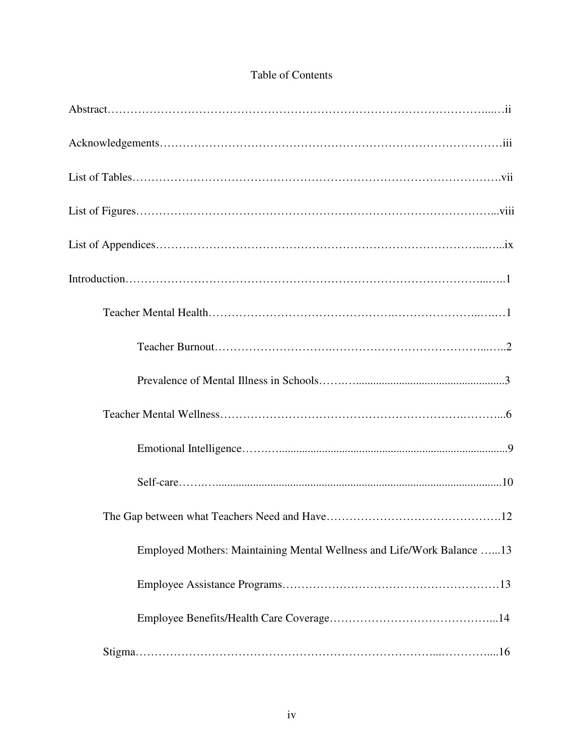| Employed Mothers: Maintaining Mental Wellness and Life/Work Balance 13 |
|------------------------------------------------------------------------|
|                                                                        |
|                                                                        |
|                                                                        |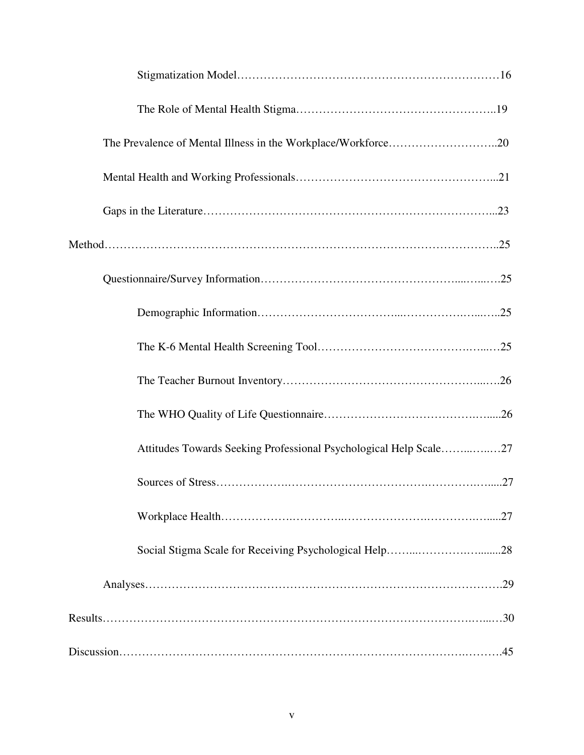| Attitudes Towards Seeking Professional Psychological Help Scale27 |
|-------------------------------------------------------------------|
|                                                                   |
|                                                                   |
|                                                                   |
|                                                                   |
|                                                                   |
|                                                                   |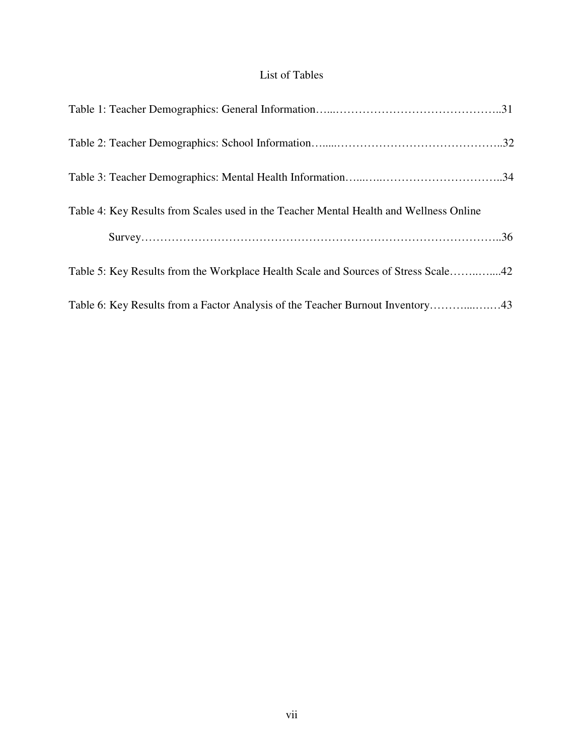# List of Tables

| Table 4: Key Results from Scales used in the Teacher Mental Health and Wellness Online |  |
|----------------------------------------------------------------------------------------|--|
|                                                                                        |  |
| Table 5: Key Results from the Workplace Health Scale and Sources of Stress Scale42     |  |
| Table 6: Key Results from a Factor Analysis of the Teacher Burnout Inventory43         |  |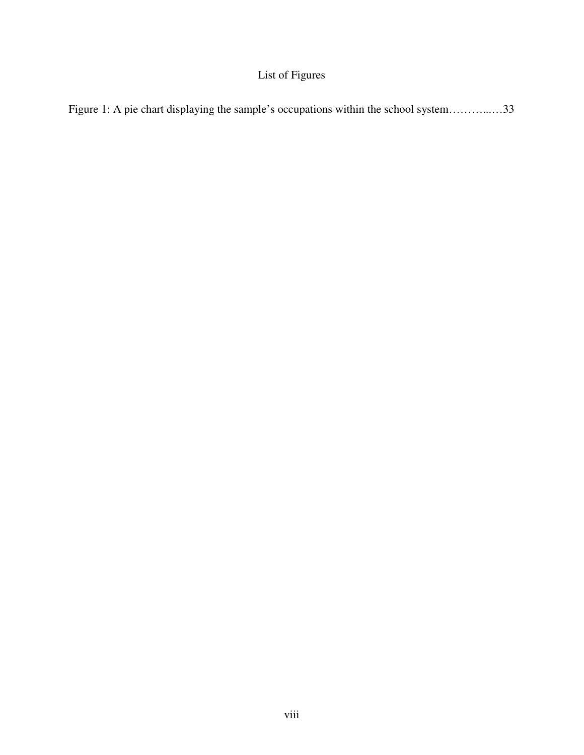# List of Figures

|  |  | Figure 1: A pie chart displaying the sample's occupations within the school system33 |  |
|--|--|--------------------------------------------------------------------------------------|--|
|  |  |                                                                                      |  |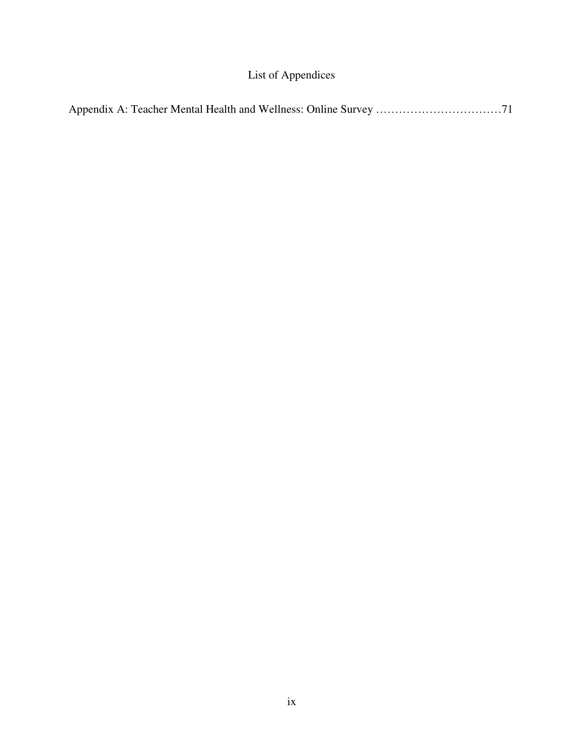# List of Appendices

|--|--|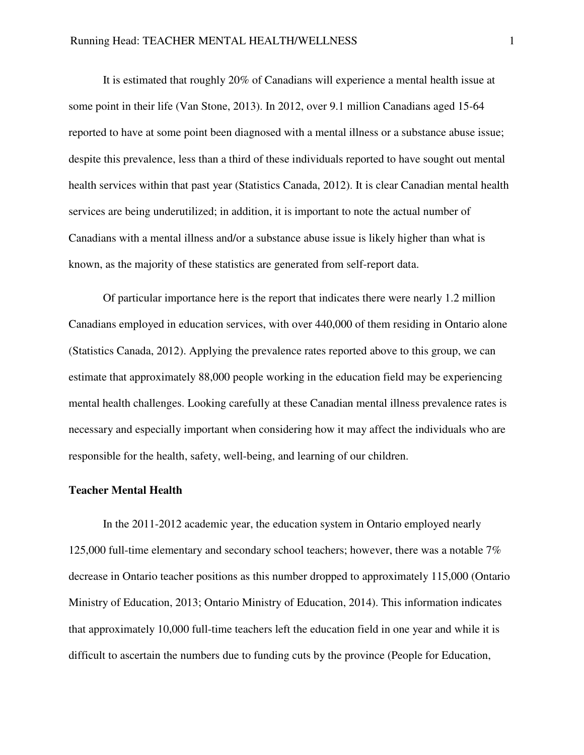It is estimated that roughly 20% of Canadians will experience a mental health issue at some point in their life (Van Stone, 2013). In 2012, over 9.1 million Canadians aged 15-64 reported to have at some point been diagnosed with a mental illness or a substance abuse issue; despite this prevalence, less than a third of these individuals reported to have sought out mental health services within that past year (Statistics Canada, 2012). It is clear Canadian mental health services are being underutilized; in addition, it is important to note the actual number of Canadians with a mental illness and/or a substance abuse issue is likely higher than what is known, as the majority of these statistics are generated from self-report data.

Of particular importance here is the report that indicates there were nearly 1.2 million Canadians employed in education services, with over 440,000 of them residing in Ontario alone (Statistics Canada, 2012). Applying the prevalence rates reported above to this group, we can estimate that approximately 88,000 people working in the education field may be experiencing mental health challenges. Looking carefully at these Canadian mental illness prevalence rates is necessary and especially important when considering how it may affect the individuals who are responsible for the health, safety, well-being, and learning of our children.

## **Teacher Mental Health**

 In the 2011-2012 academic year, the education system in Ontario employed nearly 125,000 full-time elementary and secondary school teachers; however, there was a notable 7% decrease in Ontario teacher positions as this number dropped to approximately 115,000 (Ontario Ministry of Education, 2013; Ontario Ministry of Education, 2014). This information indicates that approximately 10,000 full-time teachers left the education field in one year and while it is difficult to ascertain the numbers due to funding cuts by the province (People for Education,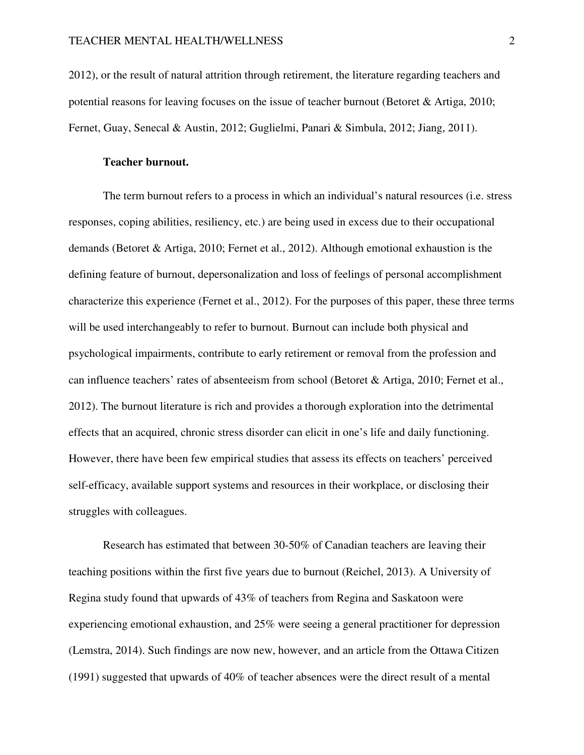2012), or the result of natural attrition through retirement, the literature regarding teachers and potential reasons for leaving focuses on the issue of teacher burnout (Betoret & Artiga, 2010; Fernet, Guay, Senecal & Austin, 2012; Guglielmi, Panari & Simbula, 2012; Jiang, 2011).

## **Teacher burnout.**

 The term burnout refers to a process in which an individual's natural resources (i.e. stress responses, coping abilities, resiliency, etc.) are being used in excess due to their occupational demands (Betoret & Artiga, 2010; Fernet et al., 2012). Although emotional exhaustion is the defining feature of burnout, depersonalization and loss of feelings of personal accomplishment characterize this experience (Fernet et al., 2012). For the purposes of this paper, these three terms will be used interchangeably to refer to burnout. Burnout can include both physical and psychological impairments, contribute to early retirement or removal from the profession and can influence teachers' rates of absenteeism from school (Betoret & Artiga, 2010; Fernet et al., 2012). The burnout literature is rich and provides a thorough exploration into the detrimental effects that an acquired, chronic stress disorder can elicit in one's life and daily functioning. However, there have been few empirical studies that assess its effects on teachers' perceived self-efficacy, available support systems and resources in their workplace, or disclosing their struggles with colleagues.

 Research has estimated that between 30-50% of Canadian teachers are leaving their teaching positions within the first five years due to burnout (Reichel, 2013). A University of Regina study found that upwards of 43% of teachers from Regina and Saskatoon were experiencing emotional exhaustion, and 25% were seeing a general practitioner for depression (Lemstra, 2014). Such findings are now new, however, and an article from the Ottawa Citizen (1991) suggested that upwards of 40% of teacher absences were the direct result of a mental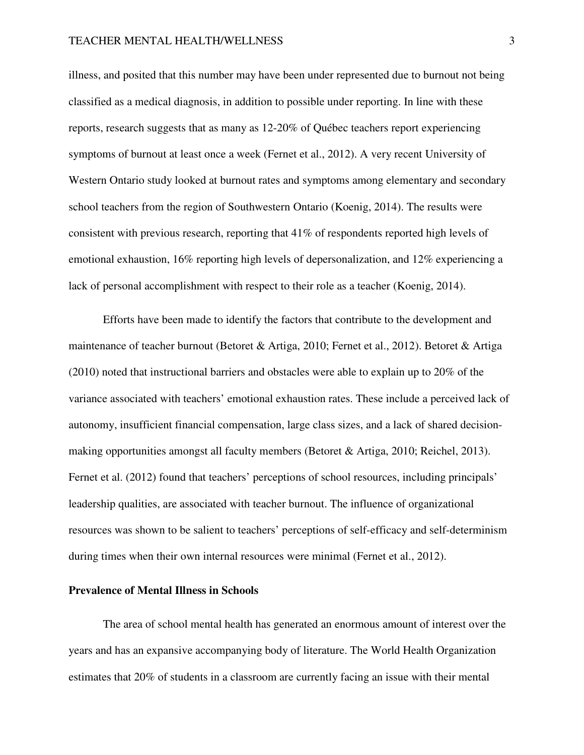illness, and posited that this number may have been under represented due to burnout not being classified as a medical diagnosis, in addition to possible under reporting. In line with these reports, research suggests that as many as 12-20% of Québec teachers report experiencing symptoms of burnout at least once a week (Fernet et al., 2012). A very recent University of Western Ontario study looked at burnout rates and symptoms among elementary and secondary school teachers from the region of Southwestern Ontario (Koenig, 2014). The results were consistent with previous research, reporting that 41% of respondents reported high levels of emotional exhaustion, 16% reporting high levels of depersonalization, and 12% experiencing a lack of personal accomplishment with respect to their role as a teacher (Koenig, 2014).

 Efforts have been made to identify the factors that contribute to the development and maintenance of teacher burnout (Betoret & Artiga, 2010; Fernet et al., 2012). Betoret & Artiga (2010) noted that instructional barriers and obstacles were able to explain up to 20% of the variance associated with teachers' emotional exhaustion rates. These include a perceived lack of autonomy, insufficient financial compensation, large class sizes, and a lack of shared decisionmaking opportunities amongst all faculty members (Betoret & Artiga, 2010; Reichel, 2013). Fernet et al. (2012) found that teachers' perceptions of school resources, including principals' leadership qualities, are associated with teacher burnout. The influence of organizational resources was shown to be salient to teachers' perceptions of self-efficacy and self-determinism during times when their own internal resources were minimal (Fernet et al., 2012).

## **Prevalence of Mental Illness in Schools**

 The area of school mental health has generated an enormous amount of interest over the years and has an expansive accompanying body of literature. The World Health Organization estimates that 20% of students in a classroom are currently facing an issue with their mental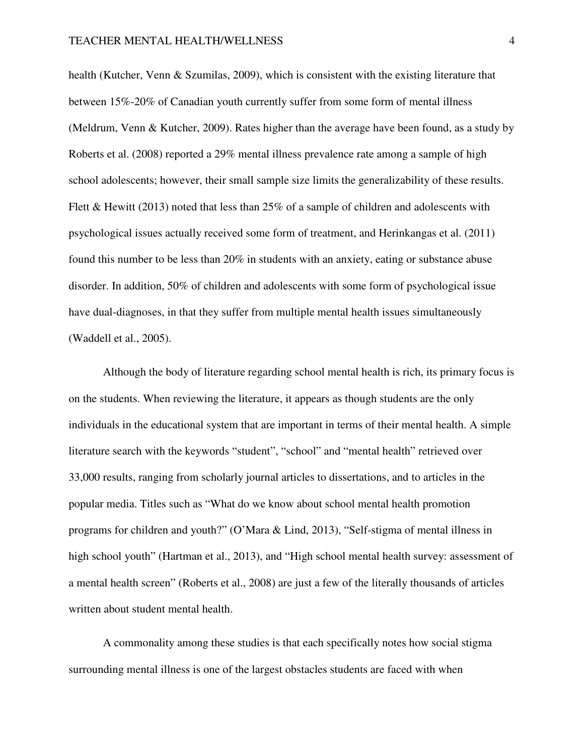health (Kutcher, Venn & Szumilas, 2009), which is consistent with the existing literature that between 15%-20% of Canadian youth currently suffer from some form of mental illness (Meldrum, Venn & Kutcher, 2009). Rates higher than the average have been found, as a study by Roberts et al. (2008) reported a 29% mental illness prevalence rate among a sample of high school adolescents; however, their small sample size limits the generalizability of these results. Flett & Hewitt (2013) noted that less than 25% of a sample of children and adolescents with psychological issues actually received some form of treatment, and Herinkangas et al. (2011) found this number to be less than 20% in students with an anxiety, eating or substance abuse disorder. In addition, 50% of children and adolescents with some form of psychological issue have dual-diagnoses, in that they suffer from multiple mental health issues simultaneously (Waddell et al., 2005).

 Although the body of literature regarding school mental health is rich, its primary focus is on the students. When reviewing the literature, it appears as though students are the only individuals in the educational system that are important in terms of their mental health. A simple literature search with the keywords "student", "school" and "mental health" retrieved over 33,000 results, ranging from scholarly journal articles to dissertations, and to articles in the popular media. Titles such as "What do we know about school mental health promotion programs for children and youth?" (O'Mara & Lind, 2013), "Self-stigma of mental illness in high school youth" (Hartman et al., 2013), and "High school mental health survey: assessment of a mental health screen" (Roberts et al., 2008) are just a few of the literally thousands of articles written about student mental health.

 A commonality among these studies is that each specifically notes how social stigma surrounding mental illness is one of the largest obstacles students are faced with when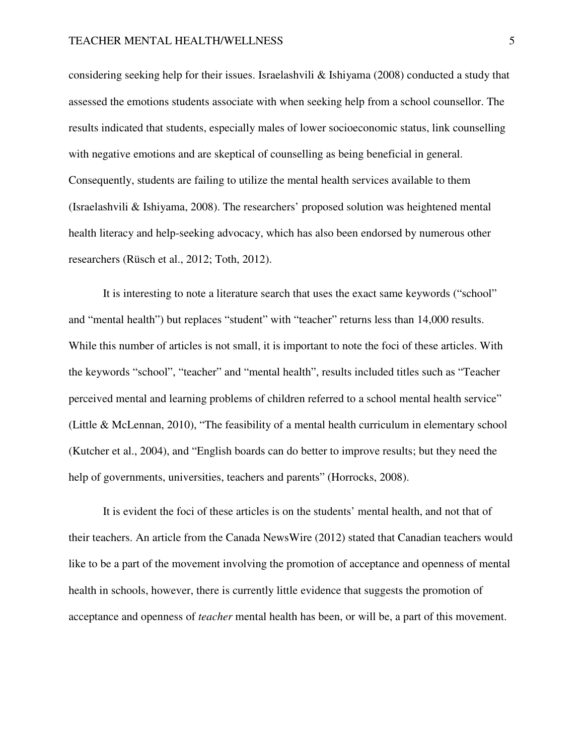considering seeking help for their issues. Israelashvili & Ishiyama (2008) conducted a study that assessed the emotions students associate with when seeking help from a school counsellor. The results indicated that students, especially males of lower socioeconomic status, link counselling with negative emotions and are skeptical of counselling as being beneficial in general. Consequently, students are failing to utilize the mental health services available to them (Israelashvili & Ishiyama, 2008). The researchers' proposed solution was heightened mental health literacy and help-seeking advocacy, which has also been endorsed by numerous other researchers (Rüsch et al., 2012; Toth, 2012).

 It is interesting to note a literature search that uses the exact same keywords ("school" and "mental health") but replaces "student" with "teacher" returns less than 14,000 results. While this number of articles is not small, it is important to note the foci of these articles. With the keywords "school", "teacher" and "mental health", results included titles such as "Teacher perceived mental and learning problems of children referred to a school mental health service" (Little & McLennan, 2010), "The feasibility of a mental health curriculum in elementary school (Kutcher et al., 2004), and "English boards can do better to improve results; but they need the help of governments, universities, teachers and parents" (Horrocks, 2008).

 It is evident the foci of these articles is on the students' mental health, and not that of their teachers. An article from the Canada NewsWire (2012) stated that Canadian teachers would like to be a part of the movement involving the promotion of acceptance and openness of mental health in schools, however, there is currently little evidence that suggests the promotion of acceptance and openness of *teacher* mental health has been, or will be, a part of this movement.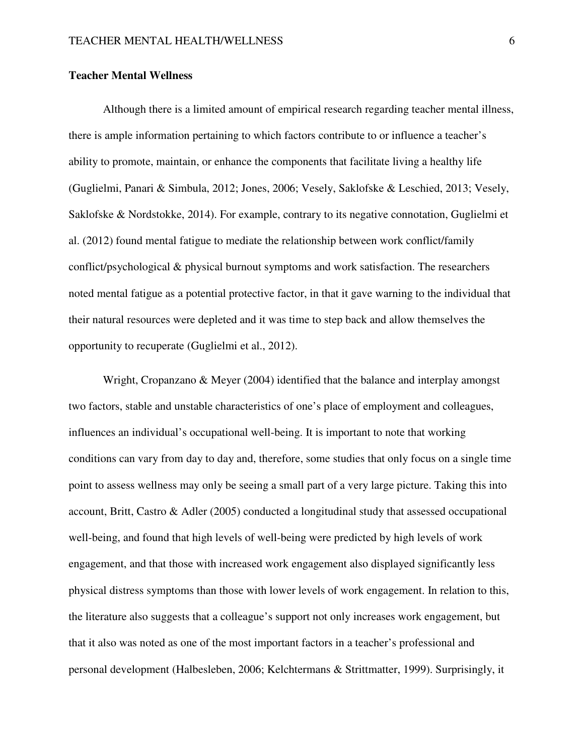## **Teacher Mental Wellness**

 Although there is a limited amount of empirical research regarding teacher mental illness, there is ample information pertaining to which factors contribute to or influence a teacher's ability to promote, maintain, or enhance the components that facilitate living a healthy life (Guglielmi, Panari & Simbula, 2012; Jones, 2006; Vesely, Saklofske & Leschied, 2013; Vesely, Saklofske & Nordstokke, 2014). For example, contrary to its negative connotation, Guglielmi et al. (2012) found mental fatigue to mediate the relationship between work conflict/family conflict/psychological & physical burnout symptoms and work satisfaction. The researchers noted mental fatigue as a potential protective factor, in that it gave warning to the individual that their natural resources were depleted and it was time to step back and allow themselves the opportunity to recuperate (Guglielmi et al., 2012).

Wright, Cropanzano & Meyer (2004) identified that the balance and interplay amongst two factors, stable and unstable characteristics of one's place of employment and colleagues, influences an individual's occupational well-being. It is important to note that working conditions can vary from day to day and, therefore, some studies that only focus on a single time point to assess wellness may only be seeing a small part of a very large picture. Taking this into account, Britt, Castro & Adler (2005) conducted a longitudinal study that assessed occupational well-being, and found that high levels of well-being were predicted by high levels of work engagement, and that those with increased work engagement also displayed significantly less physical distress symptoms than those with lower levels of work engagement. In relation to this, the literature also suggests that a colleague's support not only increases work engagement, but that it also was noted as one of the most important factors in a teacher's professional and personal development (Halbesleben, 2006; Kelchtermans & Strittmatter, 1999). Surprisingly, it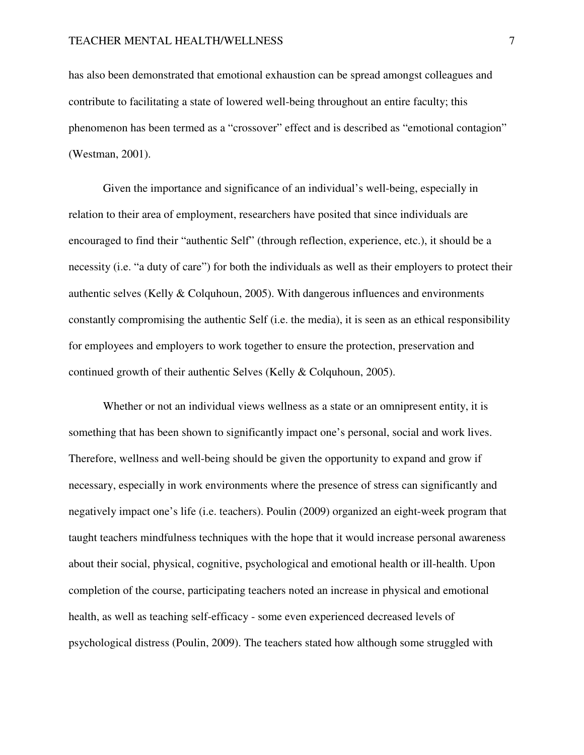has also been demonstrated that emotional exhaustion can be spread amongst colleagues and contribute to facilitating a state of lowered well-being throughout an entire faculty; this phenomenon has been termed as a "crossover" effect and is described as "emotional contagion" (Westman, 2001).

Given the importance and significance of an individual's well-being, especially in relation to their area of employment, researchers have posited that since individuals are encouraged to find their "authentic Self" (through reflection, experience, etc.), it should be a necessity (i.e. "a duty of care") for both the individuals as well as their employers to protect their authentic selves (Kelly & Colquhoun, 2005). With dangerous influences and environments constantly compromising the authentic Self (i.e. the media), it is seen as an ethical responsibility for employees and employers to work together to ensure the protection, preservation and continued growth of their authentic Selves (Kelly & Colquhoun, 2005).

Whether or not an individual views wellness as a state or an omnipresent entity, it is something that has been shown to significantly impact one's personal, social and work lives. Therefore, wellness and well-being should be given the opportunity to expand and grow if necessary, especially in work environments where the presence of stress can significantly and negatively impact one's life (i.e. teachers). Poulin (2009) organized an eight-week program that taught teachers mindfulness techniques with the hope that it would increase personal awareness about their social, physical, cognitive, psychological and emotional health or ill-health. Upon completion of the course, participating teachers noted an increase in physical and emotional health, as well as teaching self-efficacy - some even experienced decreased levels of psychological distress (Poulin, 2009). The teachers stated how although some struggled with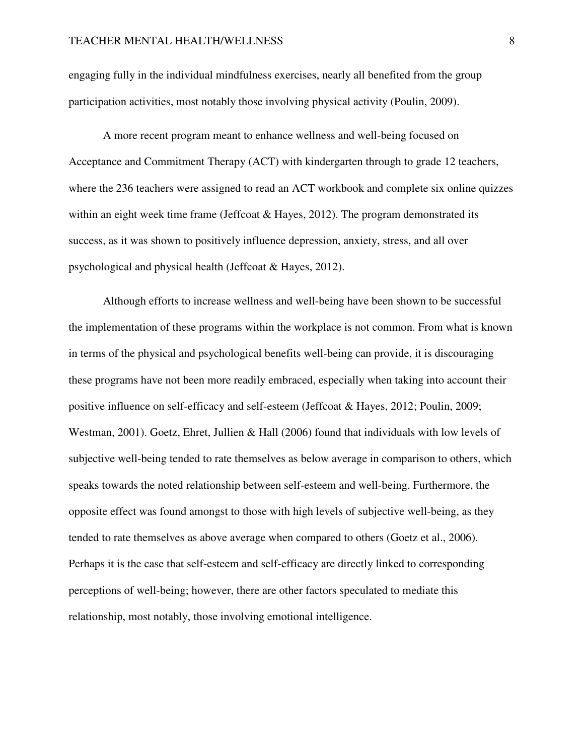engaging fully in the individual mindfulness exercises, nearly all benefited from the group participation activities, most notably those involving physical activity (Poulin, 2009).

A more recent program meant to enhance wellness and well-being focused on Acceptance and Commitment Therapy (ACT) with kindergarten through to grade 12 teachers, where the 236 teachers were assigned to read an ACT workbook and complete six online quizzes within an eight week time frame (Jeffcoat  $&$  Hayes, 2012). The program demonstrated its success, as it was shown to positively influence depression, anxiety, stress, and all over psychological and physical health (Jeffcoat & Hayes, 2012).

Although efforts to increase wellness and well-being have been shown to be successful the implementation of these programs within the workplace is not common. From what is known in terms of the physical and psychological benefits well-being can provide, it is discouraging these programs have not been more readily embraced, especially when taking into account their positive influence on self-efficacy and self-esteem (Jeffcoat & Hayes, 2012; Poulin, 2009; Westman, 2001). Goetz, Ehret, Jullien & Hall (2006) found that individuals with low levels of subjective well-being tended to rate themselves as below average in comparison to others, which speaks towards the noted relationship between self-esteem and well-being. Furthermore, the opposite effect was found amongst to those with high levels of subjective well-being, as they tended to rate themselves as above average when compared to others (Goetz et al., 2006). Perhaps it is the case that self-esteem and self-efficacy are directly linked to corresponding perceptions of well-being; however, there are other factors speculated to mediate this relationship, most notably, those involving emotional intelligence.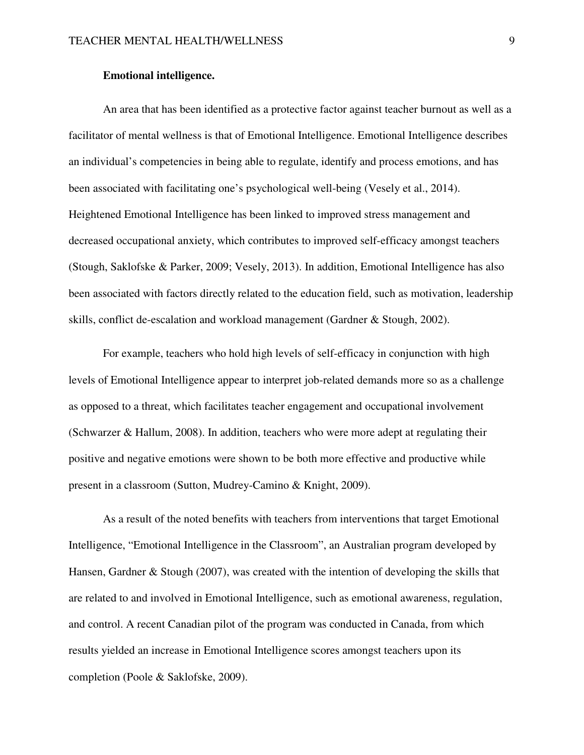## **Emotional intelligence.**

 An area that has been identified as a protective factor against teacher burnout as well as a facilitator of mental wellness is that of Emotional Intelligence. Emotional Intelligence describes an individual's competencies in being able to regulate, identify and process emotions, and has been associated with facilitating one's psychological well-being (Vesely et al., 2014). Heightened Emotional Intelligence has been linked to improved stress management and decreased occupational anxiety, which contributes to improved self-efficacy amongst teachers (Stough, Saklofske & Parker, 2009; Vesely, 2013). In addition, Emotional Intelligence has also been associated with factors directly related to the education field, such as motivation, leadership skills, conflict de-escalation and workload management (Gardner & Stough, 2002).

 For example, teachers who hold high levels of self-efficacy in conjunction with high levels of Emotional Intelligence appear to interpret job-related demands more so as a challenge as opposed to a threat, which facilitates teacher engagement and occupational involvement (Schwarzer & Hallum, 2008). In addition, teachers who were more adept at regulating their positive and negative emotions were shown to be both more effective and productive while present in a classroom (Sutton, Mudrey-Camino & Knight, 2009).

 As a result of the noted benefits with teachers from interventions that target Emotional Intelligence, "Emotional Intelligence in the Classroom", an Australian program developed by Hansen, Gardner & Stough (2007), was created with the intention of developing the skills that are related to and involved in Emotional Intelligence, such as emotional awareness, regulation, and control. A recent Canadian pilot of the program was conducted in Canada, from which results yielded an increase in Emotional Intelligence scores amongst teachers upon its completion (Poole & Saklofske, 2009).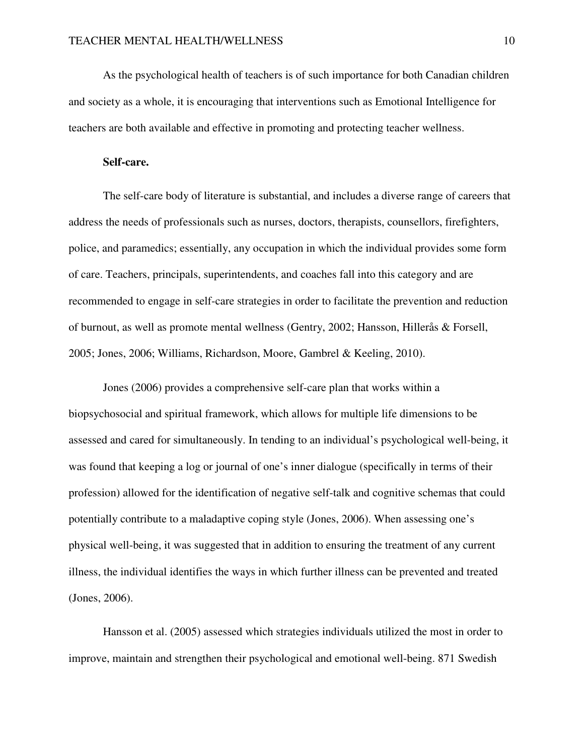As the psychological health of teachers is of such importance for both Canadian children and society as a whole, it is encouraging that interventions such as Emotional Intelligence for teachers are both available and effective in promoting and protecting teacher wellness.

### **Self-care.**

 The self-care body of literature is substantial, and includes a diverse range of careers that address the needs of professionals such as nurses, doctors, therapists, counsellors, firefighters, police, and paramedics; essentially, any occupation in which the individual provides some form of care. Teachers, principals, superintendents, and coaches fall into this category and are recommended to engage in self-care strategies in order to facilitate the prevention and reduction of burnout, as well as promote mental wellness (Gentry, 2002; Hansson, Hillerås & Forsell, 2005; Jones, 2006; Williams, Richardson, Moore, Gambrel & Keeling, 2010).

 Jones (2006) provides a comprehensive self-care plan that works within a biopsychosocial and spiritual framework, which allows for multiple life dimensions to be assessed and cared for simultaneously. In tending to an individual's psychological well-being, it was found that keeping a log or journal of one's inner dialogue (specifically in terms of their profession) allowed for the identification of negative self-talk and cognitive schemas that could potentially contribute to a maladaptive coping style (Jones, 2006). When assessing one's physical well-being, it was suggested that in addition to ensuring the treatment of any current illness, the individual identifies the ways in which further illness can be prevented and treated (Jones, 2006).

 Hansson et al. (2005) assessed which strategies individuals utilized the most in order to improve, maintain and strengthen their psychological and emotional well-being. 871 Swedish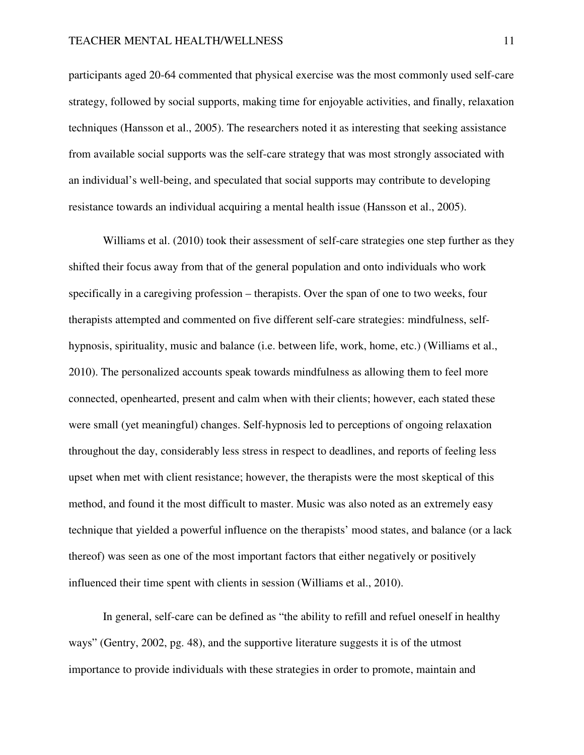participants aged 20-64 commented that physical exercise was the most commonly used self-care strategy, followed by social supports, making time for enjoyable activities, and finally, relaxation techniques (Hansson et al., 2005). The researchers noted it as interesting that seeking assistance from available social supports was the self-care strategy that was most strongly associated with an individual's well-being, and speculated that social supports may contribute to developing resistance towards an individual acquiring a mental health issue (Hansson et al., 2005).

Williams et al. (2010) took their assessment of self-care strategies one step further as they shifted their focus away from that of the general population and onto individuals who work specifically in a caregiving profession – therapists. Over the span of one to two weeks, four therapists attempted and commented on five different self-care strategies: mindfulness, selfhypnosis, spirituality, music and balance (i.e. between life, work, home, etc.) (Williams et al., 2010). The personalized accounts speak towards mindfulness as allowing them to feel more connected, openhearted, present and calm when with their clients; however, each stated these were small (yet meaningful) changes. Self-hypnosis led to perceptions of ongoing relaxation throughout the day, considerably less stress in respect to deadlines, and reports of feeling less upset when met with client resistance; however, the therapists were the most skeptical of this method, and found it the most difficult to master. Music was also noted as an extremely easy technique that yielded a powerful influence on the therapists' mood states, and balance (or a lack thereof) was seen as one of the most important factors that either negatively or positively influenced their time spent with clients in session (Williams et al., 2010).

 In general, self-care can be defined as "the ability to refill and refuel oneself in healthy ways" (Gentry, 2002, pg. 48), and the supportive literature suggests it is of the utmost importance to provide individuals with these strategies in order to promote, maintain and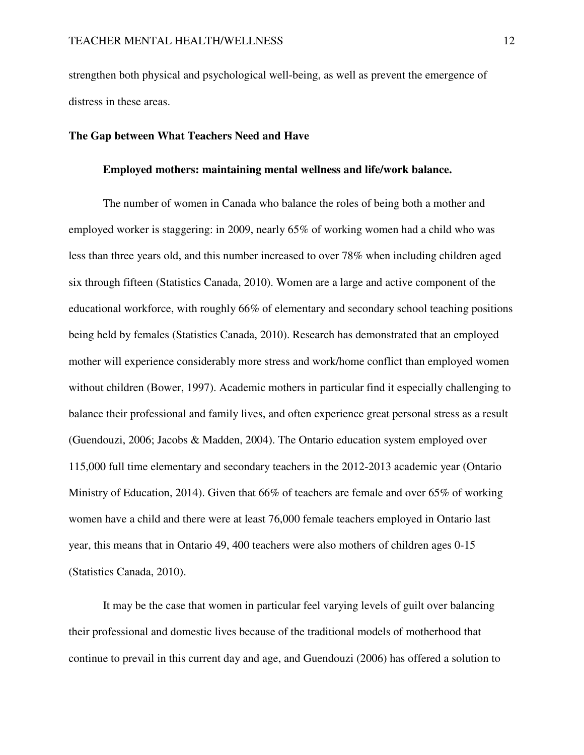strengthen both physical and psychological well-being, as well as prevent the emergence of distress in these areas.

## **The Gap between What Teachers Need and Have**

### **Employed mothers: maintaining mental wellness and life/work balance.**

The number of women in Canada who balance the roles of being both a mother and employed worker is staggering: in 2009, nearly 65% of working women had a child who was less than three years old, and this number increased to over 78% when including children aged six through fifteen (Statistics Canada, 2010). Women are a large and active component of the educational workforce, with roughly 66% of elementary and secondary school teaching positions being held by females (Statistics Canada, 2010). Research has demonstrated that an employed mother will experience considerably more stress and work/home conflict than employed women without children (Bower, 1997). Academic mothers in particular find it especially challenging to balance their professional and family lives, and often experience great personal stress as a result (Guendouzi, 2006; Jacobs & Madden, 2004). The Ontario education system employed over 115,000 full time elementary and secondary teachers in the 2012-2013 academic year (Ontario Ministry of Education, 2014). Given that 66% of teachers are female and over 65% of working women have a child and there were at least 76,000 female teachers employed in Ontario last year, this means that in Ontario 49, 400 teachers were also mothers of children ages 0-15 (Statistics Canada, 2010).

 It may be the case that women in particular feel varying levels of guilt over balancing their professional and domestic lives because of the traditional models of motherhood that continue to prevail in this current day and age, and Guendouzi (2006) has offered a solution to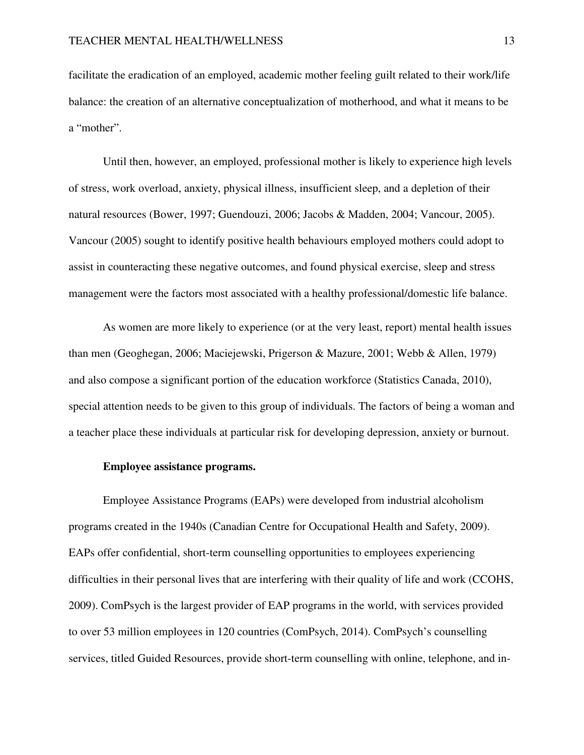facilitate the eradication of an employed, academic mother feeling guilt related to their work/life balance: the creation of an alternative conceptualization of motherhood, and what it means to be a "mother".

 Until then, however, an employed, professional mother is likely to experience high levels of stress, work overload, anxiety, physical illness, insufficient sleep, and a depletion of their natural resources (Bower, 1997; Guendouzi, 2006; Jacobs & Madden, 2004; Vancour, 2005). Vancour (2005) sought to identify positive health behaviours employed mothers could adopt to assist in counteracting these negative outcomes, and found physical exercise, sleep and stress management were the factors most associated with a healthy professional/domestic life balance.

 As women are more likely to experience (or at the very least, report) mental health issues than men (Geoghegan, 2006; Maciejewski, Prigerson & Mazure, 2001; Webb & Allen, 1979) and also compose a significant portion of the education workforce (Statistics Canada, 2010), special attention needs to be given to this group of individuals. The factors of being a woman and a teacher place these individuals at particular risk for developing depression, anxiety or burnout.

## **Employee assistance programs.**

 Employee Assistance Programs (EAPs) were developed from industrial alcoholism programs created in the 1940s (Canadian Centre for Occupational Health and Safety, 2009). EAPs offer confidential, short-term counselling opportunities to employees experiencing difficulties in their personal lives that are interfering with their quality of life and work (CCOHS, 2009). ComPsych is the largest provider of EAP programs in the world, with services provided to over 53 million employees in 120 countries (ComPsych, 2014). ComPsych's counselling services, titled Guided Resources, provide short-term counselling with online, telephone, and in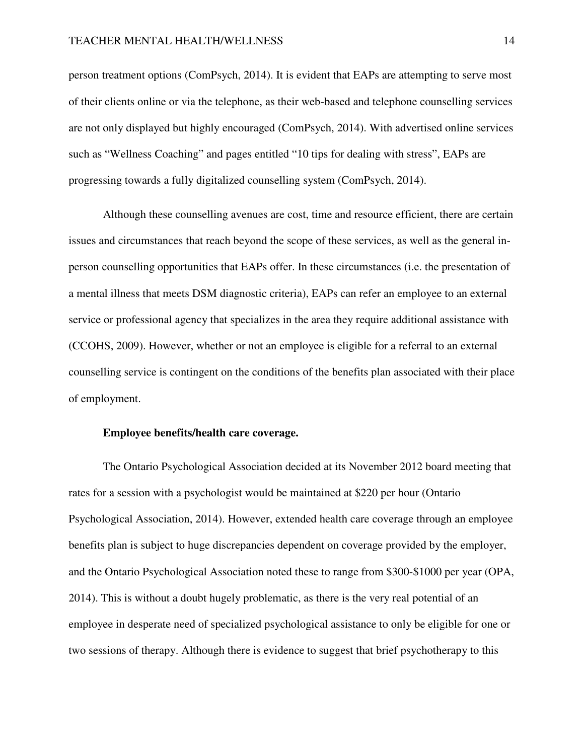person treatment options (ComPsych, 2014). It is evident that EAPs are attempting to serve most of their clients online or via the telephone, as their web-based and telephone counselling services are not only displayed but highly encouraged (ComPsych, 2014). With advertised online services such as "Wellness Coaching" and pages entitled "10 tips for dealing with stress", EAPs are progressing towards a fully digitalized counselling system (ComPsych, 2014).

 Although these counselling avenues are cost, time and resource efficient, there are certain issues and circumstances that reach beyond the scope of these services, as well as the general inperson counselling opportunities that EAPs offer. In these circumstances (i.e. the presentation of a mental illness that meets DSM diagnostic criteria), EAPs can refer an employee to an external service or professional agency that specializes in the area they require additional assistance with (CCOHS, 2009). However, whether or not an employee is eligible for a referral to an external counselling service is contingent on the conditions of the benefits plan associated with their place of employment.

## **Employee benefits/health care coverage.**

 The Ontario Psychological Association decided at its November 2012 board meeting that rates for a session with a psychologist would be maintained at \$220 per hour (Ontario Psychological Association, 2014). However, extended health care coverage through an employee benefits plan is subject to huge discrepancies dependent on coverage provided by the employer, and the Ontario Psychological Association noted these to range from \$300-\$1000 per year (OPA, 2014). This is without a doubt hugely problematic, as there is the very real potential of an employee in desperate need of specialized psychological assistance to only be eligible for one or two sessions of therapy. Although there is evidence to suggest that brief psychotherapy to this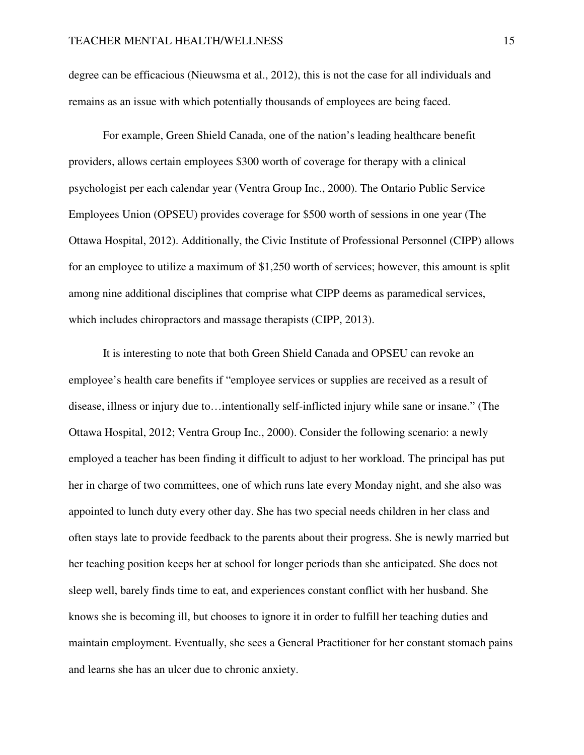degree can be efficacious (Nieuwsma et al., 2012), this is not the case for all individuals and remains as an issue with which potentially thousands of employees are being faced.

 For example, Green Shield Canada, one of the nation's leading healthcare benefit providers, allows certain employees \$300 worth of coverage for therapy with a clinical psychologist per each calendar year (Ventra Group Inc., 2000). The Ontario Public Service Employees Union (OPSEU) provides coverage for \$500 worth of sessions in one year (The Ottawa Hospital, 2012). Additionally, the Civic Institute of Professional Personnel (CIPP) allows for an employee to utilize a maximum of \$1,250 worth of services; however, this amount is split among nine additional disciplines that comprise what CIPP deems as paramedical services, which includes chiropractors and massage therapists (CIPP, 2013).

 It is interesting to note that both Green Shield Canada and OPSEU can revoke an employee's health care benefits if "employee services or supplies are received as a result of disease, illness or injury due to…intentionally self-inflicted injury while sane or insane." (The Ottawa Hospital, 2012; Ventra Group Inc., 2000). Consider the following scenario: a newly employed a teacher has been finding it difficult to adjust to her workload. The principal has put her in charge of two committees, one of which runs late every Monday night, and she also was appointed to lunch duty every other day. She has two special needs children in her class and often stays late to provide feedback to the parents about their progress. She is newly married but her teaching position keeps her at school for longer periods than she anticipated. She does not sleep well, barely finds time to eat, and experiences constant conflict with her husband. She knows she is becoming ill, but chooses to ignore it in order to fulfill her teaching duties and maintain employment. Eventually, she sees a General Practitioner for her constant stomach pains and learns she has an ulcer due to chronic anxiety.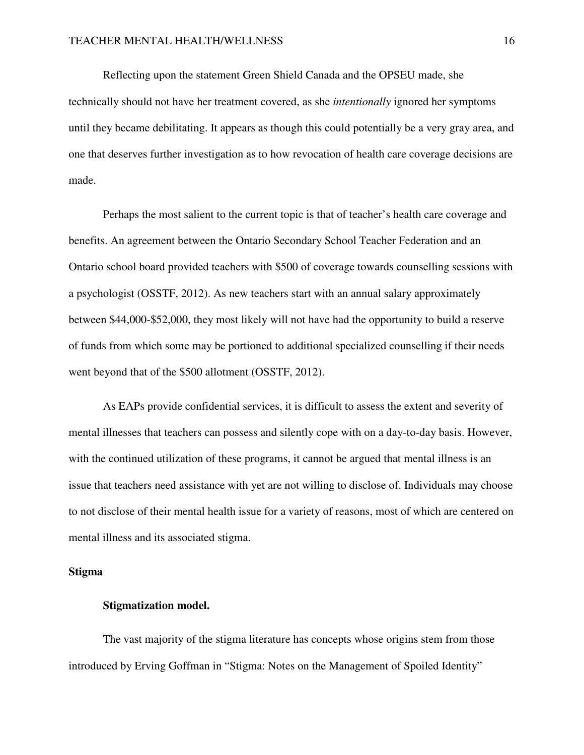Reflecting upon the statement Green Shield Canada and the OPSEU made, she technically should not have her treatment covered, as she *intentionally* ignored her symptoms until they became debilitating. It appears as though this could potentially be a very gray area, and one that deserves further investigation as to how revocation of health care coverage decisions are made.

Perhaps the most salient to the current topic is that of teacher's health care coverage and benefits. An agreement between the Ontario Secondary School Teacher Federation and an Ontario school board provided teachers with \$500 of coverage towards counselling sessions with a psychologist (OSSTF, 2012). As new teachers start with an annual salary approximately between \$44,000-\$52,000, they most likely will not have had the opportunity to build a reserve of funds from which some may be portioned to additional specialized counselling if their needs went beyond that of the \$500 allotment (OSSTF, 2012).

As EAPs provide confidential services, it is difficult to assess the extent and severity of mental illnesses that teachers can possess and silently cope with on a day-to-day basis. However, with the continued utilization of these programs, it cannot be argued that mental illness is an issue that teachers need assistance with yet are not willing to disclose of. Individuals may choose to not disclose of their mental health issue for a variety of reasons, most of which are centered on mental illness and its associated stigma.

## **Stigma**

## **Stigmatization model.**

 The vast majority of the stigma literature has concepts whose origins stem from those introduced by Erving Goffman in "Stigma: Notes on the Management of Spoiled Identity"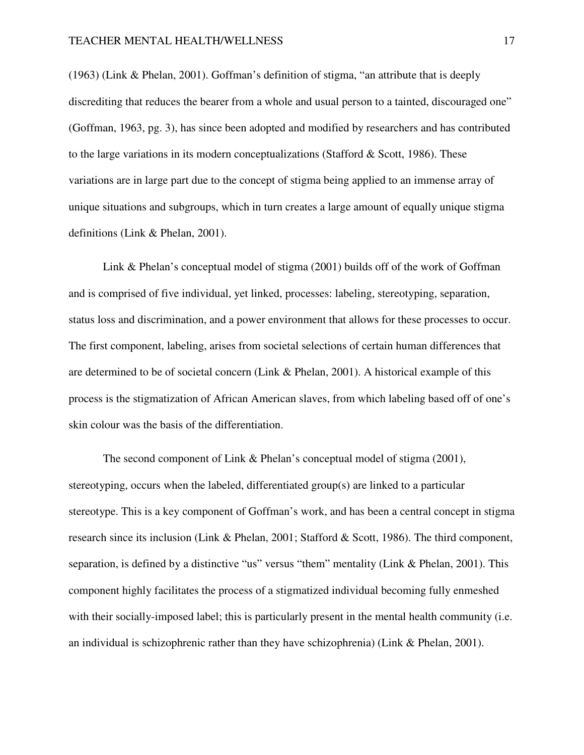(1963) (Link & Phelan, 2001). Goffman's definition of stigma, "an attribute that is deeply discrediting that reduces the bearer from a whole and usual person to a tainted, discouraged one" (Goffman, 1963, pg. 3), has since been adopted and modified by researchers and has contributed to the large variations in its modern conceptualizations (Stafford & Scott, 1986). These variations are in large part due to the concept of stigma being applied to an immense array of unique situations and subgroups, which in turn creates a large amount of equally unique stigma definitions (Link & Phelan, 2001).

 Link & Phelan's conceptual model of stigma (2001) builds off of the work of Goffman and is comprised of five individual, yet linked, processes: labeling, stereotyping, separation, status loss and discrimination, and a power environment that allows for these processes to occur. The first component, labeling, arises from societal selections of certain human differences that are determined to be of societal concern (Link & Phelan, 2001). A historical example of this process is the stigmatization of African American slaves, from which labeling based off of one's skin colour was the basis of the differentiation.

 The second component of Link & Phelan's conceptual model of stigma (2001), stereotyping, occurs when the labeled, differentiated group(s) are linked to a particular stereotype. This is a key component of Goffman's work, and has been a central concept in stigma research since its inclusion (Link & Phelan, 2001; Stafford & Scott, 1986). The third component, separation, is defined by a distinctive "us" versus "them" mentality (Link & Phelan, 2001). This component highly facilitates the process of a stigmatized individual becoming fully enmeshed with their socially-imposed label; this is particularly present in the mental health community (i.e. an individual is schizophrenic rather than they have schizophrenia) (Link & Phelan, 2001).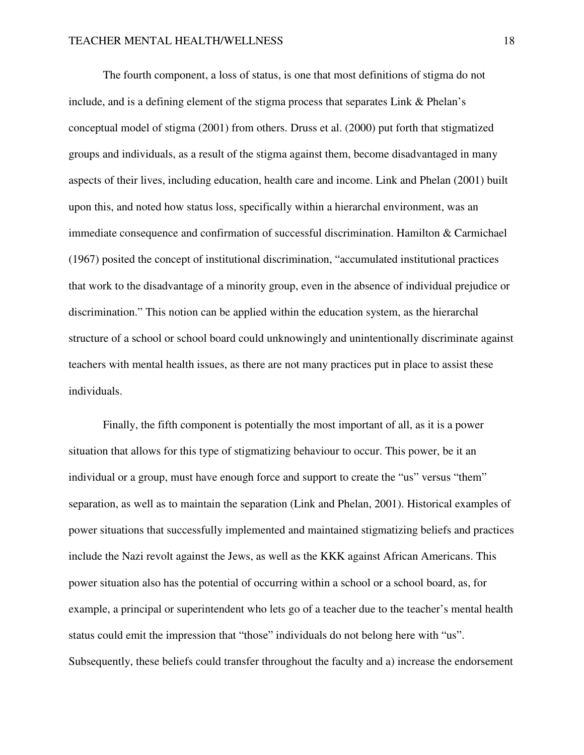The fourth component, a loss of status, is one that most definitions of stigma do not include, and is a defining element of the stigma process that separates Link & Phelan's conceptual model of stigma (2001) from others. Druss et al. (2000) put forth that stigmatized groups and individuals, as a result of the stigma against them, become disadvantaged in many aspects of their lives, including education, health care and income. Link and Phelan (2001) built upon this, and noted how status loss, specifically within a hierarchal environment, was an immediate consequence and confirmation of successful discrimination. Hamilton & Carmichael (1967) posited the concept of institutional discrimination, "accumulated institutional practices that work to the disadvantage of a minority group, even in the absence of individual prejudice or discrimination." This notion can be applied within the education system, as the hierarchal structure of a school or school board could unknowingly and unintentionally discriminate against teachers with mental health issues, as there are not many practices put in place to assist these individuals.

 Finally, the fifth component is potentially the most important of all, as it is a power situation that allows for this type of stigmatizing behaviour to occur. This power, be it an individual or a group, must have enough force and support to create the "us" versus "them" separation, as well as to maintain the separation (Link and Phelan, 2001). Historical examples of power situations that successfully implemented and maintained stigmatizing beliefs and practices include the Nazi revolt against the Jews, as well as the KKK against African Americans. This power situation also has the potential of occurring within a school or a school board, as, for example, a principal or superintendent who lets go of a teacher due to the teacher's mental health status could emit the impression that "those" individuals do not belong here with "us". Subsequently, these beliefs could transfer throughout the faculty and a) increase the endorsement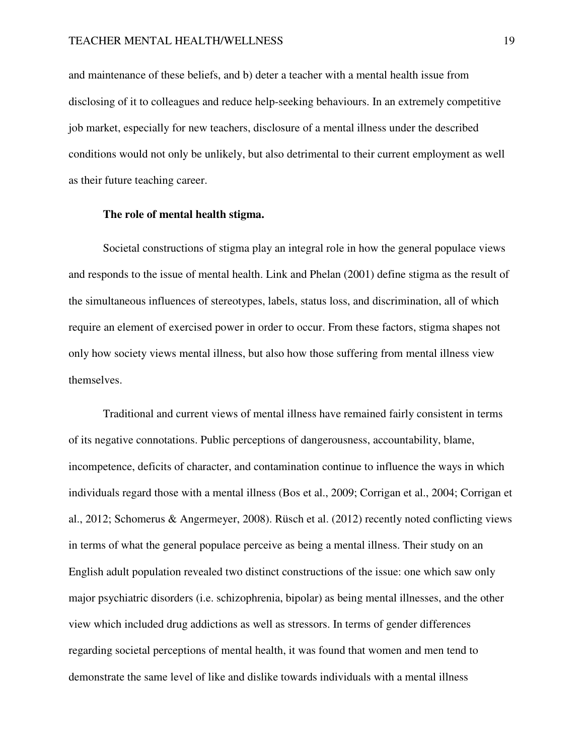and maintenance of these beliefs, and b) deter a teacher with a mental health issue from disclosing of it to colleagues and reduce help-seeking behaviours. In an extremely competitive job market, especially for new teachers, disclosure of a mental illness under the described conditions would not only be unlikely, but also detrimental to their current employment as well as their future teaching career.

### **The role of mental health stigma.**

Societal constructions of stigma play an integral role in how the general populace views and responds to the issue of mental health. Link and Phelan (2001) define stigma as the result of the simultaneous influences of stereotypes, labels, status loss, and discrimination, all of which require an element of exercised power in order to occur. From these factors, stigma shapes not only how society views mental illness, but also how those suffering from mental illness view themselves.

 Traditional and current views of mental illness have remained fairly consistent in terms of its negative connotations. Public perceptions of dangerousness, accountability, blame, incompetence, deficits of character, and contamination continue to influence the ways in which individuals regard those with a mental illness (Bos et al., 2009; Corrigan et al., 2004; Corrigan et al., 2012; Schomerus & Angermeyer, 2008). Rüsch et al. (2012) recently noted conflicting views in terms of what the general populace perceive as being a mental illness. Their study on an English adult population revealed two distinct constructions of the issue: one which saw only major psychiatric disorders (i.e. schizophrenia, bipolar) as being mental illnesses, and the other view which included drug addictions as well as stressors. In terms of gender differences regarding societal perceptions of mental health, it was found that women and men tend to demonstrate the same level of like and dislike towards individuals with a mental illness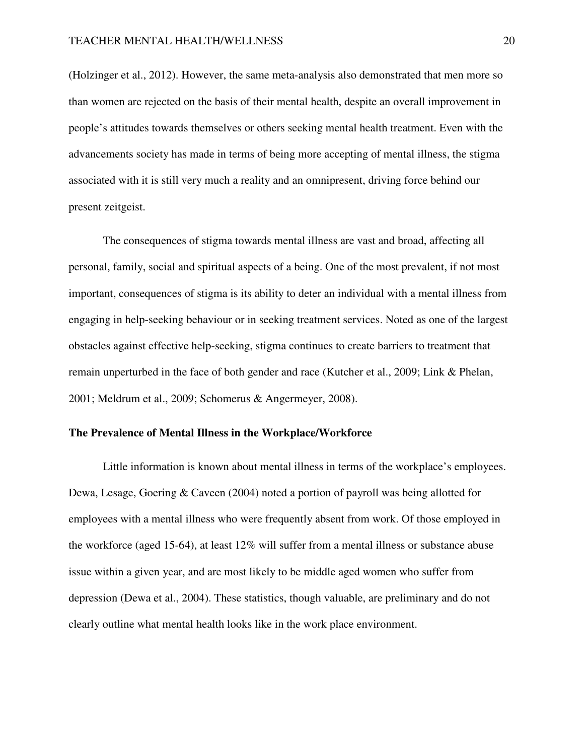(Holzinger et al., 2012). However, the same meta-analysis also demonstrated that men more so than women are rejected on the basis of their mental health, despite an overall improvement in people's attitudes towards themselves or others seeking mental health treatment. Even with the advancements society has made in terms of being more accepting of mental illness, the stigma associated with it is still very much a reality and an omnipresent, driving force behind our present zeitgeist.

 The consequences of stigma towards mental illness are vast and broad, affecting all personal, family, social and spiritual aspects of a being. One of the most prevalent, if not most important, consequences of stigma is its ability to deter an individual with a mental illness from engaging in help-seeking behaviour or in seeking treatment services. Noted as one of the largest obstacles against effective help-seeking, stigma continues to create barriers to treatment that remain unperturbed in the face of both gender and race (Kutcher et al., 2009; Link & Phelan, 2001; Meldrum et al., 2009; Schomerus & Angermeyer, 2008).

# **The Prevalence of Mental Illness in the Workplace/Workforce**

Little information is known about mental illness in terms of the workplace's employees. Dewa, Lesage, Goering & Caveen (2004) noted a portion of payroll was being allotted for employees with a mental illness who were frequently absent from work. Of those employed in the workforce (aged 15-64), at least 12% will suffer from a mental illness or substance abuse issue within a given year, and are most likely to be middle aged women who suffer from depression (Dewa et al., 2004). These statistics, though valuable, are preliminary and do not clearly outline what mental health looks like in the work place environment.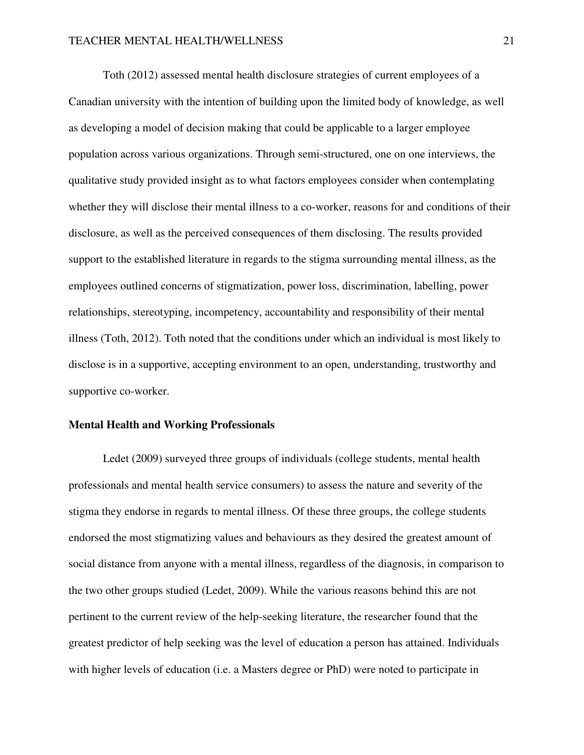Toth (2012) assessed mental health disclosure strategies of current employees of a Canadian university with the intention of building upon the limited body of knowledge, as well as developing a model of decision making that could be applicable to a larger employee population across various organizations. Through semi-structured, one on one interviews, the qualitative study provided insight as to what factors employees consider when contemplating whether they will disclose their mental illness to a co-worker, reasons for and conditions of their disclosure, as well as the perceived consequences of them disclosing. The results provided support to the established literature in regards to the stigma surrounding mental illness, as the employees outlined concerns of stigmatization, power loss, discrimination, labelling, power relationships, stereotyping, incompetency, accountability and responsibility of their mental illness (Toth, 2012). Toth noted that the conditions under which an individual is most likely to disclose is in a supportive, accepting environment to an open, understanding, trustworthy and supportive co-worker.

## **Mental Health and Working Professionals**

 Ledet (2009) surveyed three groups of individuals (college students, mental health professionals and mental health service consumers) to assess the nature and severity of the stigma they endorse in regards to mental illness. Of these three groups, the college students endorsed the most stigmatizing values and behaviours as they desired the greatest amount of social distance from anyone with a mental illness, regardless of the diagnosis, in comparison to the two other groups studied (Ledet, 2009). While the various reasons behind this are not pertinent to the current review of the help-seeking literature, the researcher found that the greatest predictor of help seeking was the level of education a person has attained. Individuals with higher levels of education (i.e. a Masters degree or PhD) were noted to participate in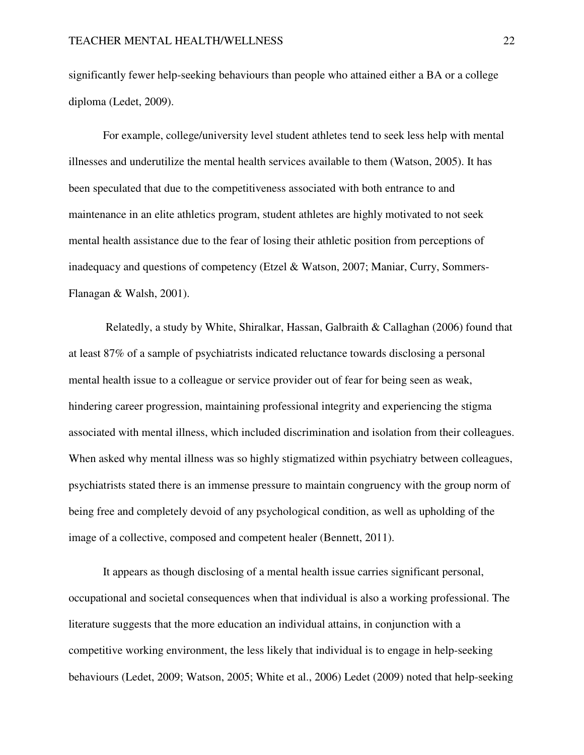significantly fewer help-seeking behaviours than people who attained either a BA or a college diploma (Ledet, 2009).

 For example, college/university level student athletes tend to seek less help with mental illnesses and underutilize the mental health services available to them (Watson, 2005). It has been speculated that due to the competitiveness associated with both entrance to and maintenance in an elite athletics program, student athletes are highly motivated to not seek mental health assistance due to the fear of losing their athletic position from perceptions of inadequacy and questions of competency (Etzel & Watson, 2007; Maniar, Curry, Sommers-Flanagan & Walsh, 2001).

 Relatedly, a study by White, Shiralkar, Hassan, Galbraith & Callaghan (2006) found that at least 87% of a sample of psychiatrists indicated reluctance towards disclosing a personal mental health issue to a colleague or service provider out of fear for being seen as weak, hindering career progression, maintaining professional integrity and experiencing the stigma associated with mental illness, which included discrimination and isolation from their colleagues. When asked why mental illness was so highly stigmatized within psychiatry between colleagues, psychiatrists stated there is an immense pressure to maintain congruency with the group norm of being free and completely devoid of any psychological condition, as well as upholding of the image of a collective, composed and competent healer (Bennett, 2011).

 It appears as though disclosing of a mental health issue carries significant personal, occupational and societal consequences when that individual is also a working professional. The literature suggests that the more education an individual attains, in conjunction with a competitive working environment, the less likely that individual is to engage in help-seeking behaviours (Ledet, 2009; Watson, 2005; White et al., 2006) Ledet (2009) noted that help-seeking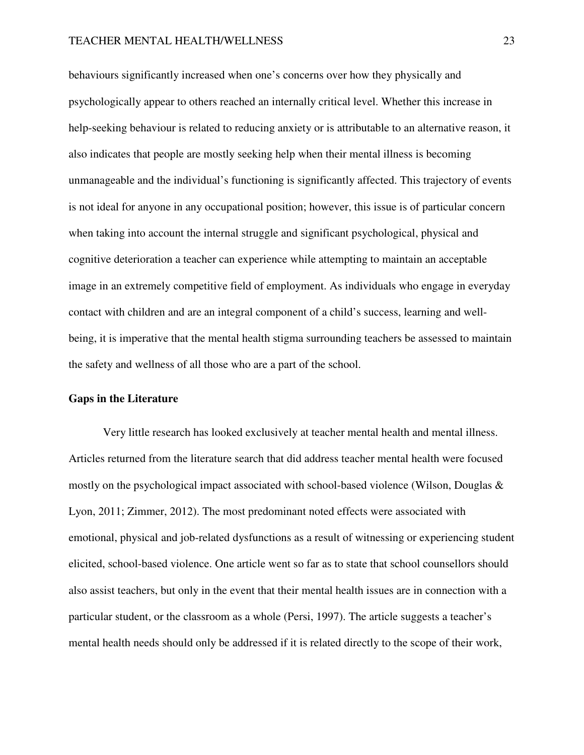behaviours significantly increased when one's concerns over how they physically and psychologically appear to others reached an internally critical level. Whether this increase in help-seeking behaviour is related to reducing anxiety or is attributable to an alternative reason, it also indicates that people are mostly seeking help when their mental illness is becoming unmanageable and the individual's functioning is significantly affected. This trajectory of events is not ideal for anyone in any occupational position; however, this issue is of particular concern when taking into account the internal struggle and significant psychological, physical and cognitive deterioration a teacher can experience while attempting to maintain an acceptable image in an extremely competitive field of employment. As individuals who engage in everyday contact with children and are an integral component of a child's success, learning and wellbeing, it is imperative that the mental health stigma surrounding teachers be assessed to maintain the safety and wellness of all those who are a part of the school.

# **Gaps in the Literature**

Very little research has looked exclusively at teacher mental health and mental illness. Articles returned from the literature search that did address teacher mental health were focused mostly on the psychological impact associated with school-based violence (Wilson, Douglas & Lyon, 2011; Zimmer, 2012). The most predominant noted effects were associated with emotional, physical and job-related dysfunctions as a result of witnessing or experiencing student elicited, school-based violence. One article went so far as to state that school counsellors should also assist teachers, but only in the event that their mental health issues are in connection with a particular student, or the classroom as a whole (Persi, 1997). The article suggests a teacher's mental health needs should only be addressed if it is related directly to the scope of their work,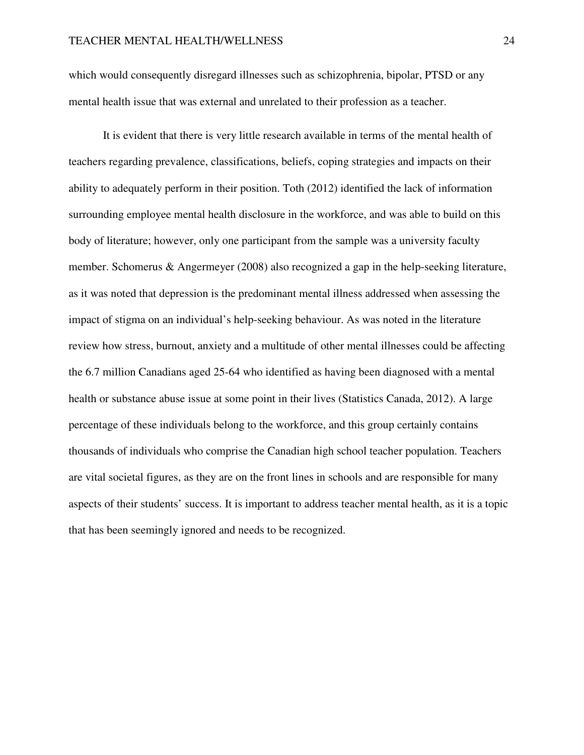which would consequently disregard illnesses such as schizophrenia, bipolar, PTSD or any mental health issue that was external and unrelated to their profession as a teacher.

 It is evident that there is very little research available in terms of the mental health of teachers regarding prevalence, classifications, beliefs, coping strategies and impacts on their ability to adequately perform in their position. Toth (2012) identified the lack of information surrounding employee mental health disclosure in the workforce, and was able to build on this body of literature; however, only one participant from the sample was a university faculty member. Schomerus & Angermeyer (2008) also recognized a gap in the help-seeking literature, as it was noted that depression is the predominant mental illness addressed when assessing the impact of stigma on an individual's help-seeking behaviour. As was noted in the literature review how stress, burnout, anxiety and a multitude of other mental illnesses could be affecting the 6.7 million Canadians aged 25-64 who identified as having been diagnosed with a mental health or substance abuse issue at some point in their lives (Statistics Canada, 2012). A large percentage of these individuals belong to the workforce, and this group certainly contains thousands of individuals who comprise the Canadian high school teacher population. Teachers are vital societal figures, as they are on the front lines in schools and are responsible for many aspects of their students' success. It is important to address teacher mental health, as it is a topic that has been seemingly ignored and needs to be recognized.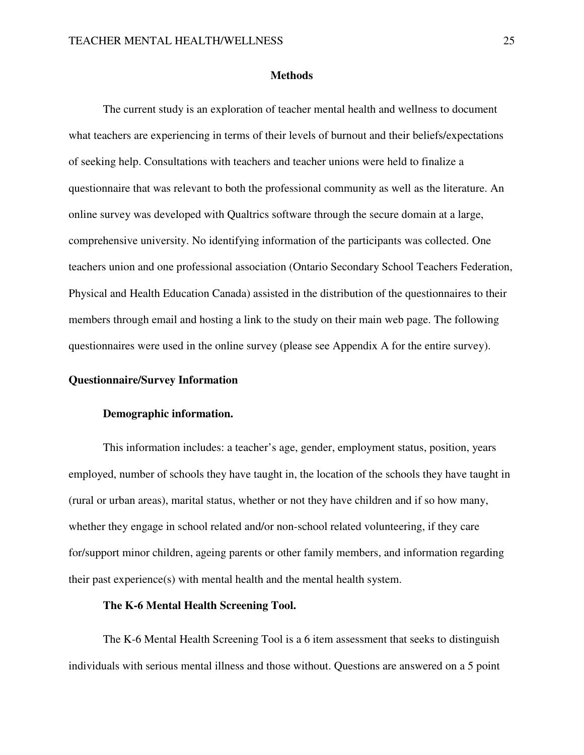#### **Methods**

 The current study is an exploration of teacher mental health and wellness to document what teachers are experiencing in terms of their levels of burnout and their beliefs/expectations of seeking help. Consultations with teachers and teacher unions were held to finalize a questionnaire that was relevant to both the professional community as well as the literature. An online survey was developed with Qualtrics software through the secure domain at a large, comprehensive university. No identifying information of the participants was collected. One teachers union and one professional association (Ontario Secondary School Teachers Federation, Physical and Health Education Canada) assisted in the distribution of the questionnaires to their members through email and hosting a link to the study on their main web page. The following questionnaires were used in the online survey (please see Appendix A for the entire survey).

## **Questionnaire/Survey Information**

## **Demographic information.**

 This information includes: a teacher's age, gender, employment status, position, years employed, number of schools they have taught in, the location of the schools they have taught in (rural or urban areas), marital status, whether or not they have children and if so how many, whether they engage in school related and/or non-school related volunteering, if they care for/support minor children, ageing parents or other family members, and information regarding their past experience(s) with mental health and the mental health system.

## **The K-6 Mental Health Screening Tool.**

The K-6 Mental Health Screening Tool is a 6 item assessment that seeks to distinguish individuals with serious mental illness and those without. Questions are answered on a 5 point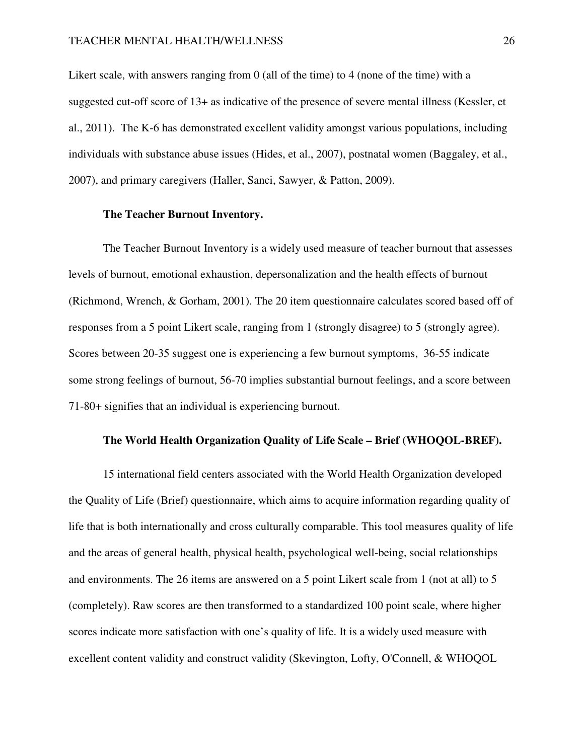Likert scale, with answers ranging from 0 (all of the time) to 4 (none of the time) with a suggested cut-off score of 13+ as indicative of the presence of severe mental illness (Kessler, et al., 2011). The K-6 has demonstrated excellent validity amongst various populations, including individuals with substance abuse issues (Hides, et al., 2007), postnatal women (Baggaley, et al., 2007), and primary caregivers (Haller, Sanci, Sawyer, & Patton, 2009).

## **The Teacher Burnout Inventory.**

The Teacher Burnout Inventory is a widely used measure of teacher burnout that assesses levels of burnout, emotional exhaustion, depersonalization and the health effects of burnout (Richmond, Wrench, & Gorham, 2001). The 20 item questionnaire calculates scored based off of responses from a 5 point Likert scale, ranging from 1 (strongly disagree) to 5 (strongly agree). Scores between 20-35 suggest one is experiencing a few burnout symptoms, 36-55 indicate some strong feelings of burnout, 56-70 implies substantial burnout feelings, and a score between 71-80+ signifies that an individual is experiencing burnout.

## **The World Health Organization Quality of Life Scale – Brief (WHOQOL-BREF).**

15 international field centers associated with the World Health Organization developed the Quality of Life (Brief) questionnaire, which aims to acquire information regarding quality of life that is both internationally and cross culturally comparable. This tool measures quality of life and the areas of general health, physical health, psychological well-being, social relationships and environments. The 26 items are answered on a 5 point Likert scale from 1 (not at all) to 5 (completely). Raw scores are then transformed to a standardized 100 point scale, where higher scores indicate more satisfaction with one's quality of life. It is a widely used measure with excellent content validity and construct validity (Skevington, Lofty, O'Connell, & WHOQOL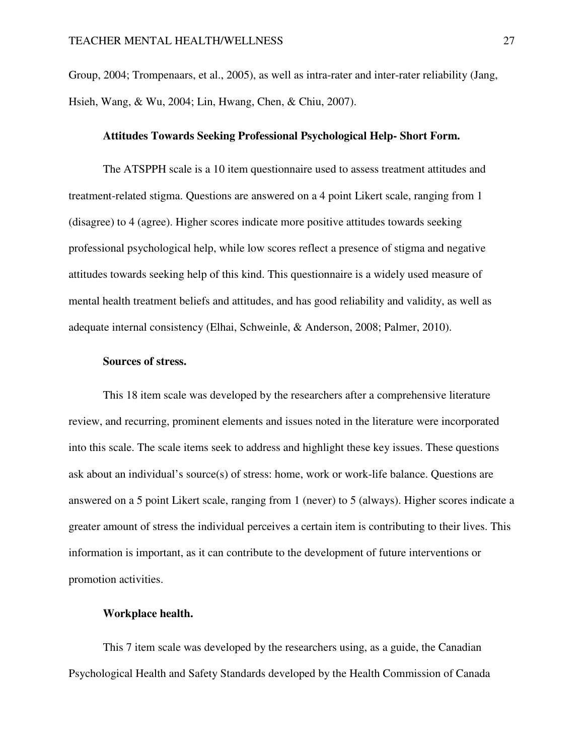Group, 2004; Trompenaars, et al., 2005), as well as intra-rater and inter-rater reliability (Jang, Hsieh, Wang, & Wu, 2004; Lin, Hwang, Chen, & Chiu, 2007).

### **Attitudes Towards Seeking Professional Psychological Help- Short Form.**

The ATSPPH scale is a 10 item questionnaire used to assess treatment attitudes and treatment-related stigma. Questions are answered on a 4 point Likert scale, ranging from 1 (disagree) to 4 (agree). Higher scores indicate more positive attitudes towards seeking professional psychological help, while low scores reflect a presence of stigma and negative attitudes towards seeking help of this kind. This questionnaire is a widely used measure of mental health treatment beliefs and attitudes, and has good reliability and validity, as well as adequate internal consistency (Elhai, Schweinle, & Anderson, 2008; Palmer, 2010).

### **Sources of stress.**

This 18 item scale was developed by the researchers after a comprehensive literature review, and recurring, prominent elements and issues noted in the literature were incorporated into this scale. The scale items seek to address and highlight these key issues. These questions ask about an individual's source(s) of stress: home, work or work-life balance. Questions are answered on a 5 point Likert scale, ranging from 1 (never) to 5 (always). Higher scores indicate a greater amount of stress the individual perceives a certain item is contributing to their lives. This information is important, as it can contribute to the development of future interventions or promotion activities.

### **Workplace health.**

This 7 item scale was developed by the researchers using, as a guide, the Canadian Psychological Health and Safety Standards developed by the Health Commission of Canada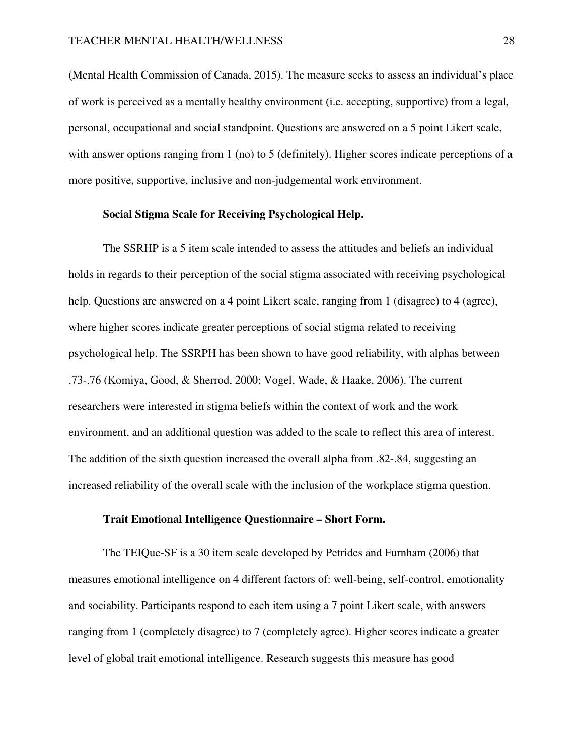(Mental Health Commission of Canada, 2015). The measure seeks to assess an individual's place of work is perceived as a mentally healthy environment (i.e. accepting, supportive) from a legal, personal, occupational and social standpoint. Questions are answered on a 5 point Likert scale, with answer options ranging from 1 (no) to 5 (definitely). Higher scores indicate perceptions of a more positive, supportive, inclusive and non-judgemental work environment.

### **Social Stigma Scale for Receiving Psychological Help.**

The SSRHP is a 5 item scale intended to assess the attitudes and beliefs an individual holds in regards to their perception of the social stigma associated with receiving psychological help. Questions are answered on a 4 point Likert scale, ranging from 1 (disagree) to 4 (agree), where higher scores indicate greater perceptions of social stigma related to receiving psychological help. The SSRPH has been shown to have good reliability, with alphas between .73-.76 (Komiya, Good, & Sherrod, 2000; Vogel, Wade, & Haake, 2006). The current researchers were interested in stigma beliefs within the context of work and the work environment, and an additional question was added to the scale to reflect this area of interest. The addition of the sixth question increased the overall alpha from .82-.84, suggesting an increased reliability of the overall scale with the inclusion of the workplace stigma question.

## **Trait Emotional Intelligence Questionnaire – Short Form.**

The TEIQue-SF is a 30 item scale developed by Petrides and Furnham (2006) that measures emotional intelligence on 4 different factors of: well-being, self-control, emotionality and sociability. Participants respond to each item using a 7 point Likert scale, with answers ranging from 1 (completely disagree) to 7 (completely agree). Higher scores indicate a greater level of global trait emotional intelligence. Research suggests this measure has good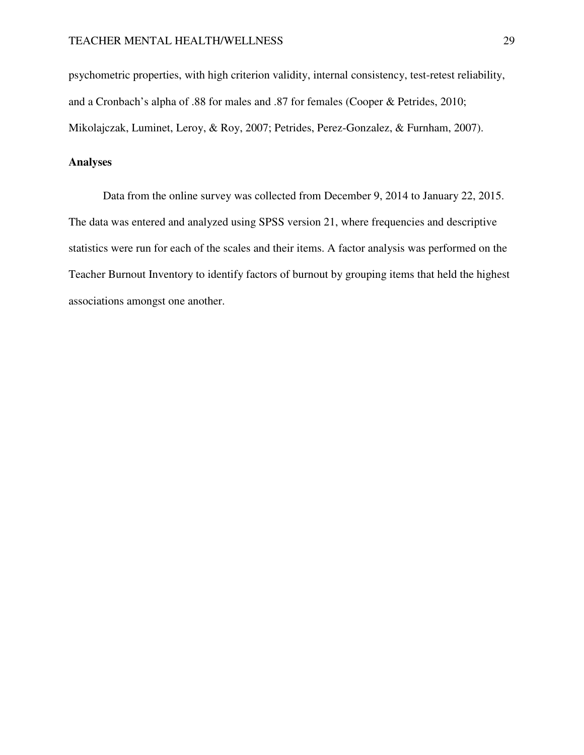psychometric properties, with high criterion validity, internal consistency, test-retest reliability, and a Cronbach's alpha of .88 for males and .87 for females (Cooper & Petrides, 2010; Mikolajczak, Luminet, Leroy, & Roy, 2007; Petrides, Perez-Gonzalez, & Furnham, 2007).

### **Analyses**

 Data from the online survey was collected from December 9, 2014 to January 22, 2015. The data was entered and analyzed using SPSS version 21, where frequencies and descriptive statistics were run for each of the scales and their items. A factor analysis was performed on the Teacher Burnout Inventory to identify factors of burnout by grouping items that held the highest associations amongst one another.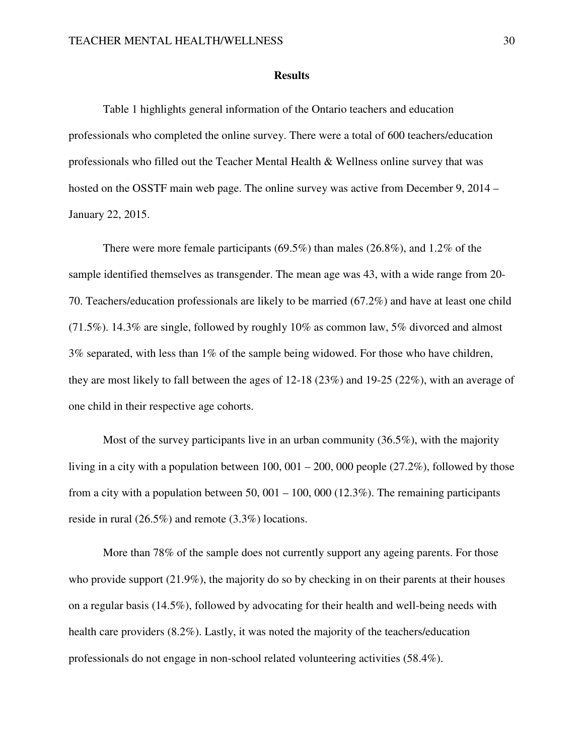#### **Results**

 Table 1 highlights general information of the Ontario teachers and education professionals who completed the online survey. There were a total of 600 teachers/education professionals who filled out the Teacher Mental Health & Wellness online survey that was hosted on the OSSTF main web page. The online survey was active from December 9, 2014 – January 22, 2015.

 There were more female participants (69.5%) than males (26.8%), and 1.2% of the sample identified themselves as transgender. The mean age was 43, with a wide range from 20- 70. Teachers/education professionals are likely to be married (67.2%) and have at least one child (71.5%). 14.3% are single, followed by roughly 10% as common law, 5% divorced and almost 3% separated, with less than 1% of the sample being widowed. For those who have children, they are most likely to fall between the ages of 12-18 (23%) and 19-25 (22%), with an average of one child in their respective age cohorts.

 Most of the survey participants live in an urban community (36.5%), with the majority living in a city with a population between 100, 001 – 200, 000 people (27.2%), followed by those from a city with a population between 50, 001 – 100, 000 (12.3%). The remaining participants reside in rural (26.5%) and remote (3.3%) locations.

 More than 78% of the sample does not currently support any ageing parents. For those who provide support (21.9%), the majority do so by checking in on their parents at their houses on a regular basis (14.5%), followed by advocating for their health and well-being needs with health care providers (8.2%). Lastly, it was noted the majority of the teachers/education professionals do not engage in non-school related volunteering activities (58.4%).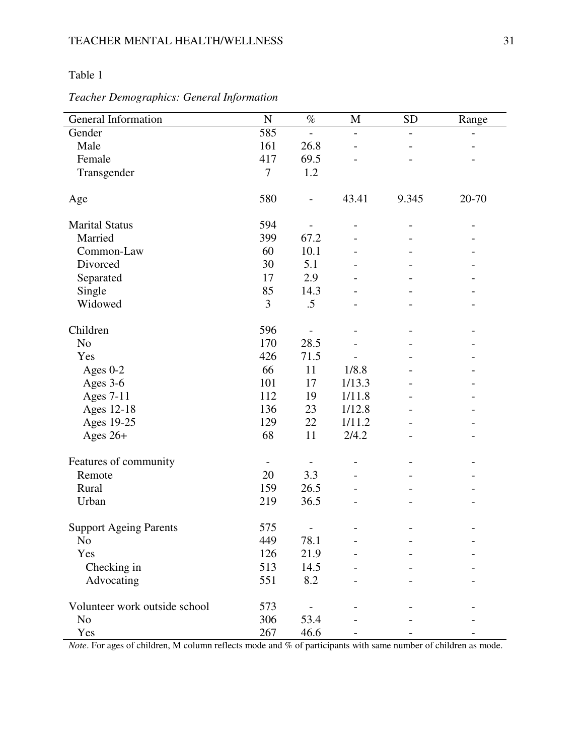# Table 1

| General Information           | $\overline{N}$ | $\%$                     | M                            | <b>SD</b>                | Range |
|-------------------------------|----------------|--------------------------|------------------------------|--------------------------|-------|
| Gender                        | 585            | $\overline{\phantom{a}}$ | $\overline{\phantom{a}}$     | $\overline{\phantom{0}}$ | -     |
| Male                          | 161            | 26.8                     |                              |                          |       |
| Female                        | 417            | 69.5                     |                              |                          |       |
| Transgender                   | $\tau$         | 1.2                      |                              |                          |       |
|                               |                |                          |                              |                          |       |
| Age                           | 580            | $\qquad \qquad -$        | 43.41                        | 9.345                    | 20-70 |
| <b>Marital Status</b>         | 594            | $\overline{\phantom{a}}$ | $\qquad \qquad \blacksquare$ | $\overline{\phantom{0}}$ | -     |
| Married                       | 399            | 67.2                     |                              |                          |       |
| Common-Law                    | 60             | 10.1                     |                              |                          |       |
| Divorced                      | 30             | 5.1                      |                              |                          |       |
| Separated                     | 17             | 2.9                      |                              |                          |       |
| Single                        | 85             | 14.3                     |                              |                          |       |
| Widowed                       | 3              | .5                       |                              |                          |       |
| Children                      | 596            |                          |                              |                          |       |
| N <sub>o</sub>                | 170            | 28.5                     |                              |                          |       |
| Yes                           | 426            | 71.5                     |                              |                          |       |
| Ages 0-2                      | 66             | 11                       | 1/8.8                        |                          |       |
| Ages 3-6                      | 101            | 17                       | 1/13.3                       |                          |       |
| <b>Ages 7-11</b>              | 112            | 19                       | 1/11.8                       |                          |       |
| Ages 12-18                    | 136            | 23                       | 1/12.8                       |                          |       |
| Ages 19-25                    | 129            | 22                       | 1/11.2                       |                          |       |
| Ages $26+$                    | 68             | 11                       | 2/4.2                        |                          |       |
| Features of community         |                |                          |                              |                          |       |
| Remote                        | 20             | 3.3                      |                              |                          |       |
| Rural                         | 159            | 26.5                     |                              |                          |       |
| Urban                         | 219            | 36.5                     |                              |                          |       |
|                               |                |                          |                              |                          |       |
| <b>Support Ageing Parents</b> | 575            | $\overline{\phantom{a}}$ |                              |                          |       |
| No                            | 449            | 78.1                     |                              |                          |       |
| Yes                           | 126            | 21.9                     |                              |                          |       |
| Checking in                   | 513            | 14.5                     |                              |                          |       |
| Advocating                    | 551            | 8.2                      |                              |                          |       |
| Volunteer work outside school | 573            |                          |                              |                          |       |
| N <sub>o</sub>                | 306            | 53.4                     |                              |                          |       |
| Yes                           | 267            | 46.6                     |                              |                          |       |

# *Teacher Demographics: General Information*

*Note*. For ages of children, M column reflects mode and % of participants with same number of children as mode.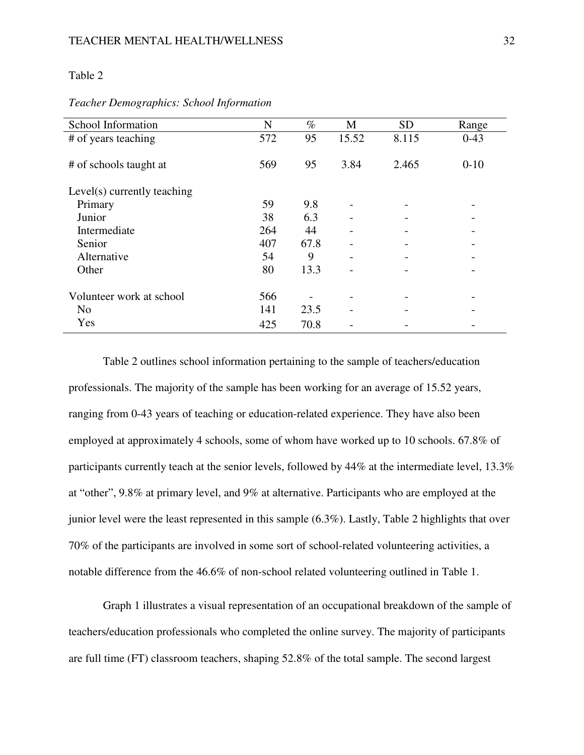#### Table 2

| School Information          | N   | $\%$ | М     | <b>SD</b> | Range    |
|-----------------------------|-----|------|-------|-----------|----------|
| # of years teaching         | 572 | 95   | 15.52 | 8.115     | $0-43$   |
| # of schools taught at      | 569 | 95   | 3.84  | 2.465     | $0 - 10$ |
| Level(s) currently teaching |     |      |       |           |          |
| Primary                     | 59  | 9.8  |       |           |          |
| Junior                      | 38  | 6.3  |       |           |          |
| Intermediate                | 264 | 44   |       |           |          |
| Senior                      | 407 | 67.8 |       |           |          |
| Alternative                 | 54  | 9    |       |           |          |
| Other                       | 80  | 13.3 |       |           |          |
| Volunteer work at school    | 566 |      |       |           |          |
| N <sub>o</sub>              | 141 | 23.5 |       |           |          |
| Yes                         | 425 | 70.8 |       |           |          |

### *Teacher Demographics: School Information*

 Table 2 outlines school information pertaining to the sample of teachers/education professionals. The majority of the sample has been working for an average of 15.52 years, ranging from 0-43 years of teaching or education-related experience. They have also been employed at approximately 4 schools, some of whom have worked up to 10 schools. 67.8% of participants currently teach at the senior levels, followed by 44% at the intermediate level, 13.3% at "other", 9.8% at primary level, and 9% at alternative. Participants who are employed at the junior level were the least represented in this sample (6.3%). Lastly, Table 2 highlights that over 70% of the participants are involved in some sort of school-related volunteering activities, a notable difference from the 46.6% of non-school related volunteering outlined in Table 1.

 Graph 1 illustrates a visual representation of an occupational breakdown of the sample of teachers/education professionals who completed the online survey. The majority of participants are full time (FT) classroom teachers, shaping 52.8% of the total sample. The second largest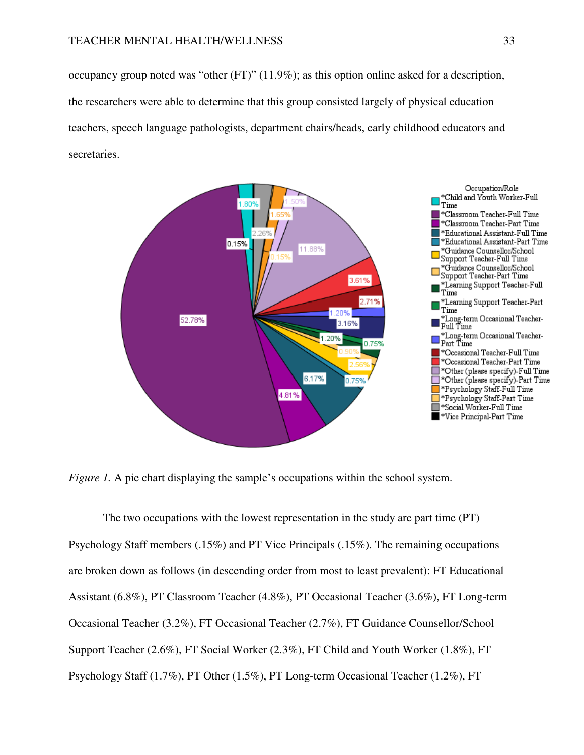occupancy group noted was "other (FT)" (11.9%); as this option online asked for a description, the researchers were able to determine that this group consisted largely of physical education teachers, speech language pathologists, department chairs/heads, early childhood educators and secretaries.



*Figure 1.* A pie chart displaying the sample's occupations within the school system.

 The two occupations with the lowest representation in the study are part time (PT) Psychology Staff members (.15%) and PT Vice Principals (.15%). The remaining occupations are broken down as follows (in descending order from most to least prevalent): FT Educational Assistant (6.8%), PT Classroom Teacher (4.8%), PT Occasional Teacher (3.6%), FT Long-term Occasional Teacher (3.2%), FT Occasional Teacher (2.7%), FT Guidance Counsellor/School Support Teacher (2.6%), FT Social Worker (2.3%), FT Child and Youth Worker (1.8%), FT Psychology Staff (1.7%), PT Other (1.5%), PT Long-term Occasional Teacher (1.2%), FT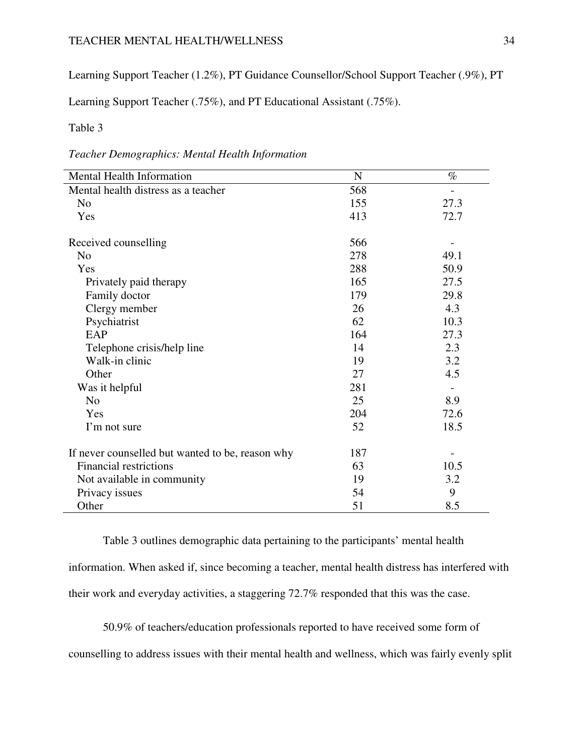# TEACHER MENTAL HEALTH/WELLNESS 34

Learning Support Teacher (1.2%), PT Guidance Counsellor/School Support Teacher (.9%), PT

Learning Support Teacher (.75%), and PT Educational Assistant (.75%).

### Table 3

*Teacher Demographics: Mental Health Information* 

| Mental Health Information                        | ${\bf N}$ | $\%$                     |
|--------------------------------------------------|-----------|--------------------------|
| Mental health distress as a teacher              | 568       |                          |
| N <sub>o</sub>                                   | 155       | 27.3                     |
| Yes                                              | 413       | 72.7                     |
| Received counselling                             | 566       |                          |
| N <sub>o</sub>                                   | 278       | 49.1                     |
| Yes                                              | 288       | 50.9                     |
| Privately paid therapy                           | 165       | 27.5                     |
| Family doctor                                    | 179       | 29.8                     |
| Clergy member                                    | 26        | 4.3                      |
| Psychiatrist                                     | 62        | 10.3                     |
| EAP                                              | 164       | 27.3                     |
| Telephone crisis/help line                       | 14        | 2.3                      |
| Walk-in clinic                                   | 19        | 3.2                      |
| Other                                            | 27        | 4.5                      |
| Was it helpful                                   | 281       | $\overline{\phantom{a}}$ |
| N <sub>o</sub>                                   | 25        | 8.9                      |
| Yes                                              | 204       | 72.6                     |
| I'm not sure                                     | 52        | 18.5                     |
| If never counselled but wanted to be, reason why | 187       |                          |
| <b>Financial restrictions</b>                    | 63        | 10.5                     |
| Not available in community                       | 19        | 3.2                      |
| Privacy issues                                   | 54        | 9                        |
| Other                                            | 51        | 8.5                      |

 Table 3 outlines demographic data pertaining to the participants' mental health information. When asked if, since becoming a teacher, mental health distress has interfered with their work and everyday activities, a staggering 72.7% responded that this was the case.

 50.9% of teachers/education professionals reported to have received some form of counselling to address issues with their mental health and wellness, which was fairly evenly split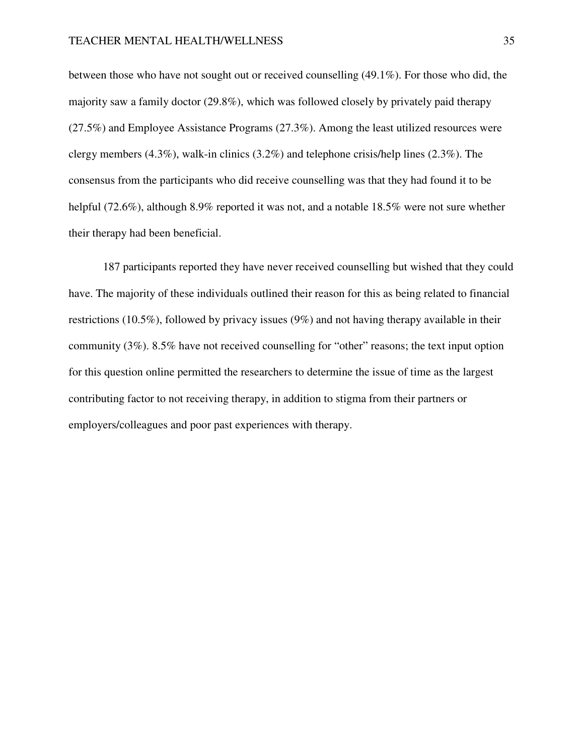between those who have not sought out or received counselling (49.1%). For those who did, the majority saw a family doctor (29.8%), which was followed closely by privately paid therapy (27.5%) and Employee Assistance Programs (27.3%). Among the least utilized resources were clergy members (4.3%), walk-in clinics (3.2%) and telephone crisis/help lines (2.3%). The consensus from the participants who did receive counselling was that they had found it to be helpful (72.6%), although 8.9% reported it was not, and a notable 18.5% were not sure whether their therapy had been beneficial.

 187 participants reported they have never received counselling but wished that they could have. The majority of these individuals outlined their reason for this as being related to financial restrictions (10.5%), followed by privacy issues (9%) and not having therapy available in their community (3%). 8.5% have not received counselling for "other" reasons; the text input option for this question online permitted the researchers to determine the issue of time as the largest contributing factor to not receiving therapy, in addition to stigma from their partners or employers/colleagues and poor past experiences with therapy.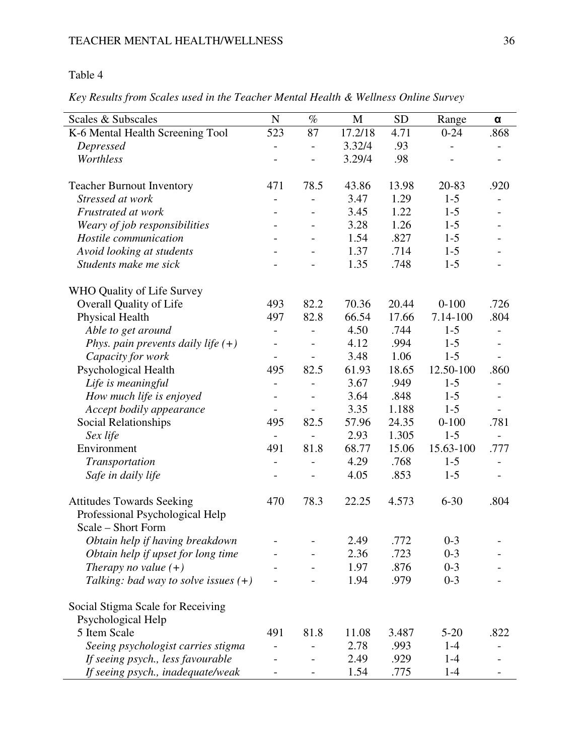# Table 4

*Key Results from Scales used in the Teacher Mental Health & Wellness Online Survey* 

| Scales & Subscales                     | ${\bf N}$                | $\%$                     | M       | <b>SD</b> | Range     | $\pmb{\alpha}$           |
|----------------------------------------|--------------------------|--------------------------|---------|-----------|-----------|--------------------------|
| K-6 Mental Health Screening Tool       | 523                      | 87                       | 17.2/18 | 4.71      | $0 - 24$  | .868                     |
| Depressed                              | $\overline{a}$           | $\overline{a}$           | 3.32/4  | .93       |           |                          |
| Worthless                              |                          |                          | 3.29/4  | .98       |           |                          |
| <b>Teacher Burnout Inventory</b>       | 471                      | 78.5                     | 43.86   | 13.98     | 20-83     | .920                     |
| Stressed at work                       | $\overline{a}$           |                          | 3.47    | 1.29      | $1-5$     |                          |
| Frustrated at work                     | $\overline{\phantom{0}}$ | $\overline{\phantom{a}}$ | 3.45    | 1.22      | $1 - 5$   |                          |
| Weary of job responsibilities          |                          | $\overline{\phantom{a}}$ | 3.28    | 1.26      | $1 - 5$   |                          |
| Hostile communication                  |                          |                          | 1.54    | .827      | $1 - 5$   |                          |
| Avoid looking at students              |                          |                          | 1.37    | .714      | $1 - 5$   |                          |
| Students make me sick                  |                          |                          | 1.35    | .748      | $1 - 5$   |                          |
| WHO Quality of Life Survey             |                          |                          |         |           |           |                          |
| Overall Quality of Life                | 493                      | 82.2                     | 70.36   | 20.44     | $0 - 100$ | .726                     |
| <b>Physical Health</b>                 | 497                      | 82.8                     | 66.54   | 17.66     | 7.14-100  | .804                     |
| Able to get around                     | $\overline{\phantom{0}}$ |                          | 4.50    | .744      | $1 - 5$   |                          |
| Phys. pain prevents daily life $(+)$   | $\overline{\phantom{0}}$ |                          | 4.12    | .994      | $1 - 5$   |                          |
| Capacity for work                      | $\overline{\phantom{a}}$ |                          | 3.48    | 1.06      | $1 - 5$   | $\overline{\phantom{a}}$ |
| Psychological Health                   | 495                      | 82.5                     | 61.93   | 18.65     | 12.50-100 | .860                     |
| Life is meaningful                     | $\overline{\phantom{0}}$ |                          | 3.67    | .949      | $1 - 5$   |                          |
| How much life is enjoyed               |                          |                          | 3.64    | .848      | $1 - 5$   |                          |
| Accept bodily appearance               |                          |                          | 3.35    | 1.188     | $1-5$     |                          |
| Social Relationships                   | 495                      | 82.5                     | 57.96   | 24.35     | $0 - 100$ | .781                     |
| Sex life                               |                          |                          | 2.93    | 1.305     | $1-5$     |                          |
| Environment                            | 491                      | 81.8                     | 68.77   | 15.06     | 15.63-100 | .777                     |
| Transportation                         | $\overline{a}$           | $\overline{a}$           | 4.29    | .768      | $1 - 5$   | $\overline{\phantom{0}}$ |
| Safe in daily life                     |                          |                          | 4.05    | .853      | $1 - 5$   |                          |
| <b>Attitudes Towards Seeking</b>       | 470                      | 78.3                     | 22.25   | 4.573     | $6 - 30$  | .804                     |
| Professional Psychological Help        |                          |                          |         |           |           |                          |
| Scale – Short Form                     |                          |                          |         |           |           |                          |
| Obtain help if having breakdown        |                          |                          | 2.49    | .772      | $0 - 3$   |                          |
| Obtain help if upset for long time     |                          |                          | 2.36    | .723      | $0 - 3$   |                          |
| Therapy no value $(+)$                 |                          |                          | 1.97    | .876      | $0 - 3$   |                          |
| Talking: bad way to solve issues $(+)$ |                          |                          | 1.94    | .979      | $0 - 3$   |                          |
| Social Stigma Scale for Receiving      |                          |                          |         |           |           |                          |
| Psychological Help                     |                          |                          |         |           |           |                          |
| 5 Item Scale                           | 491                      | 81.8                     | 11.08   | 3.487     | $5 - 20$  | .822                     |
| Seeing psychologist carries stigma     |                          |                          | 2.78    | .993      | $1-4$     |                          |
| If seeing psych., less favourable      |                          |                          | 2.49    | .929      | $1 - 4$   |                          |
| If seeing psych., inadequate/weak      |                          |                          | 1.54    | .775      | $1-4$     |                          |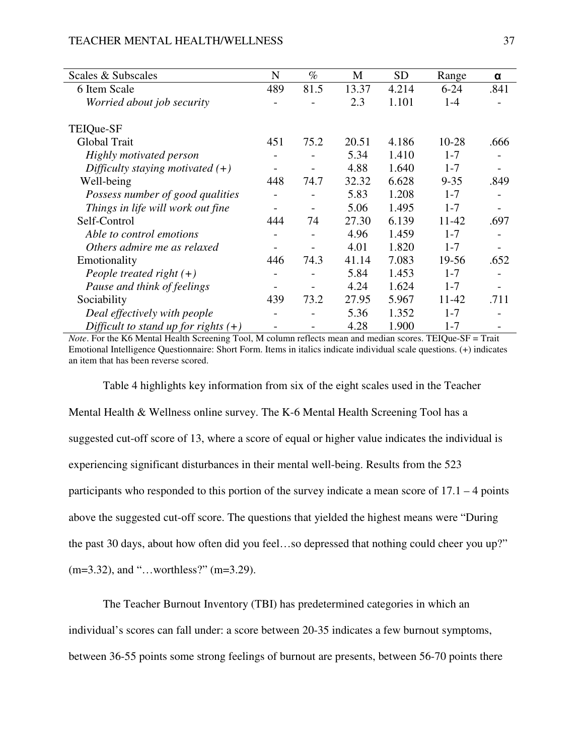| Scales & Subscales                     | N               | $\%$                     | M     | <b>SD</b> | Range     | α    |
|----------------------------------------|-----------------|--------------------------|-------|-----------|-----------|------|
| 6 Item Scale                           | 489             | 81.5                     | 13.37 | 4.214     | $6 - 24$  | .841 |
| Worried about job security             |                 |                          | 2.3   | 1.101     | $1 - 4$   |      |
| TEIQue-SF                              |                 |                          |       |           |           |      |
| Global Trait                           | 451             | 75.2                     | 20.51 | 4.186     | $10 - 28$ | .666 |
| Highly motivated person                |                 |                          | 5.34  | 1.410     | $1 - 7$   |      |
| Difficulty staying motivated $(+)$     |                 |                          | 4.88  | 1.640     | $1 - 7$   |      |
| Well-being                             | 448             | 74.7                     | 32.32 | 6.628     | $9 - 35$  | .849 |
| Possess number of good qualities       | $\qquad \qquad$ | $\overline{\phantom{a}}$ | 5.83  | 1.208     | $1 - 7$   |      |
| Things in life will work out fine      |                 |                          | 5.06  | 1.495     | $1 - 7$   |      |
| Self-Control                           | 444             | 74                       | 27.30 | 6.139     | 11-42     | .697 |
| Able to control emotions               |                 | $\overline{\phantom{0}}$ | 4.96  | 1.459     | $1 - 7$   |      |
| Others admire me as relaxed            |                 |                          | 4.01  | 1.820     | $1 - 7$   |      |
| Emotionality                           | 446             | 74.3                     | 41.14 | 7.083     | 19-56     | .652 |
| People treated right $(+)$             |                 | $\overline{\phantom{0}}$ | 5.84  | 1.453     | $1 - 7$   |      |
| Pause and think of feelings            |                 |                          | 4.24  | 1.624     | $1 - 7$   |      |
| Sociability                            | 439             | 73.2                     | 27.95 | 5.967     | 11-42     | .711 |
| Deal effectively with people           |                 |                          | 5.36  | 1.352     | $1 - 7$   |      |
| Difficult to stand up for rights $(+)$ |                 |                          | 4.28  | 1.900     | $1 - 7$   |      |

*Note*. For the K6 Mental Health Screening Tool, M column reflects mean and median scores. TEIQue-SF = Trait Emotional Intelligence Questionnaire: Short Form. Items in italics indicate individual scale questions. (+) indicates an item that has been reverse scored.

 Table 4 highlights key information from six of the eight scales used in the Teacher Mental Health & Wellness online survey. The K-6 Mental Health Screening Tool has a suggested cut-off score of 13, where a score of equal or higher value indicates the individual is experiencing significant disturbances in their mental well-being. Results from the 523 participants who responded to this portion of the survey indicate a mean score of 17.1 – 4 points above the suggested cut-off score. The questions that yielded the highest means were "During the past 30 days, about how often did you feel…so depressed that nothing could cheer you up?" (m=3.32), and "…worthless?" (m=3.29).

 The Teacher Burnout Inventory (TBI) has predetermined categories in which an individual's scores can fall under: a score between 20-35 indicates a few burnout symptoms, between 36-55 points some strong feelings of burnout are presents, between 56-70 points there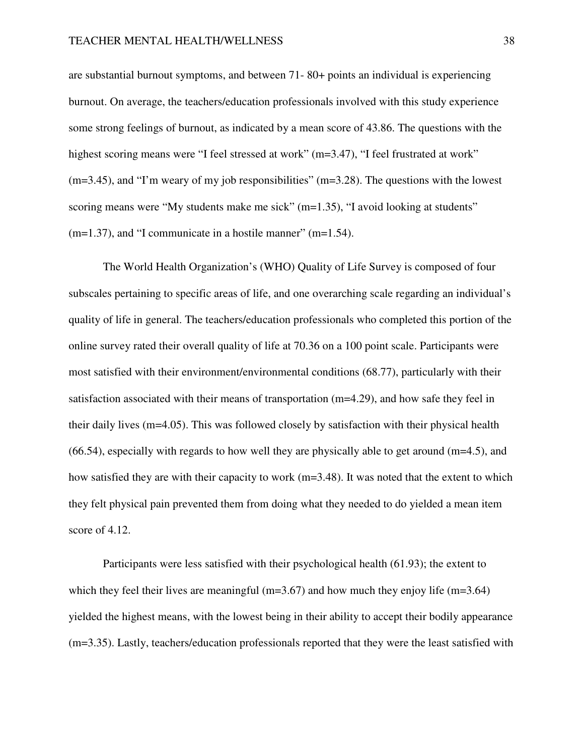are substantial burnout symptoms, and between 71- 80+ points an individual is experiencing burnout. On average, the teachers/education professionals involved with this study experience some strong feelings of burnout, as indicated by a mean score of 43.86. The questions with the highest scoring means were "I feel stressed at work" (m=3.47), "I feel frustrated at work"  $(m=3.45)$ , and "I'm weary of my job responsibilities"  $(m=3.28)$ . The questions with the lowest scoring means were "My students make me sick" (m=1.35), "I avoid looking at students"  $(m=1.37)$ , and "I communicate in a hostile manner"  $(m=1.54)$ .

 The World Health Organization's (WHO) Quality of Life Survey is composed of four subscales pertaining to specific areas of life, and one overarching scale regarding an individual's quality of life in general. The teachers/education professionals who completed this portion of the online survey rated their overall quality of life at 70.36 on a 100 point scale. Participants were most satisfied with their environment/environmental conditions (68.77), particularly with their satisfaction associated with their means of transportation (m=4.29), and how safe they feel in their daily lives (m=4.05). This was followed closely by satisfaction with their physical health  $(66.54)$ , especially with regards to how well they are physically able to get around  $(m=4.5)$ , and how satisfied they are with their capacity to work (m=3.48). It was noted that the extent to which they felt physical pain prevented them from doing what they needed to do yielded a mean item score of 4.12.

 Participants were less satisfied with their psychological health (61.93); the extent to which they feel their lives are meaningful (m=3.67) and how much they enjoy life (m=3.64) yielded the highest means, with the lowest being in their ability to accept their bodily appearance (m=3.35). Lastly, teachers/education professionals reported that they were the least satisfied with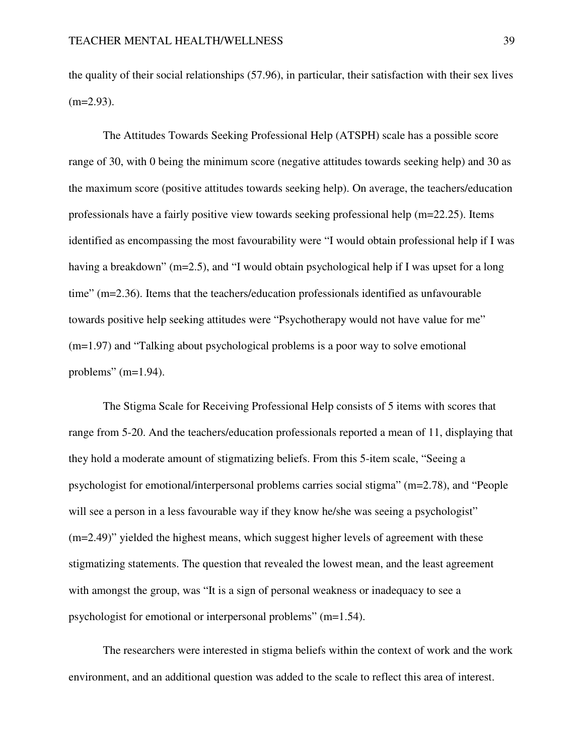the quality of their social relationships (57.96), in particular, their satisfaction with their sex lives  $(m=2.93)$ .

 The Attitudes Towards Seeking Professional Help (ATSPH) scale has a possible score range of 30, with 0 being the minimum score (negative attitudes towards seeking help) and 30 as the maximum score (positive attitudes towards seeking help). On average, the teachers/education professionals have a fairly positive view towards seeking professional help (m=22.25). Items identified as encompassing the most favourability were "I would obtain professional help if I was having a breakdown" (m=2.5), and "I would obtain psychological help if I was upset for a long time" (m=2.36). Items that the teachers/education professionals identified as unfavourable towards positive help seeking attitudes were "Psychotherapy would not have value for me" (m=1.97) and "Talking about psychological problems is a poor way to solve emotional problems" (m=1.94).

 The Stigma Scale for Receiving Professional Help consists of 5 items with scores that range from 5-20. And the teachers/education professionals reported a mean of 11, displaying that they hold a moderate amount of stigmatizing beliefs. From this 5-item scale, "Seeing a psychologist for emotional/interpersonal problems carries social stigma" (m=2.78), and "People will see a person in a less favourable way if they know he/she was seeing a psychologist" (m=2.49)" yielded the highest means, which suggest higher levels of agreement with these stigmatizing statements. The question that revealed the lowest mean, and the least agreement with amongst the group, was "It is a sign of personal weakness or inadequacy to see a psychologist for emotional or interpersonal problems" (m=1.54).

 The researchers were interested in stigma beliefs within the context of work and the work environment, and an additional question was added to the scale to reflect this area of interest.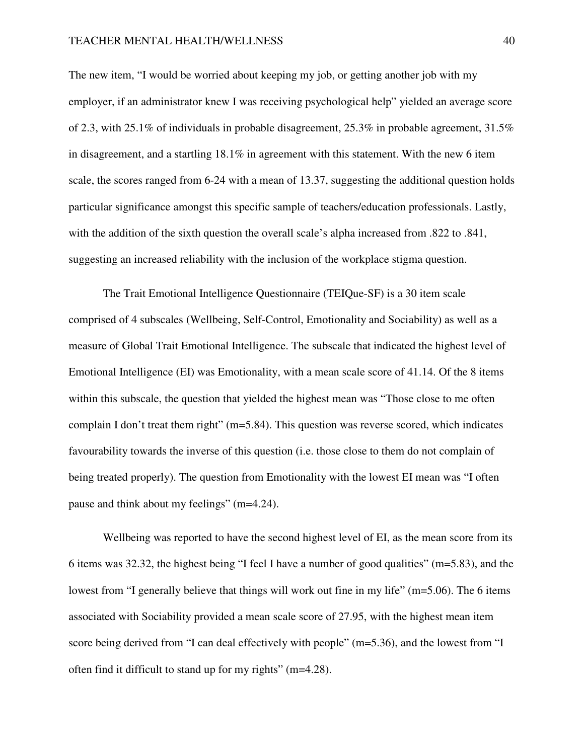#### TEACHER MENTAL HEALTH/WELLNESS 40

The new item, "I would be worried about keeping my job, or getting another job with my employer, if an administrator knew I was receiving psychological help" yielded an average score of 2.3, with 25.1% of individuals in probable disagreement,  $25.3\%$  in probable agreement,  $31.5\%$ in disagreement, and a startling 18.1% in agreement with this statement. With the new 6 item scale, the scores ranged from 6-24 with a mean of 13.37, suggesting the additional question holds particular significance amongst this specific sample of teachers/education professionals. Lastly, with the addition of the sixth question the overall scale's alpha increased from .822 to .841, suggesting an increased reliability with the inclusion of the workplace stigma question.

 The Trait Emotional Intelligence Questionnaire (TEIQue-SF) is a 30 item scale comprised of 4 subscales (Wellbeing, Self-Control, Emotionality and Sociability) as well as a measure of Global Trait Emotional Intelligence. The subscale that indicated the highest level of Emotional Intelligence (EI) was Emotionality, with a mean scale score of 41.14. Of the 8 items within this subscale, the question that yielded the highest mean was "Those close to me often complain I don't treat them right" (m=5.84). This question was reverse scored, which indicates favourability towards the inverse of this question (i.e. those close to them do not complain of being treated properly). The question from Emotionality with the lowest EI mean was "I often pause and think about my feelings" (m=4.24).

 Wellbeing was reported to have the second highest level of EI, as the mean score from its 6 items was 32.32, the highest being "I feel I have a number of good qualities" (m=5.83), and the lowest from "I generally believe that things will work out fine in my life" (m=5.06). The 6 items associated with Sociability provided a mean scale score of 27.95, with the highest mean item score being derived from "I can deal effectively with people" (m=5.36), and the lowest from "I often find it difficult to stand up for my rights" (m=4.28).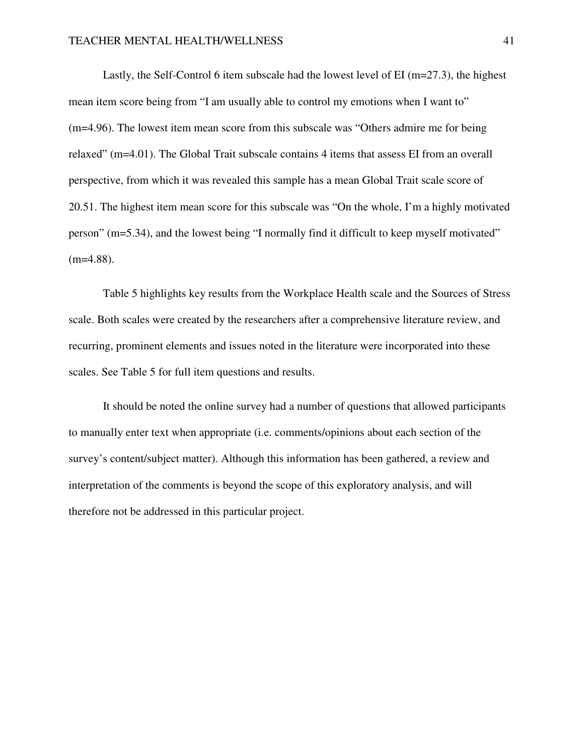Lastly, the Self-Control 6 item subscale had the lowest level of EI (m=27.3), the highest mean item score being from "I am usually able to control my emotions when I want to" (m=4.96). The lowest item mean score from this subscale was "Others admire me for being relaxed" (m=4.01). The Global Trait subscale contains 4 items that assess EI from an overall perspective, from which it was revealed this sample has a mean Global Trait scale score of 20.51. The highest item mean score for this subscale was "On the whole, I'm a highly motivated person" (m=5.34), and the lowest being "I normally find it difficult to keep myself motivated"  $(m=4.88)$ .

 Table 5 highlights key results from the Workplace Health scale and the Sources of Stress scale. Both scales were created by the researchers after a comprehensive literature review, and recurring, prominent elements and issues noted in the literature were incorporated into these scales. See Table 5 for full item questions and results.

 It should be noted the online survey had a number of questions that allowed participants to manually enter text when appropriate (i.e. comments/opinions about each section of the survey's content/subject matter). Although this information has been gathered, a review and interpretation of the comments is beyond the scope of this exploratory analysis, and will therefore not be addressed in this particular project.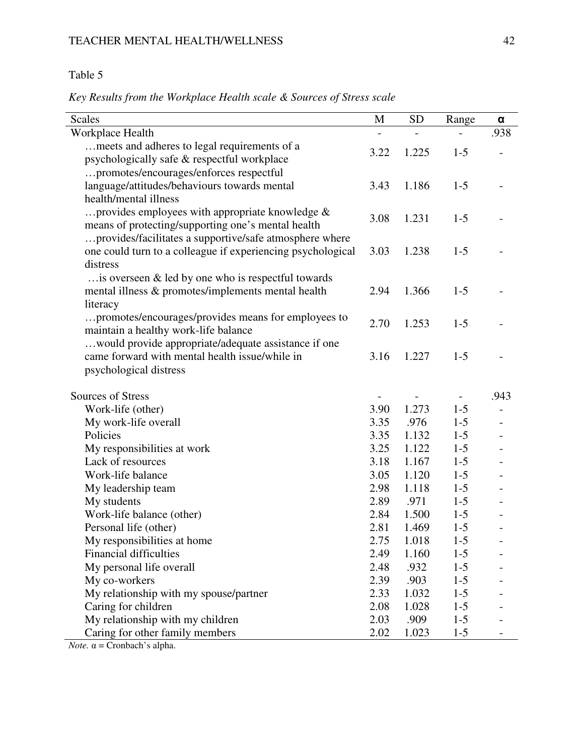# Table 5

*Key Results from the Workplace Health scale & Sources of Stress scale* 

| <b>Scales</b>                                               | M    | <b>SD</b> | Range   | α    |
|-------------------------------------------------------------|------|-----------|---------|------|
| Workplace Health                                            |      |           |         | .938 |
| meets and adheres to legal requirements of a                | 3.22 | 1.225     | $1 - 5$ |      |
| psychologically safe & respectful workplace                 |      |           |         |      |
| promotes/encourages/enforces respectful                     |      |           |         |      |
| language/attitudes/behaviours towards mental                | 3.43 | 1.186     | $1 - 5$ |      |
| health/mental illness                                       |      |           |         |      |
| provides employees with appropriate knowledge &             | 3.08 | 1.231     | $1 - 5$ |      |
| means of protecting/supporting one's mental health          |      |           |         |      |
| provides/facilitates a supportive/safe atmosphere where     |      |           |         |      |
| one could turn to a colleague if experiencing psychological | 3.03 | 1.238     | $1 - 5$ |      |
| distress                                                    |      |           |         |      |
| $\ldots$ is overseen & led by one who is respectful towards |      |           |         |      |
| mental illness & promotes/implements mental health          | 2.94 | 1.366     | $1 - 5$ |      |
| literacy                                                    |      |           |         |      |
| promotes/encourages/provides means for employees to         | 2.70 | 1.253     | $1 - 5$ |      |
| maintain a healthy work-life balance                        |      |           |         |      |
| would provide appropriate/adequate assistance if one        |      |           |         |      |
| came forward with mental health issue/while in              | 3.16 | 1.227     | $1 - 5$ |      |
| psychological distress                                      |      |           |         |      |
| Sources of Stress                                           |      |           |         | .943 |
| Work-life (other)                                           | 3.90 | 1.273     | $1 - 5$ |      |
| My work-life overall                                        | 3.35 | .976      | $1-5$   |      |
| Policies                                                    | 3.35 | 1.132     | $1 - 5$ |      |
| My responsibilities at work                                 | 3.25 | 1.122     | $1 - 5$ |      |
| Lack of resources                                           | 3.18 | 1.167     | $1 - 5$ |      |
| Work-life balance                                           | 3.05 | 1.120     | $1-5$   |      |
| My leadership team                                          | 2.98 | 1.118     | $1 - 5$ |      |
| My students                                                 | 2.89 | .971      | $1 - 5$ |      |
| Work-life balance (other)                                   | 2.84 | 1.500     | $1-5$   |      |
| Personal life (other)                                       | 2.81 | 1.469     | $1 - 5$ |      |
| My responsibilities at home                                 | 2.75 | 1.018     | $1 - 5$ |      |
| <b>Financial difficulties</b>                               | 2.49 | 1.160     | $1 - 5$ |      |
| My personal life overall                                    | 2.48 | .932      | $1 - 5$ |      |
| My co-workers                                               | 2.39 | .903      | $1-5$   |      |
| My relationship with my spouse/partner                      | 2.33 | 1.032     | $1 - 5$ |      |
| Caring for children                                         | 2.08 | 1.028     | $1 - 5$ |      |
| My relationship with my children                            | 2.03 | .909      | $1 - 5$ |      |
| Caring for other family members                             | 2.02 | 1.023     | $1 - 5$ |      |

 $\overline{Note.} \ \alpha =$  Cronbach's alpha.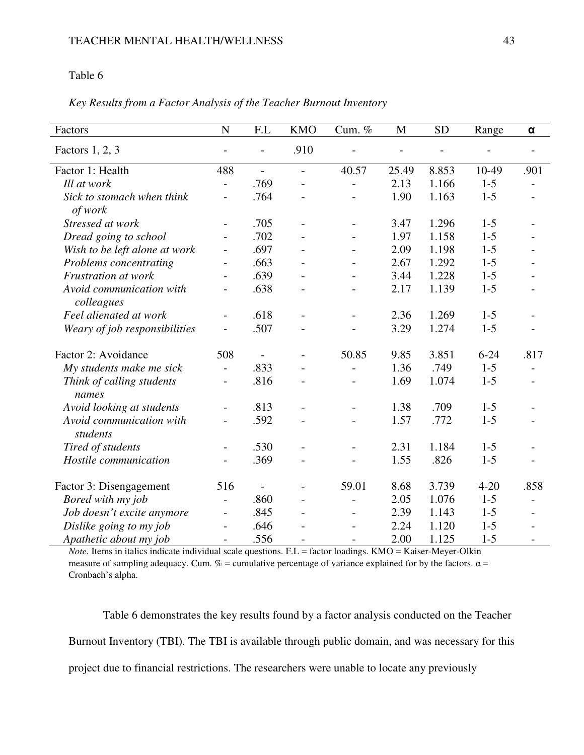# Table 6

# *Key Results from a Factor Analysis of the Teacher Burnout Inventory*

| Factors                                | N                        | F.L                      | <b>KMO</b>               | Cum. %                   | M     | <b>SD</b> | Range    | α                        |
|----------------------------------------|--------------------------|--------------------------|--------------------------|--------------------------|-------|-----------|----------|--------------------------|
|                                        |                          |                          |                          |                          |       |           |          |                          |
| Factors 1, 2, 3                        |                          | $\overline{\phantom{a}}$ | .910                     |                          |       |           |          |                          |
| Factor 1: Health                       | 488                      | $\overline{\phantom{a}}$ | $\overline{a}$           | 40.57                    | 25.49 | 8.853     | 10-49    | .901                     |
| Ill at work                            | $\overline{a}$           | .769                     |                          | $\overline{a}$           | 2.13  | 1.166     | $1 - 5$  |                          |
| Sick to stomach when think<br>of work  | $\overline{a}$           | .764                     |                          | $\overline{a}$           | 1.90  | 1.163     | $1-5$    |                          |
| Stressed at work                       | $\overline{\phantom{a}}$ | .705                     |                          | $\overline{\phantom{a}}$ | 3.47  | 1.296     | $1 - 5$  | $\overline{\phantom{a}}$ |
| Dread going to school                  | $\overline{a}$           | .702                     |                          | $\overline{a}$           | 1.97  | 1.158     | $1 - 5$  |                          |
| Wish to be left alone at work          | $\overline{\phantom{0}}$ | .697                     |                          |                          | 2.09  | 1.198     | $1 - 5$  |                          |
| Problems concentrating                 | $\overline{\phantom{a}}$ | .663                     |                          | $\overline{\phantom{a}}$ | 2.67  | 1.292     | $1 - 5$  |                          |
| Frustration at work                    | $\overline{\phantom{a}}$ | .639                     |                          |                          | 3.44  | 1.228     | $1 - 5$  |                          |
| Avoid communication with<br>colleagues | $\overline{\phantom{0}}$ | .638                     |                          | $\overline{a}$           | 2.17  | 1.139     | $1 - 5$  |                          |
| Feel alienated at work                 | $\overline{\phantom{a}}$ | .618                     | $\overline{\phantom{a}}$ | $\overline{\phantom{a}}$ | 2.36  | 1.269     | $1 - 5$  |                          |
| Weary of job responsibilities          |                          | .507                     |                          |                          | 3.29  | 1.274     | $1 - 5$  |                          |
| Factor 2: Avoidance                    | 508                      | $\overline{\phantom{a}}$ |                          | 50.85                    | 9.85  | 3.851     | $6 - 24$ | .817                     |
| My students make me sick               | $\overline{a}$           | .833                     |                          | $\overline{a}$           | 1.36  | .749      | $1 - 5$  | $\overline{\phantom{a}}$ |
| Think of calling students<br>names     | $\qquad \qquad -$        | .816                     |                          |                          | 1.69  | 1.074     | $1 - 5$  |                          |
| Avoid looking at students              | $\overline{\phantom{a}}$ | .813                     | $\overline{\phantom{a}}$ | $\overline{\phantom{a}}$ | 1.38  | .709      | $1 - 5$  |                          |
| Avoid communication with<br>students   |                          | .592                     |                          |                          | 1.57  | .772      | $1 - 5$  |                          |
| Tired of students                      | $\overline{\phantom{0}}$ | .530                     |                          | $\overline{\phantom{a}}$ | 2.31  | 1.184     | $1 - 5$  |                          |
| Hostile communication                  | $\overline{\phantom{a}}$ | .369                     |                          | $\overline{a}$           | 1.55  | .826      | $1 - 5$  | $\blacksquare$           |
| Factor 3: Disengagement                | 516                      | $\overline{\phantom{a}}$ |                          | 59.01                    | 8.68  | 3.739     | $4 - 20$ | .858                     |
| Bored with my job                      | $\overline{\phantom{0}}$ | .860                     |                          | $\overline{a}$           | 2.05  | 1.076     | $1 - 5$  | $\overline{a}$           |
| Job doesn't excite anymore             | $\overline{\phantom{0}}$ | .845                     |                          | $\overline{\phantom{a}}$ | 2.39  | 1.143     | $1-5$    |                          |
| Dislike going to my job                | $\overline{\phantom{0}}$ | .646                     |                          | $\overline{\phantom{a}}$ | 2.24  | 1.120     | $1 - 5$  |                          |
| Apathetic about my job                 | $\overline{\phantom{a}}$ | .556                     |                          | $\overline{\phantom{0}}$ | 2.00  | 1.125     | $1 - 5$  | $\overline{\phantom{a}}$ |

*Note.* Items in italics indicate individual scale questions. F.L = factor loadings. KMO = Kaiser-Meyer-Olkin measure of sampling adequacy. Cum. % = cumulative percentage of variance explained for by the factors.  $\alpha$  = Cronbach's alpha.

Table 6 demonstrates the key results found by a factor analysis conducted on the Teacher Burnout Inventory (TBI). The TBI is available through public domain, and was necessary for this project due to financial restrictions. The researchers were unable to locate any previously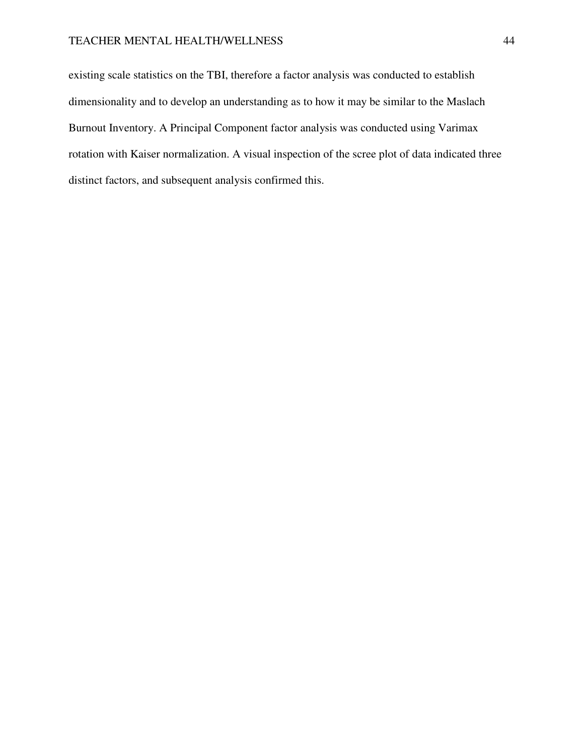existing scale statistics on the TBI, therefore a factor analysis was conducted to establish dimensionality and to develop an understanding as to how it may be similar to the Maslach Burnout Inventory. A Principal Component factor analysis was conducted using Varimax rotation with Kaiser normalization. A visual inspection of the scree plot of data indicated three distinct factors, and subsequent analysis confirmed this.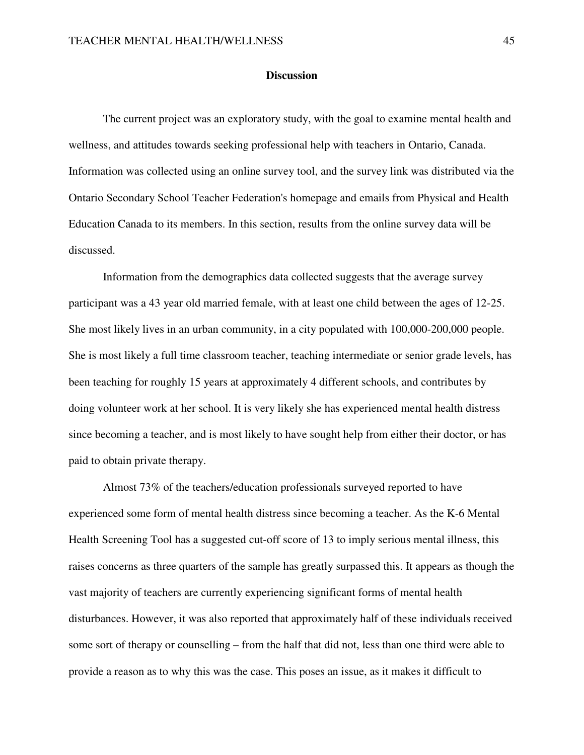#### **Discussion**

 The current project was an exploratory study, with the goal to examine mental health and wellness, and attitudes towards seeking professional help with teachers in Ontario, Canada. Information was collected using an online survey tool, and the survey link was distributed via the Ontario Secondary School Teacher Federation's homepage and emails from Physical and Health Education Canada to its members. In this section, results from the online survey data will be discussed.

 Information from the demographics data collected suggests that the average survey participant was a 43 year old married female, with at least one child between the ages of 12-25. She most likely lives in an urban community, in a city populated with 100,000-200,000 people. She is most likely a full time classroom teacher, teaching intermediate or senior grade levels, has been teaching for roughly 15 years at approximately 4 different schools, and contributes by doing volunteer work at her school. It is very likely she has experienced mental health distress since becoming a teacher, and is most likely to have sought help from either their doctor, or has paid to obtain private therapy.

 Almost 73% of the teachers/education professionals surveyed reported to have experienced some form of mental health distress since becoming a teacher. As the K-6 Mental Health Screening Tool has a suggested cut-off score of 13 to imply serious mental illness, this raises concerns as three quarters of the sample has greatly surpassed this. It appears as though the vast majority of teachers are currently experiencing significant forms of mental health disturbances. However, it was also reported that approximately half of these individuals received some sort of therapy or counselling – from the half that did not, less than one third were able to provide a reason as to why this was the case. This poses an issue, as it makes it difficult to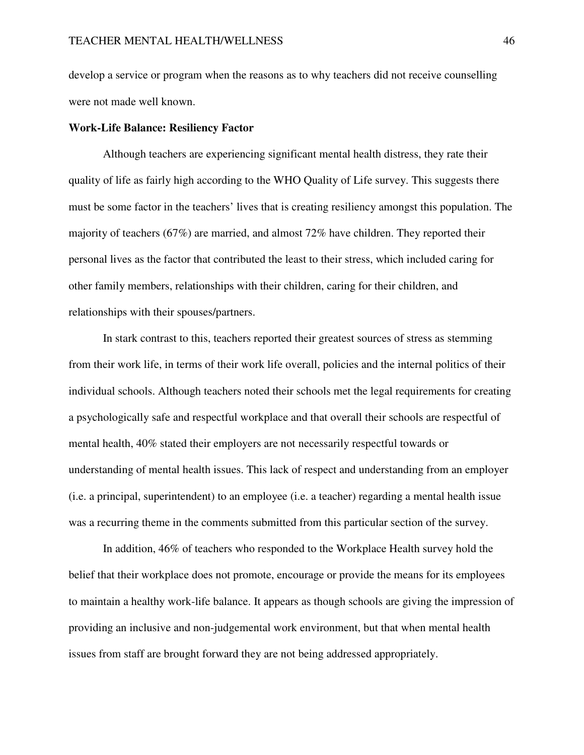develop a service or program when the reasons as to why teachers did not receive counselling were not made well known.

#### **Work-Life Balance: Resiliency Factor**

 Although teachers are experiencing significant mental health distress, they rate their quality of life as fairly high according to the WHO Quality of Life survey. This suggests there must be some factor in the teachers' lives that is creating resiliency amongst this population. The majority of teachers (67%) are married, and almost 72% have children. They reported their personal lives as the factor that contributed the least to their stress, which included caring for other family members, relationships with their children, caring for their children, and relationships with their spouses/partners.

 In stark contrast to this, teachers reported their greatest sources of stress as stemming from their work life, in terms of their work life overall, policies and the internal politics of their individual schools. Although teachers noted their schools met the legal requirements for creating a psychologically safe and respectful workplace and that overall their schools are respectful of mental health, 40% stated their employers are not necessarily respectful towards or understanding of mental health issues. This lack of respect and understanding from an employer (i.e. a principal, superintendent) to an employee (i.e. a teacher) regarding a mental health issue was a recurring theme in the comments submitted from this particular section of the survey.

 In addition, 46% of teachers who responded to the Workplace Health survey hold the belief that their workplace does not promote, encourage or provide the means for its employees to maintain a healthy work-life balance. It appears as though schools are giving the impression of providing an inclusive and non-judgemental work environment, but that when mental health issues from staff are brought forward they are not being addressed appropriately.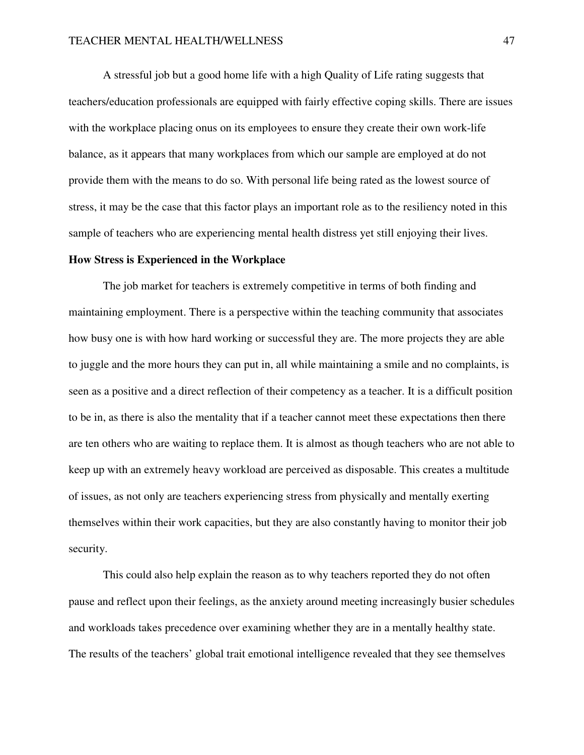A stressful job but a good home life with a high Quality of Life rating suggests that teachers/education professionals are equipped with fairly effective coping skills. There are issues with the workplace placing onus on its employees to ensure they create their own work-life balance, as it appears that many workplaces from which our sample are employed at do not provide them with the means to do so. With personal life being rated as the lowest source of stress, it may be the case that this factor plays an important role as to the resiliency noted in this sample of teachers who are experiencing mental health distress yet still enjoying their lives.

### **How Stress is Experienced in the Workplace**

 The job market for teachers is extremely competitive in terms of both finding and maintaining employment. There is a perspective within the teaching community that associates how busy one is with how hard working or successful they are. The more projects they are able to juggle and the more hours they can put in, all while maintaining a smile and no complaints, is seen as a positive and a direct reflection of their competency as a teacher. It is a difficult position to be in, as there is also the mentality that if a teacher cannot meet these expectations then there are ten others who are waiting to replace them. It is almost as though teachers who are not able to keep up with an extremely heavy workload are perceived as disposable. This creates a multitude of issues, as not only are teachers experiencing stress from physically and mentally exerting themselves within their work capacities, but they are also constantly having to monitor their job security.

 This could also help explain the reason as to why teachers reported they do not often pause and reflect upon their feelings, as the anxiety around meeting increasingly busier schedules and workloads takes precedence over examining whether they are in a mentally healthy state. The results of the teachers' global trait emotional intelligence revealed that they see themselves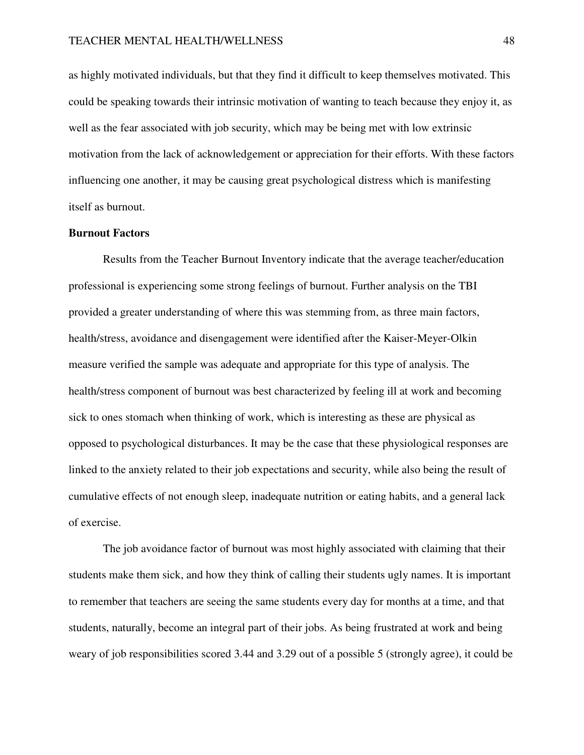as highly motivated individuals, but that they find it difficult to keep themselves motivated. This could be speaking towards their intrinsic motivation of wanting to teach because they enjoy it, as well as the fear associated with job security, which may be being met with low extrinsic motivation from the lack of acknowledgement or appreciation for their efforts. With these factors influencing one another, it may be causing great psychological distress which is manifesting itself as burnout.

### **Burnout Factors**

 Results from the Teacher Burnout Inventory indicate that the average teacher/education professional is experiencing some strong feelings of burnout. Further analysis on the TBI provided a greater understanding of where this was stemming from, as three main factors, health/stress, avoidance and disengagement were identified after the Kaiser-Meyer-Olkin measure verified the sample was adequate and appropriate for this type of analysis. The health/stress component of burnout was best characterized by feeling ill at work and becoming sick to ones stomach when thinking of work, which is interesting as these are physical as opposed to psychological disturbances. It may be the case that these physiological responses are linked to the anxiety related to their job expectations and security, while also being the result of cumulative effects of not enough sleep, inadequate nutrition or eating habits, and a general lack of exercise.

 The job avoidance factor of burnout was most highly associated with claiming that their students make them sick, and how they think of calling their students ugly names. It is important to remember that teachers are seeing the same students every day for months at a time, and that students, naturally, become an integral part of their jobs. As being frustrated at work and being weary of job responsibilities scored 3.44 and 3.29 out of a possible 5 (strongly agree), it could be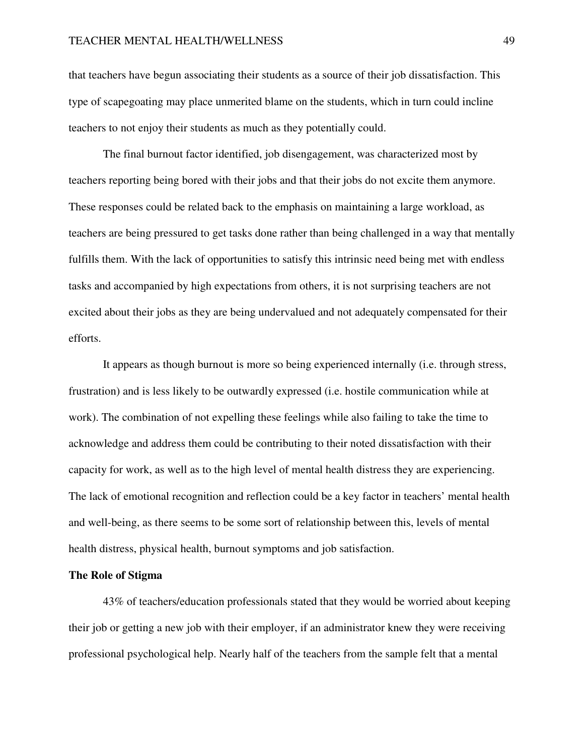that teachers have begun associating their students as a source of their job dissatisfaction. This type of scapegoating may place unmerited blame on the students, which in turn could incline teachers to not enjoy their students as much as they potentially could.

 The final burnout factor identified, job disengagement, was characterized most by teachers reporting being bored with their jobs and that their jobs do not excite them anymore. These responses could be related back to the emphasis on maintaining a large workload, as teachers are being pressured to get tasks done rather than being challenged in a way that mentally fulfills them. With the lack of opportunities to satisfy this intrinsic need being met with endless tasks and accompanied by high expectations from others, it is not surprising teachers are not excited about their jobs as they are being undervalued and not adequately compensated for their efforts.

 It appears as though burnout is more so being experienced internally (i.e. through stress, frustration) and is less likely to be outwardly expressed (i.e. hostile communication while at work). The combination of not expelling these feelings while also failing to take the time to acknowledge and address them could be contributing to their noted dissatisfaction with their capacity for work, as well as to the high level of mental health distress they are experiencing. The lack of emotional recognition and reflection could be a key factor in teachers' mental health and well-being, as there seems to be some sort of relationship between this, levels of mental health distress, physical health, burnout symptoms and job satisfaction.

### **The Role of Stigma**

 43% of teachers/education professionals stated that they would be worried about keeping their job or getting a new job with their employer, if an administrator knew they were receiving professional psychological help. Nearly half of the teachers from the sample felt that a mental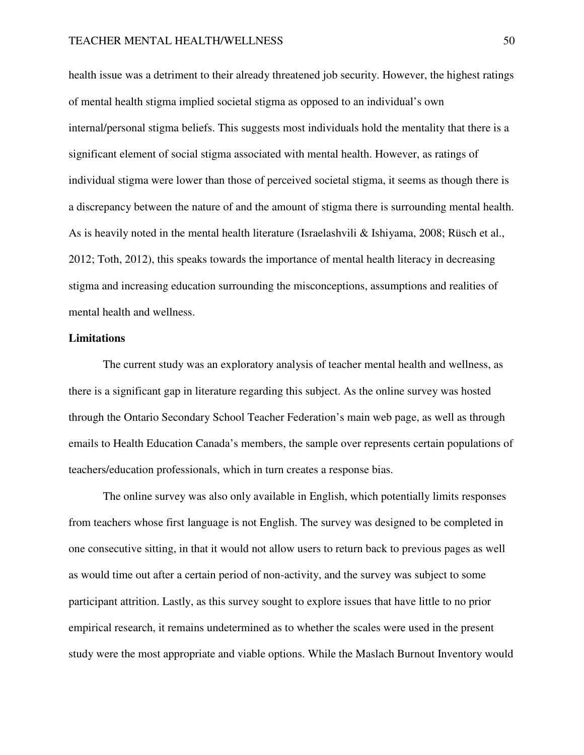health issue was a detriment to their already threatened job security. However, the highest ratings of mental health stigma implied societal stigma as opposed to an individual's own internal/personal stigma beliefs. This suggests most individuals hold the mentality that there is a significant element of social stigma associated with mental health. However, as ratings of individual stigma were lower than those of perceived societal stigma, it seems as though there is a discrepancy between the nature of and the amount of stigma there is surrounding mental health. As is heavily noted in the mental health literature (Israelashvili & Ishiyama, 2008; Rüsch et al., 2012; Toth, 2012), this speaks towards the importance of mental health literacy in decreasing stigma and increasing education surrounding the misconceptions, assumptions and realities of mental health and wellness.

### **Limitations**

 The current study was an exploratory analysis of teacher mental health and wellness, as there is a significant gap in literature regarding this subject. As the online survey was hosted through the Ontario Secondary School Teacher Federation's main web page, as well as through emails to Health Education Canada's members, the sample over represents certain populations of teachers/education professionals, which in turn creates a response bias.

 The online survey was also only available in English, which potentially limits responses from teachers whose first language is not English. The survey was designed to be completed in one consecutive sitting, in that it would not allow users to return back to previous pages as well as would time out after a certain period of non-activity, and the survey was subject to some participant attrition. Lastly, as this survey sought to explore issues that have little to no prior empirical research, it remains undetermined as to whether the scales were used in the present study were the most appropriate and viable options. While the Maslach Burnout Inventory would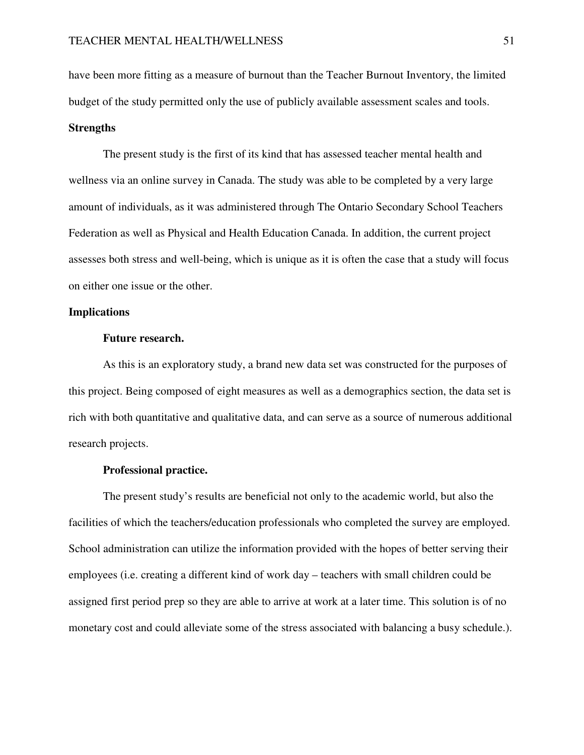have been more fitting as a measure of burnout than the Teacher Burnout Inventory, the limited budget of the study permitted only the use of publicly available assessment scales and tools.

### **Strengths**

 The present study is the first of its kind that has assessed teacher mental health and wellness via an online survey in Canada. The study was able to be completed by a very large amount of individuals, as it was administered through The Ontario Secondary School Teachers Federation as well as Physical and Health Education Canada. In addition, the current project assesses both stress and well-being, which is unique as it is often the case that a study will focus on either one issue or the other.

### **Implications**

### **Future research.**

 As this is an exploratory study, a brand new data set was constructed for the purposes of this project. Being composed of eight measures as well as a demographics section, the data set is rich with both quantitative and qualitative data, and can serve as a source of numerous additional research projects.

### **Professional practice.**

 The present study's results are beneficial not only to the academic world, but also the facilities of which the teachers/education professionals who completed the survey are employed. School administration can utilize the information provided with the hopes of better serving their employees (i.e. creating a different kind of work day – teachers with small children could be assigned first period prep so they are able to arrive at work at a later time. This solution is of no monetary cost and could alleviate some of the stress associated with balancing a busy schedule.).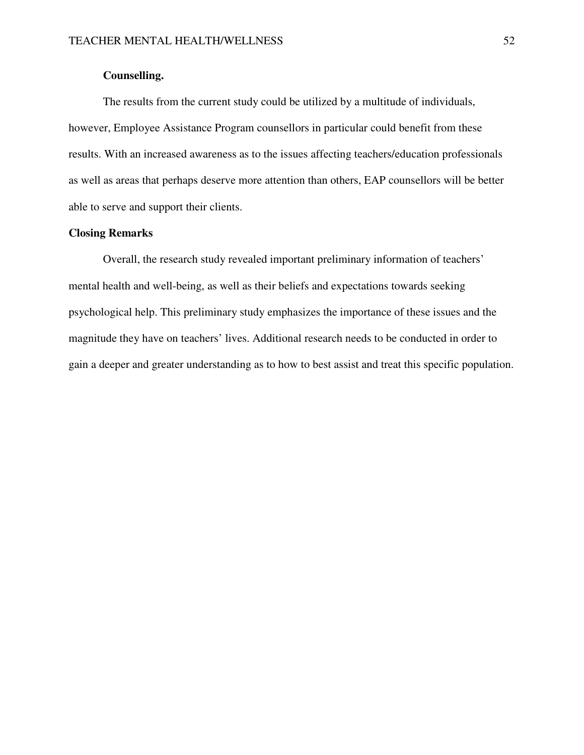# **Counselling.**

 The results from the current study could be utilized by a multitude of individuals, however, Employee Assistance Program counsellors in particular could benefit from these results. With an increased awareness as to the issues affecting teachers/education professionals as well as areas that perhaps deserve more attention than others, EAP counsellors will be better able to serve and support their clients.

# **Closing Remarks**

 Overall, the research study revealed important preliminary information of teachers' mental health and well-being, as well as their beliefs and expectations towards seeking psychological help. This preliminary study emphasizes the importance of these issues and the magnitude they have on teachers' lives. Additional research needs to be conducted in order to gain a deeper and greater understanding as to how to best assist and treat this specific population.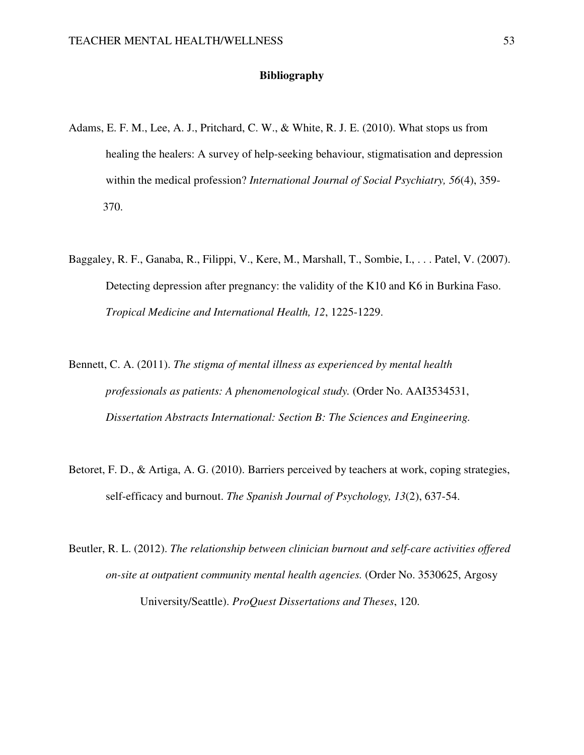### **Bibliography**

- Adams, E. F. M., Lee, A. J., Pritchard, C. W., & White, R. J. E. (2010). What stops us from healing the healers: A survey of help-seeking behaviour, stigmatisation and depression within the medical profession? *International Journal of Social Psychiatry, 56*(4), 359- 370.
- Baggaley, R. F., Ganaba, R., Filippi, V., Kere, M., Marshall, T., Sombie, I., . . . Patel, V. (2007). Detecting depression after pregnancy: the validity of the K10 and K6 in Burkina Faso. *Tropical Medicine and International Health, 12*, 1225-1229.
- Bennett, C. A. (2011). *The stigma of mental illness as experienced by mental health professionals as patients: A phenomenological study.* (Order No. AAI3534531, *Dissertation Abstracts International: Section B: The Sciences and Engineering.*
- Betoret, F. D., & Artiga, A. G. (2010). Barriers perceived by teachers at work, coping strategies, self-efficacy and burnout. *The Spanish Journal of Psychology, 13*(2), 637-54.
- Beutler, R. L. (2012). *The relationship between clinician burnout and self-care activities offered on-site at outpatient community mental health agencies.* (Order No. 3530625, Argosy University/Seattle). *ProQuest Dissertations and Theses*, 120.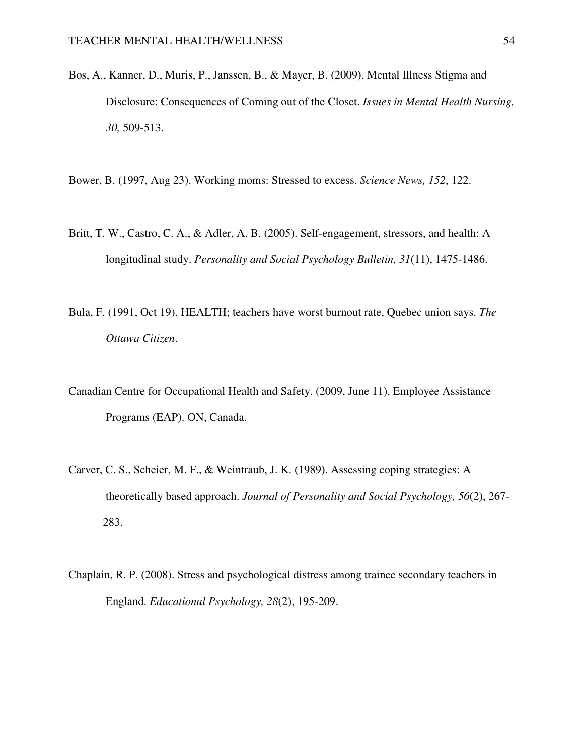Bos, A., Kanner, D., Muris, P., Janssen, B., & Mayer, B. (2009). Mental Illness Stigma and Disclosure: Consequences of Coming out of the Closet. *Issues in Mental Health Nursing, 30,* 509-513.

Bower, B. (1997, Aug 23). Working moms: Stressed to excess. *Science News, 152*, 122.

- Britt, T. W., Castro, C. A., & Adler, A. B. (2005). Self-engagement, stressors, and health: A longitudinal study. *Personality and Social Psychology Bulletin, 31*(11), 1475-1486.
- Bula, F. (1991, Oct 19). HEALTH; teachers have worst burnout rate, Quebec union says. *The Ottawa Citizen*.
- Canadian Centre for Occupational Health and Safety. (2009, June 11). Employee Assistance Programs (EAP). ON, Canada.
- Carver, C. S., Scheier, M. F., & Weintraub, J. K. (1989). Assessing coping strategies: A theoretically based approach. *Journal of Personality and Social Psychology, 56*(2), 267- 283.
- Chaplain, R. P. (2008). Stress and psychological distress among trainee secondary teachers in England. *Educational Psychology, 28*(2), 195-209.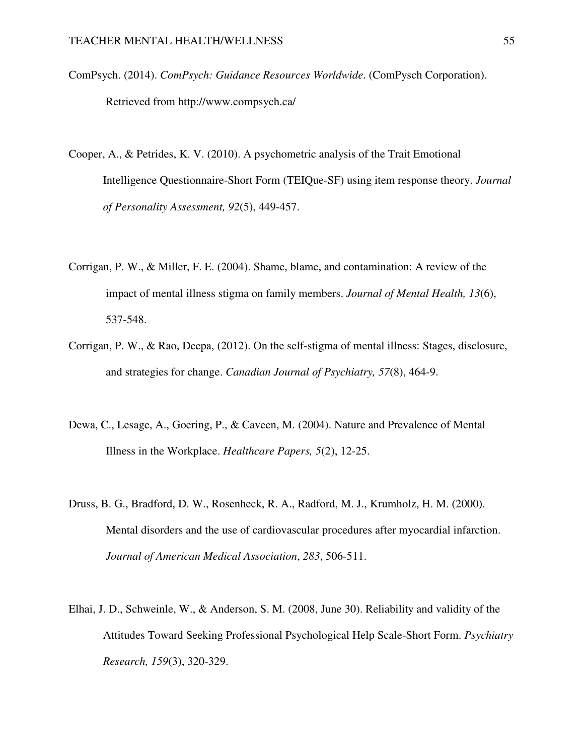- ComPsych. (2014). *ComPsych: Guidance Resources Worldwide*. (ComPysch Corporation). Retrieved from http://www.compsych.ca/
- Cooper, A., & Petrides, K. V. (2010). A psychometric analysis of the Trait Emotional Intelligence Questionnaire-Short Form (TEIQue-SF) using item response theory. *Journal of Personality Assessment, 92*(5), 449-457.
- Corrigan, P. W., & Miller, F. E. (2004). Shame, blame, and contamination: A review of the impact of mental illness stigma on family members. *Journal of Mental Health, 13*(6), 537-548.
- Corrigan, P. W., & Rao, Deepa, (2012). On the self-stigma of mental illness: Stages, disclosure, and strategies for change. *Canadian Journal of Psychiatry, 57*(8), 464-9.
- Dewa, C., Lesage, A., Goering, P., & Caveen, M. (2004). Nature and Prevalence of Mental Illness in the Workplace. *Healthcare Papers, 5*(2), 12-25.
- Druss, B. G., Bradford, D. W., Rosenheck, R. A., Radford, M. J., Krumholz, H. M. (2000). Mental disorders and the use of cardiovascular procedures after myocardial infarction. *Journal of American Medical Association*, *283*, 506-511.
- Elhai, J. D., Schweinle, W., & Anderson, S. M. (2008, June 30). Reliability and validity of the Attitudes Toward Seeking Professional Psychological Help Scale-Short Form. *Psychiatry Research, 159*(3), 320-329.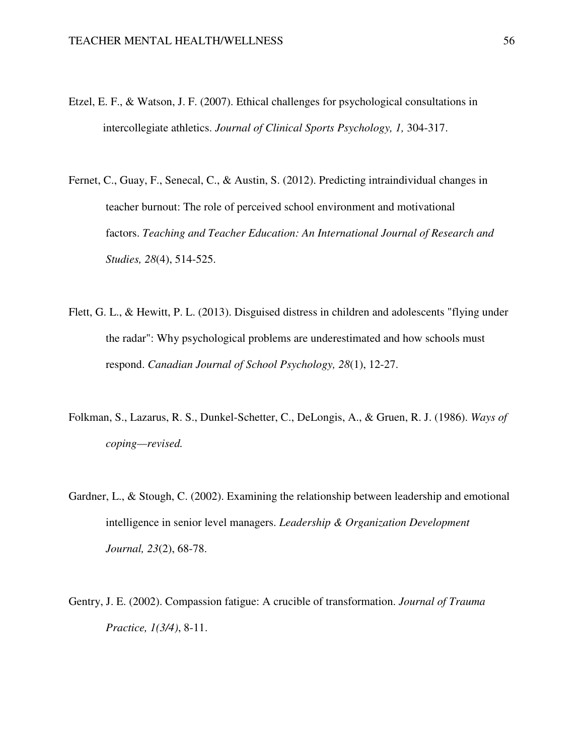- Etzel, E. F., & Watson, J. F. (2007). Ethical challenges for psychological consultations in intercollegiate athletics. *Journal of Clinical Sports Psychology, 1,* 304-317.
- Fernet, C., Guay, F., Senecal, C., & Austin, S. (2012). Predicting intraindividual changes in teacher burnout: The role of perceived school environment and motivational factors. *Teaching and Teacher Education: An International Journal of Research and Studies, 28*(4), 514-525.
- Flett, G. L., & Hewitt, P. L. (2013). Disguised distress in children and adolescents "flying under the radar": Why psychological problems are underestimated and how schools must respond. *Canadian Journal of School Psychology, 28*(1), 12-27.
- Folkman, S., Lazarus, R. S., Dunkel-Schetter, C., DeLongis, A., & Gruen, R. J. (1986). *Ways of coping—revised.*
- Gardner, L., & Stough, C. (2002). Examining the relationship between leadership and emotional intelligence in senior level managers. *Leadership & Organization Development Journal, 23*(2), 68-78.
- Gentry, J. E. (2002). Compassion fatigue: A crucible of transformation. *Journal of Trauma Practice, 1(3/4)*, 8-11.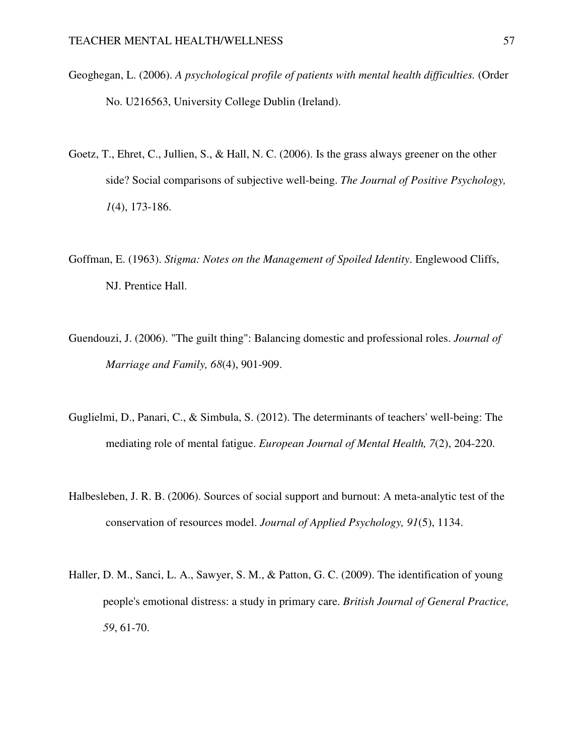- Geoghegan, L. (2006). *A psychological profile of patients with mental health difficulties.* (Order No. U216563, University College Dublin (Ireland).
- Goetz, T., Ehret, C., Jullien, S., & Hall, N. C. (2006). Is the grass always greener on the other side? Social comparisons of subjective well-being. *The Journal of Positive Psychology, 1*(4), 173-186.
- Goffman, E. (1963). *Stigma: Notes on the Management of Spoiled Identity*. Englewood Cliffs, NJ. Prentice Hall.
- Guendouzi, J. (2006). "The guilt thing": Balancing domestic and professional roles. *Journal of Marriage and Family, 68*(4), 901-909.
- Guglielmi, D., Panari, C., & Simbula, S. (2012). The determinants of teachers' well-being: The mediating role of mental fatigue. *European Journal of Mental Health, 7*(2), 204-220.
- Halbesleben, J. R. B. (2006). Sources of social support and burnout: A meta-analytic test of the conservation of resources model. *Journal of Applied Psychology, 91*(5), 1134.
- Haller, D. M., Sanci, L. A., Sawyer, S. M., & Patton, G. C. (2009). The identification of young people's emotional distress: a study in primary care. *British Journal of General Practice, 59*, 61-70.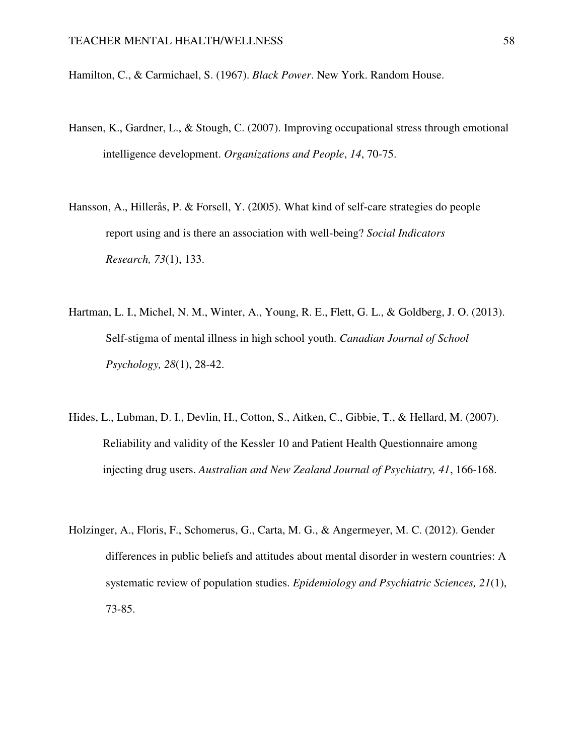Hamilton, C., & Carmichael, S. (1967). *Black Power*. New York. Random House.

- Hansen, K., Gardner, L., & Stough, C. (2007). Improving occupational stress through emotional intelligence development. *Organizations and People*, *14*, 70-75.
- Hansson, A., Hillerås, P. & Forsell, Y. (2005). What kind of self-care strategies do people report using and is there an association with well-being? *Social Indicators Research, 73*(1), 133.
- Hartman, L. I., Michel, N. M., Winter, A., Young, R. E., Flett, G. L., & Goldberg, J. O. (2013). Self-stigma of mental illness in high school youth. *Canadian Journal of School Psychology, 28*(1), 28-42.
- Hides, L., Lubman, D. I., Devlin, H., Cotton, S., Aitken, C., Gibbie, T., & Hellard, M. (2007). Reliability and validity of the Kessler 10 and Patient Health Questionnaire among injecting drug users. *Australian and New Zealand Journal of Psychiatry, 41*, 166-168.
- Holzinger, A., Floris, F., Schomerus, G., Carta, M. G., & Angermeyer, M. C. (2012). Gender differences in public beliefs and attitudes about mental disorder in western countries: A systematic review of population studies. *Epidemiology and Psychiatric Sciences, 21*(1), 73-85.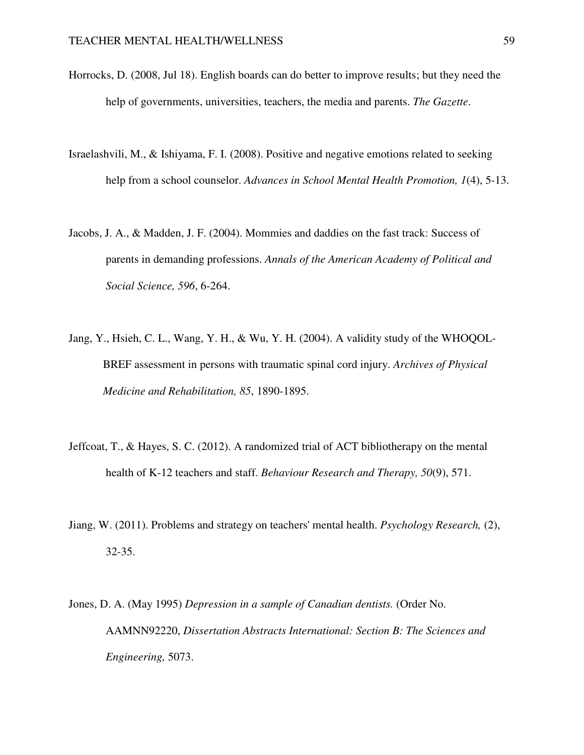- Horrocks, D. (2008, Jul 18). English boards can do better to improve results; but they need the help of governments, universities, teachers, the media and parents. *The Gazette*.
- Israelashvili, M., & Ishiyama, F. I. (2008). Positive and negative emotions related to seeking help from a school counselor. *Advances in School Mental Health Promotion, 1*(4), 5-13.
- Jacobs, J. A., & Madden, J. F. (2004). Mommies and daddies on the fast track: Success of parents in demanding professions. *Annals of the American Academy of Political and Social Science, 596*, 6-264.
- Jang, Y., Hsieh, C. L., Wang, Y. H., & Wu, Y. H. (2004). A validity study of the WHOQOL-BREF assessment in persons with traumatic spinal cord injury. *Archives of Physical Medicine and Rehabilitation, 85*, 1890-1895.
- Jeffcoat, T., & Hayes, S. C. (2012). A randomized trial of ACT bibliotherapy on the mental health of K-12 teachers and staff. *Behaviour Research and Therapy, 50*(9), 571.
- Jiang, W. (2011). Problems and strategy on teachers' mental health. *Psychology Research,* (2), 32-35.
- Jones, D. A. (May 1995) *Depression in a sample of Canadian dentists.* (Order No. AAMNN92220, *Dissertation Abstracts International: Section B: The Sciences and Engineering,* 5073.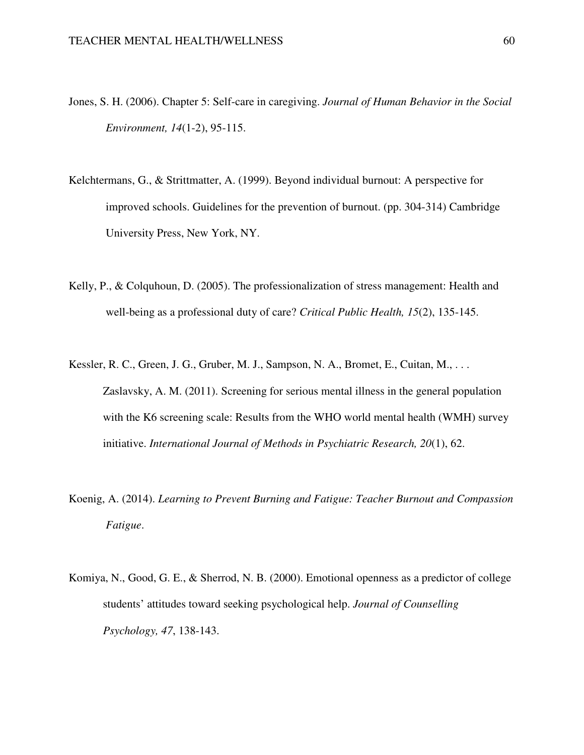- Jones, S. H. (2006). Chapter 5: Self-care in caregiving. *Journal of Human Behavior in the Social Environment, 14*(1-2), 95-115.
- Kelchtermans, G., & Strittmatter, A. (1999). Beyond individual burnout: A perspective for improved schools. Guidelines for the prevention of burnout. (pp. 304-314) Cambridge University Press, New York, NY.
- Kelly, P., & Colquhoun, D. (2005). The professionalization of stress management: Health and well-being as a professional duty of care? *Critical Public Health, 15*(2), 135-145.
- Kessler, R. C., Green, J. G., Gruber, M. J., Sampson, N. A., Bromet, E., Cuitan, M., . . . Zaslavsky, A. M. (2011). Screening for serious mental illness in the general population with the K6 screening scale: Results from the WHO world mental health (WMH) survey initiative. *International Journal of Methods in Psychiatric Research, 20*(1), 62.
- Koenig, A. (2014). *Learning to Prevent Burning and Fatigue: Teacher Burnout and Compassion Fatigue*.
- Komiya, N., Good, G. E., & Sherrod, N. B. (2000). Emotional openness as a predictor of college students' attitudes toward seeking psychological help. *Journal of Counselling Psychology, 47*, 138-143.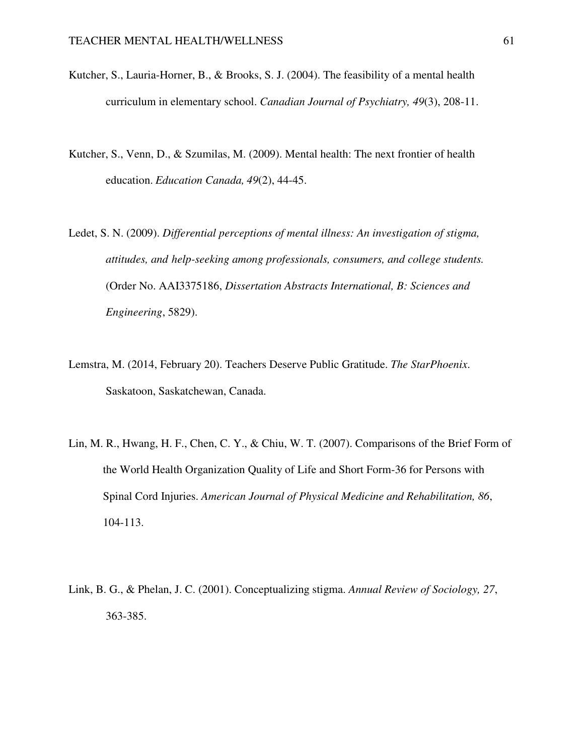- Kutcher, S., Lauria-Horner, B., & Brooks, S. J. (2004). The feasibility of a mental health curriculum in elementary school. *Canadian Journal of Psychiatry, 49*(3), 208-11.
- Kutcher, S., Venn, D., & Szumilas, M. (2009). Mental health: The next frontier of health education. *Education Canada, 49*(2), 44-45.
- Ledet, S. N. (2009). *Differential perceptions of mental illness: An investigation of stigma, attitudes, and help-seeking among professionals, consumers, and college students.* (Order No. AAI3375186, *Dissertation Abstracts International, B: Sciences and Engineering*, 5829).
- Lemstra, M. (2014, February 20). Teachers Deserve Public Gratitude. *The StarPhoenix*. Saskatoon, Saskatchewan, Canada.
- Lin, M. R., Hwang, H. F., Chen, C. Y., & Chiu, W. T. (2007). Comparisons of the Brief Form of the World Health Organization Quality of Life and Short Form-36 for Persons with Spinal Cord Injuries. *American Journal of Physical Medicine and Rehabilitation, 86*, 104-113.
- Link, B. G., & Phelan, J. C. (2001). Conceptualizing stigma. *Annual Review of Sociology, 27*, 363-385.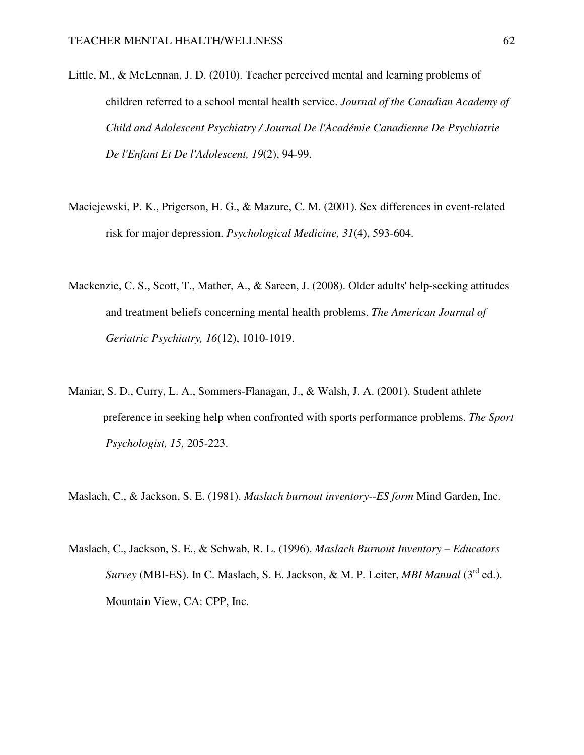- Little, M., & McLennan, J. D. (2010). Teacher perceived mental and learning problems of children referred to a school mental health service. *Journal of the Canadian Academy of Child and Adolescent Psychiatry / Journal De l'Académie Canadienne De Psychiatrie De l'Enfant Et De l'Adolescent, 19*(2), 94-99.
- Maciejewski, P. K., Prigerson, H. G., & Mazure, C. M. (2001). Sex differences in event-related risk for major depression. *Psychological Medicine, 31*(4), 593-604.
- Mackenzie, C. S., Scott, T., Mather, A., & Sareen, J. (2008). Older adults' help-seeking attitudes and treatment beliefs concerning mental health problems. *The American Journal of Geriatric Psychiatry, 16*(12), 1010-1019.
- Maniar, S. D., Curry, L. A., Sommers-Flanagan, J., & Walsh, J. A. (2001). Student athlete preference in seeking help when confronted with sports performance problems. *The Sport Psychologist, 15,* 205-223.

Maslach, C., & Jackson, S. E. (1981). *Maslach burnout inventory--ES form* Mind Garden, Inc.

Maslach, C., Jackson, S. E., & Schwab, R. L. (1996). *Maslach Burnout Inventory – Educators Survey* (MBI-ES). In C. Maslach, S. E. Jackson, & M. P. Leiter, *MBI Manual* (3<sup>rd</sup> ed.). Mountain View, CA: CPP, Inc.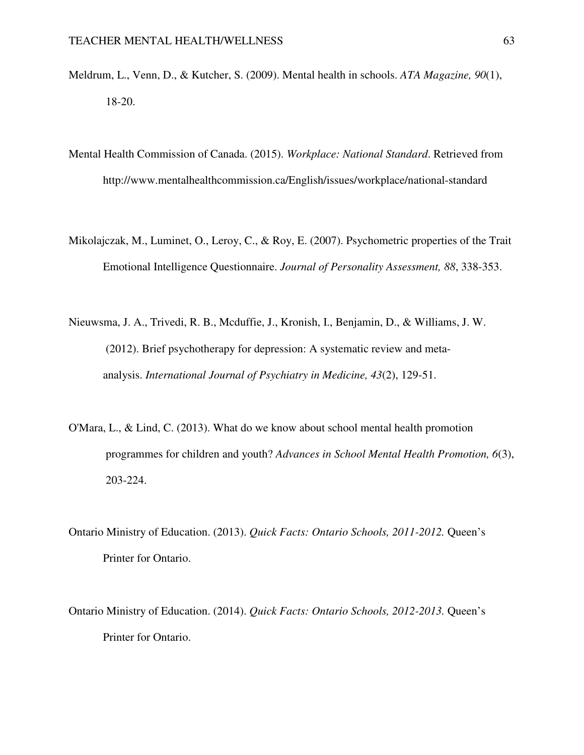- Meldrum, L., Venn, D., & Kutcher, S. (2009). Mental health in schools. *ATA Magazine, 90*(1), 18-20.
- Mental Health Commission of Canada. (2015). *Workplace: National Standard*. Retrieved from http://www.mentalhealthcommission.ca/English/issues/workplace/national-standard
- Mikolajczak, M., Luminet, O., Leroy, C., & Roy, E. (2007). Psychometric properties of the Trait Emotional Intelligence Questionnaire. *Journal of Personality Assessment, 88*, 338-353.
- Nieuwsma, J. A., Trivedi, R. B., Mcduffie, J., Kronish, I., Benjamin, D., & Williams, J. W. (2012). Brief psychotherapy for depression: A systematic review and meta analysis. *International Journal of Psychiatry in Medicine, 43*(2), 129-51.
- O'Mara, L., & Lind, C. (2013). What do we know about school mental health promotion programmes for children and youth? *Advances in School Mental Health Promotion, 6*(3), 203-224.
- Ontario Ministry of Education. (2013). *Quick Facts: Ontario Schools, 2011-2012.* Queen's Printer for Ontario.
- Ontario Ministry of Education. (2014). *Quick Facts: Ontario Schools, 2012-2013.* Queen's Printer for Ontario.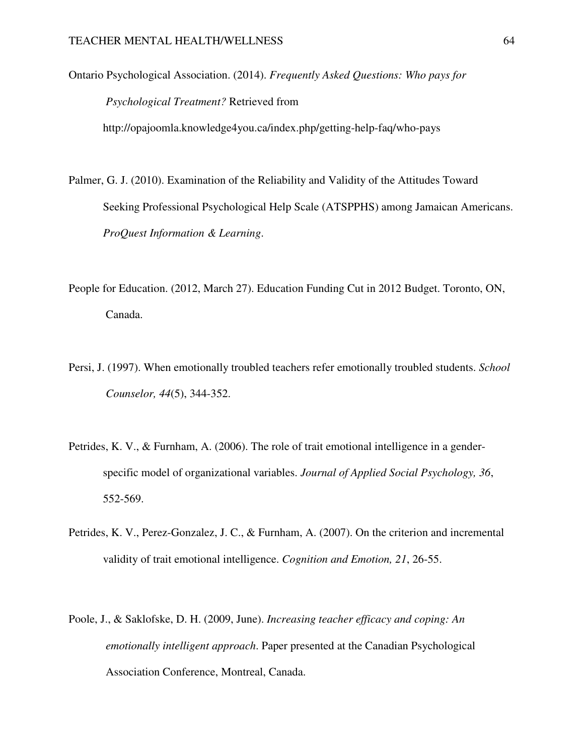Ontario Psychological Association. (2014). *Frequently Asked Questions: Who pays for Psychological Treatment?* Retrieved from

http://opajoomla.knowledge4you.ca/index.php/getting-help-faq/who-pays

Palmer, G. J. (2010). Examination of the Reliability and Validity of the Attitudes Toward Seeking Professional Psychological Help Scale (ATSPPHS) among Jamaican Americans. *ProQuest Information & Learning*.

- People for Education. (2012, March 27). Education Funding Cut in 2012 Budget. Toronto, ON, Canada.
- Persi, J. (1997). When emotionally troubled teachers refer emotionally troubled students. *School Counselor, 44*(5), 344-352.
- Petrides, K. V., & Furnham, A. (2006). The role of trait emotional intelligence in a genderspecific model of organizational variables. *Journal of Applied Social Psychology, 36*, 552-569.
- Petrides, K. V., Perez-Gonzalez, J. C., & Furnham, A. (2007). On the criterion and incremental validity of trait emotional intelligence. *Cognition and Emotion, 21*, 26-55.
- Poole, J., & Saklofske, D. H. (2009, June). *Increasing teacher efficacy and coping: An emotionally intelligent approach*. Paper presented at the Canadian Psychological Association Conference, Montreal, Canada.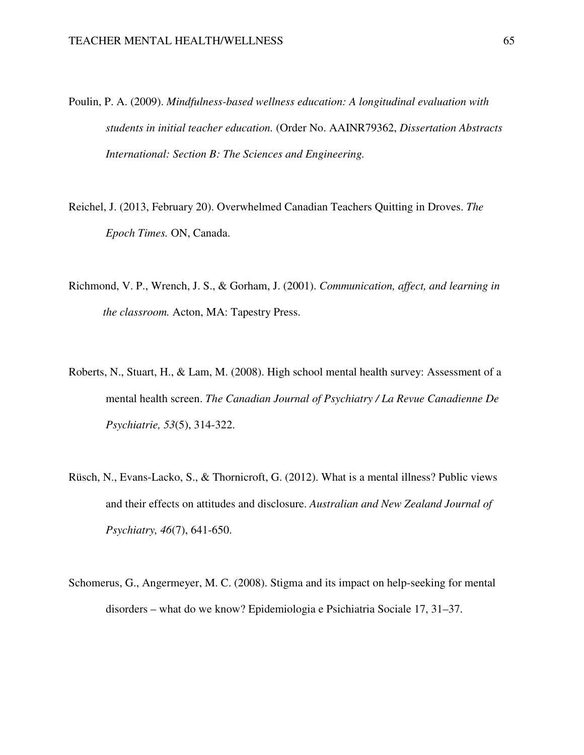- Poulin, P. A. (2009). *Mindfulness-based wellness education: A longitudinal evaluation with students in initial teacher education.* (Order No. AAINR79362, *Dissertation Abstracts International: Section B: The Sciences and Engineering.*
- Reichel, J. (2013, February 20). Overwhelmed Canadian Teachers Quitting in Droves. *The Epoch Times.* ON, Canada.
- Richmond, V. P., Wrench, J. S., & Gorham, J. (2001). *Communication, affect, and learning in the classroom.* Acton, MA: Tapestry Press.
- Roberts, N., Stuart, H., & Lam, M. (2008). High school mental health survey: Assessment of a mental health screen. *The Canadian Journal of Psychiatry / La Revue Canadienne De Psychiatrie, 53*(5), 314-322.
- Rüsch, N., Evans-Lacko, S., & Thornicroft, G. (2012). What is a mental illness? Public views and their effects on attitudes and disclosure. *Australian and New Zealand Journal of Psychiatry, 46*(7), 641-650.
- Schomerus, G., Angermeyer, M. C. (2008). Stigma and its impact on help-seeking for mental disorders – what do we know? Epidemiologia e Psichiatria Sociale 17, 31–37.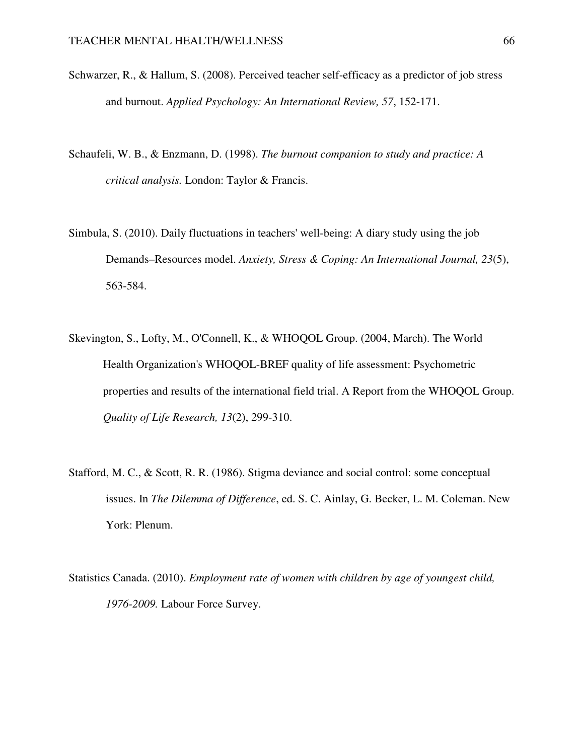- Schwarzer, R., & Hallum, S. (2008). Perceived teacher self-efficacy as a predictor of job stress and burnout. *Applied Psychology: An International Review, 57*, 152-171.
- Schaufeli, W. B., & Enzmann, D. (1998). *The burnout companion to study and practice: A critical analysis.* London: Taylor & Francis.
- Simbula, S. (2010). Daily fluctuations in teachers' well-being: A diary study using the job Demands–Resources model. *Anxiety, Stress & Coping: An International Journal, 23*(5), 563-584.
- Skevington, S., Lofty, M., O'Connell, K., & WHOQOL Group. (2004, March). The World Health Organization's WHOQOL-BREF quality of life assessment: Psychometric properties and results of the international field trial. A Report from the WHOQOL Group. *Quality of Life Research, 13*(2), 299-310.
- Stafford, M. C., & Scott, R. R. (1986). Stigma deviance and social control: some conceptual issues. In *The Dilemma of Difference*, ed. S. C. Ainlay, G. Becker, L. M. Coleman. New York: Plenum.
- Statistics Canada. (2010). *Employment rate of women with children by age of youngest child, 1976-2009.* Labour Force Survey.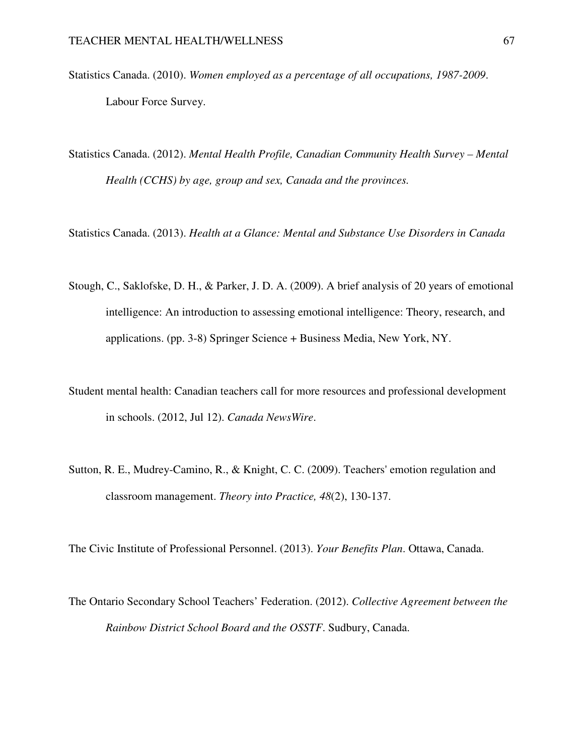- Statistics Canada. (2010). *Women employed as a percentage of all occupations, 1987-2009*. Labour Force Survey.
- Statistics Canada. (2012). *Mental Health Profile, Canadian Community Health Survey Mental Health (CCHS) by age, group and sex, Canada and the provinces.*
- Statistics Canada. (2013). *Health at a Glance: Mental and Substance Use Disorders in Canada*
- Stough, C., Saklofske, D. H., & Parker, J. D. A. (2009). A brief analysis of 20 years of emotional intelligence: An introduction to assessing emotional intelligence: Theory, research, and applications. (pp. 3-8) Springer Science + Business Media, New York, NY.
- Student mental health: Canadian teachers call for more resources and professional development in schools. (2012, Jul 12). *Canada NewsWire*.
- Sutton, R. E., Mudrey-Camino, R., & Knight, C. C. (2009). Teachers' emotion regulation and classroom management. *Theory into Practice, 48*(2), 130-137.

The Civic Institute of Professional Personnel. (2013). *Your Benefits Plan*. Ottawa, Canada.

The Ontario Secondary School Teachers' Federation. (2012). *Collective Agreement between the Rainbow District School Board and the OSSTF*. Sudbury, Canada.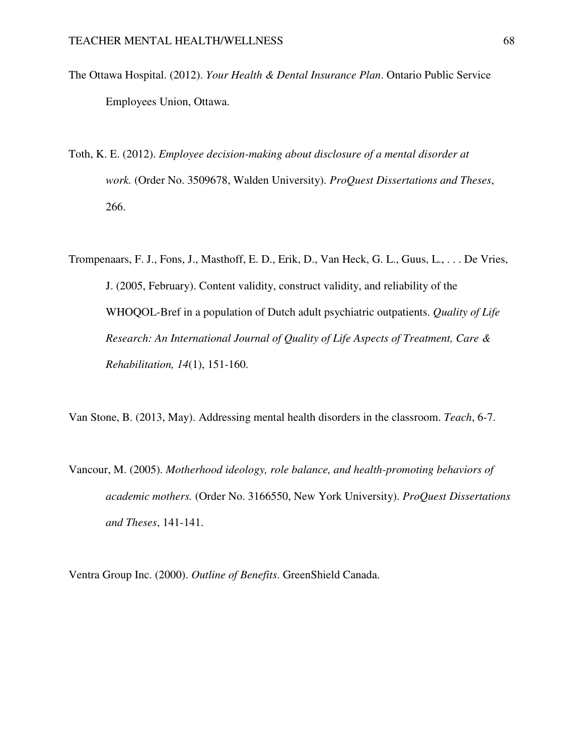- The Ottawa Hospital. (2012). *Your Health & Dental Insurance Plan*. Ontario Public Service Employees Union, Ottawa.
- Toth, K. E. (2012). *Employee decision-making about disclosure of a mental disorder at work.* (Order No. 3509678, Walden University). *ProQuest Dissertations and Theses*, 266.

Trompenaars, F. J., Fons, J., Masthoff, E. D., Erik, D., Van Heck, G. L., Guus, L., . . . De Vries, J. (2005, February). Content validity, construct validity, and reliability of the WHOQOL-Bref in a population of Dutch adult psychiatric outpatients. *Quality of Life Research: An International Journal of Quality of Life Aspects of Treatment, Care & Rehabilitation, 14*(1), 151-160.

Van Stone, B. (2013, May). Addressing mental health disorders in the classroom. *Teach*, 6-7.

Vancour, M. (2005). *Motherhood ideology, role balance, and health-promoting behaviors of academic mothers.* (Order No. 3166550, New York University). *ProQuest Dissertations and Theses*, 141-141.

Ventra Group Inc. (2000). *Outline of Benefits*. GreenShield Canada.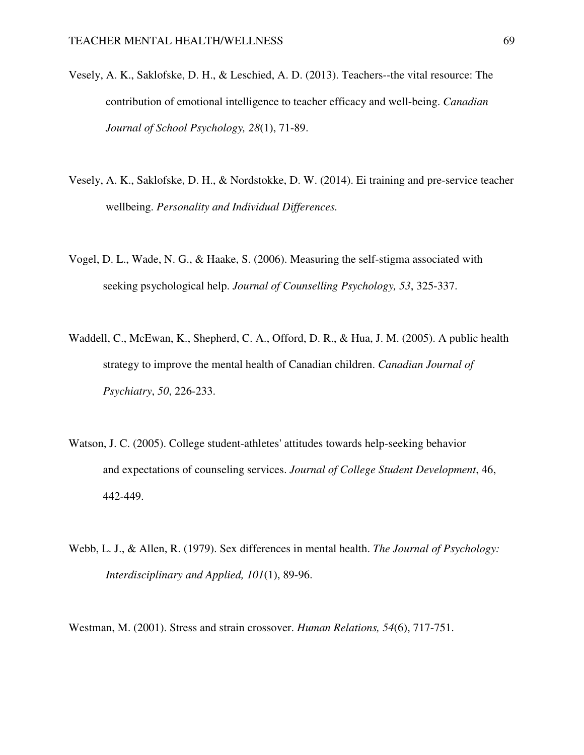- Vesely, A. K., Saklofske, D. H., & Leschied, A. D. (2013). Teachers--the vital resource: The contribution of emotional intelligence to teacher efficacy and well-being. *Canadian Journal of School Psychology, 28*(1), 71-89.
- Vesely, A. K., Saklofske, D. H., & Nordstokke, D. W. (2014). Ei training and pre-service teacher wellbeing. *Personality and Individual Differences.*
- Vogel, D. L., Wade, N. G., & Haake, S. (2006). Measuring the self-stigma associated with seeking psychological help. *Journal of Counselling Psychology, 53*, 325-337.
- Waddell, C., McEwan, K., Shepherd, C. A., Offord, D. R., & Hua, J. M. (2005). A public health strategy to improve the mental health of Canadian children. *Canadian Journal of Psychiatry*, *50*, 226-233.
- Watson, J. C. (2005). College student-athletes' attitudes towards help-seeking behavior and expectations of counseling services. *Journal of College Student Development*, 46, 442-449.
- Webb, L. J., & Allen, R. (1979). Sex differences in mental health. *The Journal of Psychology: Interdisciplinary and Applied, 101*(1), 89-96.

Westman, M. (2001). Stress and strain crossover. *Human Relations, 54*(6), 717-751.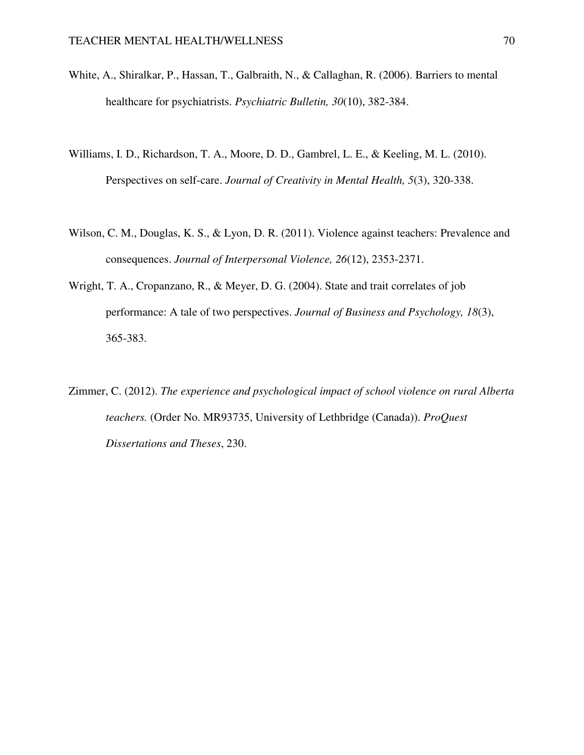- White, A., Shiralkar, P., Hassan, T., Galbraith, N., & Callaghan, R. (2006). Barriers to mental healthcare for psychiatrists. *Psychiatric Bulletin, 30*(10), 382-384.
- Williams, I. D., Richardson, T. A., Moore, D. D., Gambrel, L. E., & Keeling, M. L. (2010). Perspectives on self-care. *Journal of Creativity in Mental Health, 5*(3), 320-338.
- Wilson, C. M., Douglas, K. S., & Lyon, D. R. (2011). Violence against teachers: Prevalence and consequences. *Journal of Interpersonal Violence, 26*(12), 2353-2371.
- Wright, T. A., Cropanzano, R., & Meyer, D. G. (2004). State and trait correlates of job performance: A tale of two perspectives. *Journal of Business and Psychology, 18*(3), 365-383.
- Zimmer, C. (2012). *The experience and psychological impact of school violence on rural Alberta teachers.* (Order No. MR93735, University of Lethbridge (Canada)). *ProQuest Dissertations and Theses*, 230.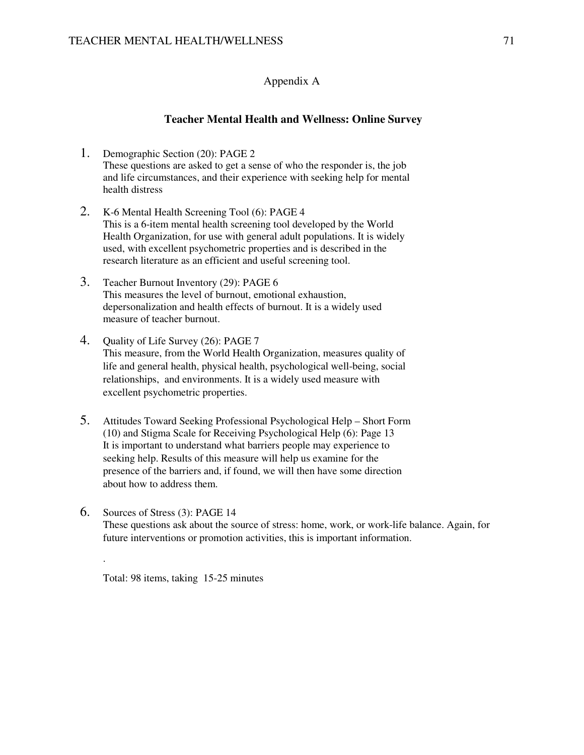### Appendix A

#### **Teacher Mental Health and Wellness: Online Survey**

- 1. Demographic Section (20): PAGE 2 These questions are asked to get a sense of who the responder is, the job and life circumstances, and their experience with seeking help for mental health distress
- 2. K-6 Mental Health Screening Tool (6): PAGE 4 This is a 6-item mental health screening tool developed by the World Health Organization, for use with general adult populations. It is widely used, with excellent psychometric properties and is described in the research literature as an efficient and useful screening tool.
- 3. Teacher Burnout Inventory (29): PAGE 6 This measures the level of burnout, emotional exhaustion, depersonalization and health effects of burnout. It is a widely used measure of teacher burnout.
- 4. Quality of Life Survey (26): PAGE 7 This measure, from the World Health Organization, measures quality of life and general health, physical health, psychological well-being, social relationships, and environments. It is a widely used measure with excellent psychometric properties.
- 5. Attitudes Toward Seeking Professional Psychological Help Short Form (10) and Stigma Scale for Receiving Psychological Help (6): Page 13 It is important to understand what barriers people may experience to seeking help. Results of this measure will help us examine for the presence of the barriers and, if found, we will then have some direction about how to address them.
- 6. Sources of Stress (3): PAGE 14 These questions ask about the source of stress: home, work, or work-life balance. Again, for future interventions or promotion activities, this is important information.

Total: 98 items, taking 15-25 minutes

.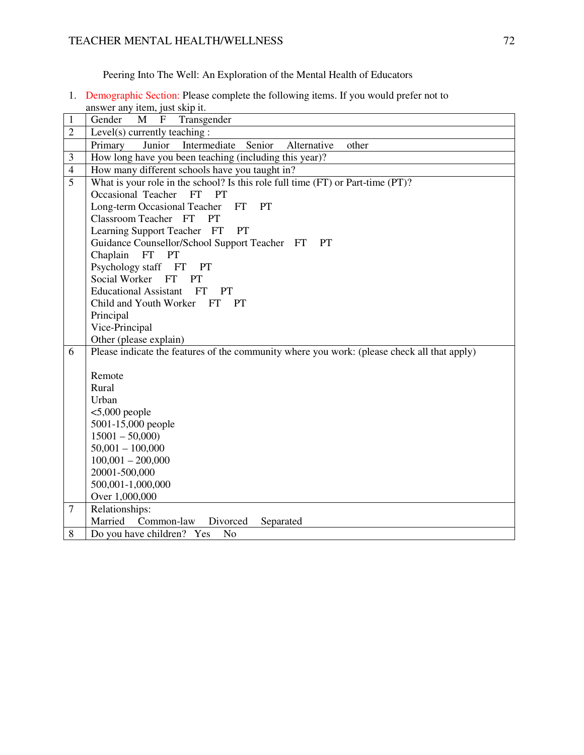Peering Into The Well: An Exploration of the Mental Health of Educators

1. Demographic Section: Please complete the following items. If you would prefer not to answer any item, just skip it.

| 1              | $\mu$ and $\mu$ and $\mu$ and $\mu$ and $\mu$ .<br>M<br>$\mathbf{F}$<br>Transgender<br>Gender |
|----------------|-----------------------------------------------------------------------------------------------|
| $\overline{2}$ | Level(s) currently teaching :                                                                 |
|                | Junior<br>Senior<br>Primary<br>Intermediate<br>Alternative<br>other                           |
| 3              | How long have you been teaching (including this year)?                                        |
| $\overline{4}$ | How many different schools have you taught in?                                                |
| 5              | What is your role in the school? Is this role full time (FT) or Part-time (PT)?               |
|                | Occasional Teacher<br>PT<br><b>FT</b>                                                         |
|                | Long-term Occasional Teacher<br><b>FT</b><br><b>PT</b>                                        |
|                | Classroom Teacher FT<br><b>PT</b>                                                             |
|                | Learning Support Teacher FT<br>PT                                                             |
|                | Guidance Counsellor/School Support Teacher FT<br><b>PT</b>                                    |
|                | Chaplain<br>FT<br>PT                                                                          |
|                | Psychology staff FT<br>PT                                                                     |
|                | Social Worker FT<br>PT                                                                        |
|                | <b>Educational Assistant</b><br><b>FT</b><br><b>PT</b>                                        |
|                | Child and Youth Worker FT<br><b>PT</b>                                                        |
|                | Principal                                                                                     |
|                | Vice-Principal                                                                                |
|                | Other (please explain)                                                                        |
| 6              | Please indicate the features of the community where you work: (please check all that apply)   |
|                |                                                                                               |
|                | Remote<br>Rural                                                                               |
|                | Urban                                                                                         |
|                | $<$ 5,000 people                                                                              |
|                | 5001-15,000 people                                                                            |
|                | $15001 - 50,000$                                                                              |
|                | $50,001 - 100,000$                                                                            |
|                | $100,001 - 200,000$                                                                           |
|                | 20001-500,000                                                                                 |
|                | 500,001-1,000,000                                                                             |
|                | Over 1,000,000                                                                                |
| 7              | Relationships:                                                                                |
|                | Married<br>Common-law<br>Divorced<br>Separated                                                |
| 8              | Do you have children? Yes<br>No                                                               |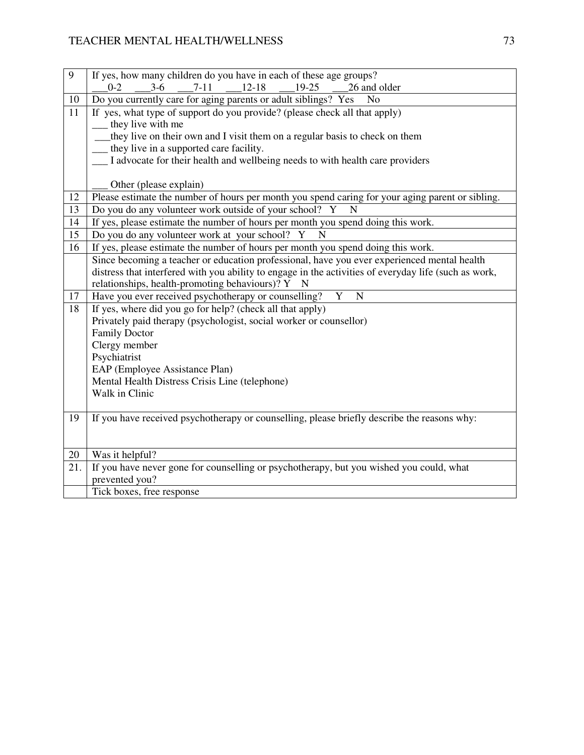| 9   | If yes, how many children do you have in each of these age groups?                                    |
|-----|-------------------------------------------------------------------------------------------------------|
|     | $3-6$<br>$12 - 18$<br>26 and older<br>$7 - 11$<br>19-25<br>$0 - 2$                                    |
| 10  | Do you currently care for aging parents or adult siblings? Yes<br>N <sub>o</sub>                      |
| 11  | If yes, what type of support do you provide? (please check all that apply)                            |
|     | they live with me                                                                                     |
|     | they live on their own and I visit them on a regular basis to check on them                           |
|     | they live in a supported care facility.                                                               |
|     | I advocate for their health and wellbeing needs to with health care providers                         |
|     |                                                                                                       |
|     | Other (please explain)                                                                                |
| 12  | Please estimate the number of hours per month you spend caring for your aging parent or sibling.      |
| 13  | Do you do any volunteer work outside of your school? Y<br>N                                           |
| 14  | If yes, please estimate the number of hours per month you spend doing this work.                      |
| 15  | Do you do any volunteer work at your school? Y<br>N                                                   |
| 16  | If yes, please estimate the number of hours per month you spend doing this work.                      |
|     | Since becoming a teacher or education professional, have you ever experienced mental health           |
|     | distress that interfered with you ability to engage in the activities of everyday life (such as work, |
|     | relationships, health-promoting behaviours)? Y N                                                      |
| 17  | $\mathbf{Y}$<br>Have you ever received psychotherapy or counselling?<br>$\mathbf N$                   |
| 18  | If yes, where did you go for help? (check all that apply)                                             |
|     | Privately paid therapy (psychologist, social worker or counsellor)                                    |
|     | <b>Family Doctor</b>                                                                                  |
|     | Clergy member                                                                                         |
|     | Psychiatrist                                                                                          |
|     | EAP (Employee Assistance Plan)                                                                        |
|     | Mental Health Distress Crisis Line (telephone)                                                        |
|     | Walk in Clinic                                                                                        |
|     |                                                                                                       |
| 19  | If you have received psychotherapy or counselling, please briefly describe the reasons why:           |
|     |                                                                                                       |
|     |                                                                                                       |
| 20  | Was it helpful?                                                                                       |
| 21. | If you have never gone for counselling or psychotherapy, but you wished you could, what               |
|     | prevented you?                                                                                        |
|     | Tick boxes, free response                                                                             |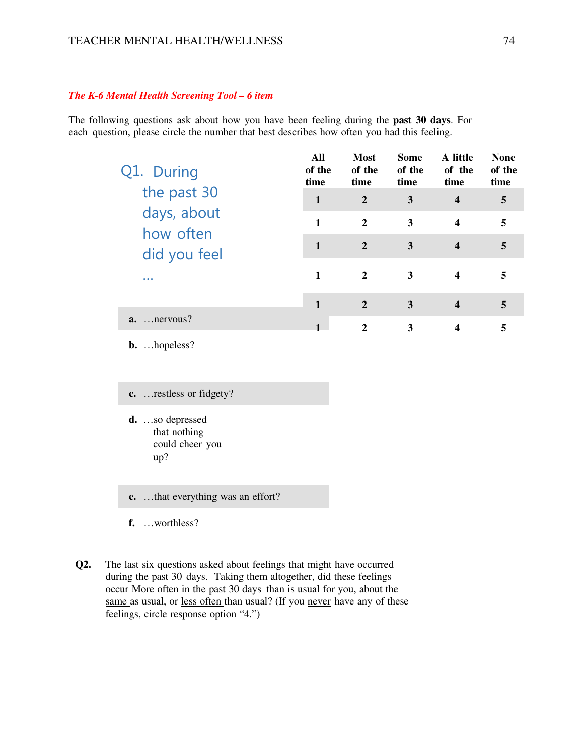#### *The K-6 Mental Health Screening Tool – 6 item*

The following questions ask about how you have been feeling during the **past 30 days**. For each question, please circle the number that best describes how often you had this feeling.

| Q1. During               | All<br>of the<br>time | <b>Most</b><br>of the<br>time | <b>Some</b><br>of the<br>time | A little<br>of the<br>time | <b>None</b><br>of the<br>time |
|--------------------------|-----------------------|-------------------------------|-------------------------------|----------------------------|-------------------------------|
| the past 30              | $\mathbf{1}$          | $\overline{2}$                | 3                             | $\overline{\mathbf{4}}$    | 5                             |
| days, about<br>how often | 1                     | $\overline{2}$                | 3                             | $\overline{\mathbf{4}}$    | 5                             |
| did you feel             | $\mathbf{1}$          | $\overline{2}$                | 3                             | $\overline{\mathbf{4}}$    | 5                             |
|                          | 1                     | $\mathbf{2}$                  | 3                             | 4                          | 5                             |
|                          | $\mathbf{1}$          | $\overline{2}$                | 3                             | $\overline{\mathbf{4}}$    | 5                             |
| $a.$ nervous?            |                       | $\mathbf{2}$                  | 3                             | $\overline{\mathbf{4}}$    | 5                             |
| <b>b.</b> hopeless?      |                       |                               |                               |                            |                               |

**c.** …restless or fidgety?

**d.** …so depressed that nothing could cheer you up?

**e.** …that everything was an effort?

**f.** …worthless?

**Q2.** The last six questions asked about feelings that might have occurred during the past 30 days. Taking them altogether, did these feelings occur More often in the past 30 days than is usual for you, about the same as usual, or less often than usual? (If you never have any of these feelings, circle response option "4.")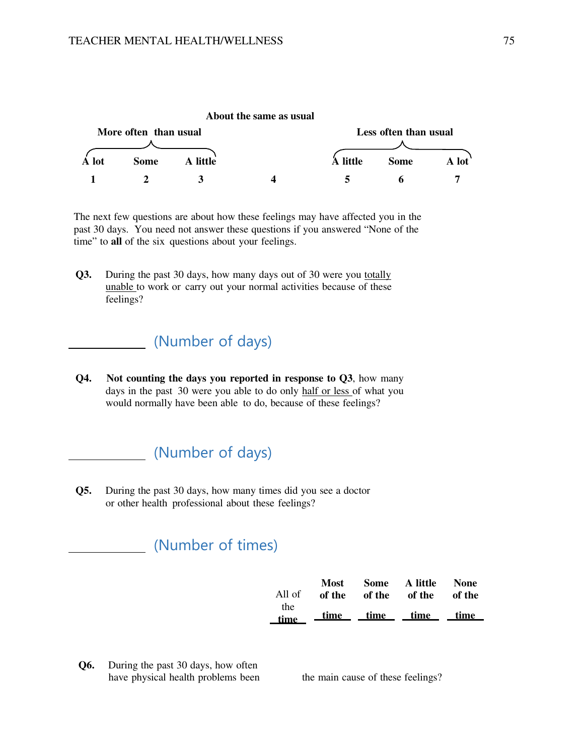

The next few questions are about how these feelings may have affected you in the past 30 days. You need not answer these questions if you answered "None of the time" to **all** of the six questions about your feelings.

**Q3.** During the past 30 days, how many days out of 30 were you totally unable to work or carry out your normal activities because of these feelings?

# (Number of days)

**Q4. Not counting the days you reported in response to Q3**, how many days in the past 30 were you able to do only half or less of what you would normally have been able to do, because of these feelings?

# (Number of days)

**Q5.** During the past 30 days, how many times did you see a doctor or other health professional about these feelings?

# (Number of times)

|        |  | Most Some A little   | <b>None</b> |
|--------|--|----------------------|-------------|
| All of |  | of the of the of the | of the      |
| the    |  |                      |             |
| time   |  | time time time time  |             |

**Q6.** During the past 30 days, how often have physical health problems been the main cause of these feelings?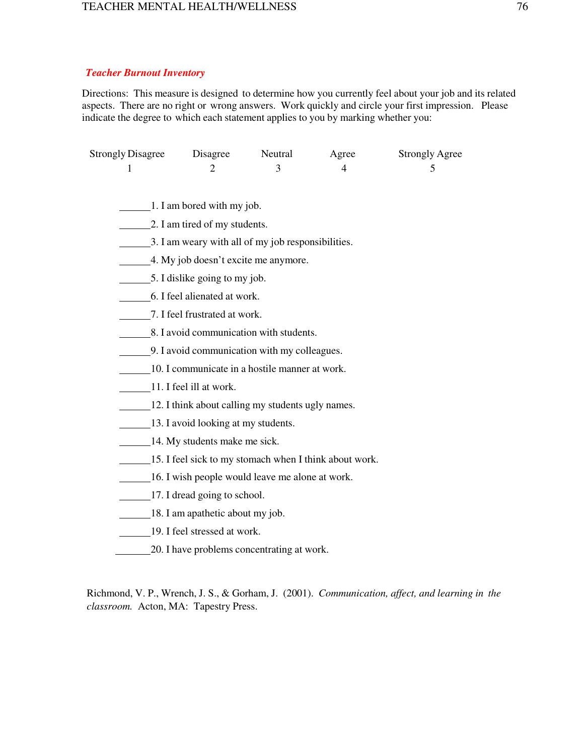#### *Teacher Burnout Inventory*

Directions: This measure is designed to determine how you currently feel about your job and its related aspects. There are no right or wrong answers. Work quickly and circle your first impression. Please indicate the degree to which each statement applies to you by marking whether you:

| <b>Strongly Disagree</b>                                              | Disagree                            | Neutral                                                | Agree | <b>Strongly Agree</b> |  |  |  |  |
|-----------------------------------------------------------------------|-------------------------------------|--------------------------------------------------------|-------|-----------------------|--|--|--|--|
| 1                                                                     | $\overline{2}$                      | 3                                                      | 4     | 5                     |  |  |  |  |
|                                                                       |                                     |                                                        |       |                       |  |  |  |  |
| $\perp$ 1. I am bored with my job.                                    |                                     |                                                        |       |                       |  |  |  |  |
| 2. I am tired of my students.                                         |                                     |                                                        |       |                       |  |  |  |  |
| 3. I am weary with all of my job responsibilities.                    |                                     |                                                        |       |                       |  |  |  |  |
| 4. My job doesn't excite me anymore.<br>5. I dislike going to my job. |                                     |                                                        |       |                       |  |  |  |  |
|                                                                       |                                     |                                                        |       |                       |  |  |  |  |
|                                                                       | 7. I feel frustrated at work.       |                                                        |       |                       |  |  |  |  |
|                                                                       |                                     | 8. I avoid communication with students.                |       |                       |  |  |  |  |
|                                                                       |                                     | 9. I avoid communication with my colleagues.           |       |                       |  |  |  |  |
|                                                                       |                                     | 10. I communicate in a hostile manner at work.         |       |                       |  |  |  |  |
|                                                                       | 11. I feel ill at work.             |                                                        |       |                       |  |  |  |  |
|                                                                       |                                     | 12. I think about calling my students ugly names.      |       |                       |  |  |  |  |
|                                                                       | 13. I avoid looking at my students. |                                                        |       |                       |  |  |  |  |
|                                                                       | 14. My students make me sick.       |                                                        |       |                       |  |  |  |  |
|                                                                       |                                     | 15. I feel sick to my stomach when I think about work. |       |                       |  |  |  |  |
|                                                                       |                                     | 16. I wish people would leave me alone at work.        |       |                       |  |  |  |  |
|                                                                       | 17. I dread going to school.        |                                                        |       |                       |  |  |  |  |
|                                                                       | 18. I am apathetic about my job.    |                                                        |       |                       |  |  |  |  |
|                                                                       | 19. I feel stressed at work.        |                                                        |       |                       |  |  |  |  |
|                                                                       |                                     | 20. I have problems concentrating at work.             |       |                       |  |  |  |  |
|                                                                       |                                     |                                                        |       |                       |  |  |  |  |

Richmond, V. P., Wrench, J. S., & Gorham, J. (2001). *Communication, affect, and learning in the classroom.* Acton, MA: Tapestry Press.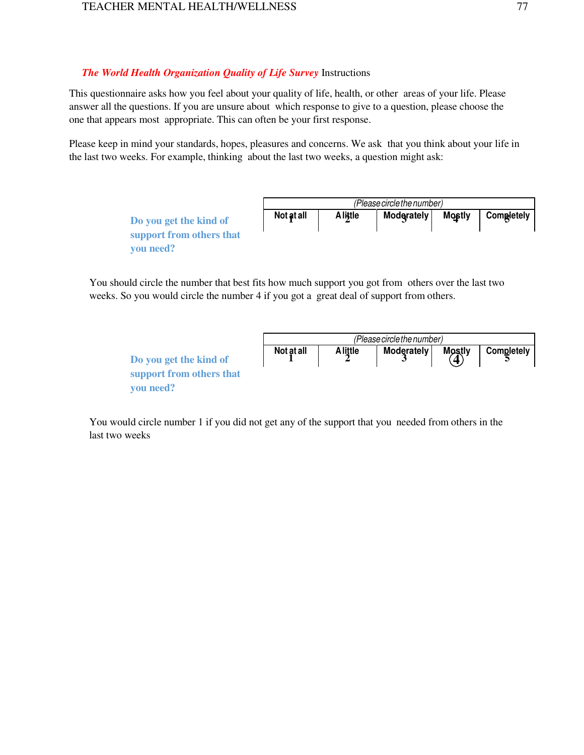#### *The World Health Organization Quality of Life Survey* Instructions

This questionnaire asks how you feel about your quality of life, health, or other areas of your life. Please answer all the questions. If you are unsure about which response to give to a question, please choose the one that appears most appropriate. This can often be your first response.

Please keep in mind your standards, hopes, pleasures and concerns. We ask that you think about your life in the last two weeks. For example, thinking about the last two weeks, a question might ask:

|                                                                 |            | (Please circle the number) |                   |               |            |  |
|-----------------------------------------------------------------|------------|----------------------------|-------------------|---------------|------------|--|
| Do you get the kind of<br>support from others that<br>you need? | Not at all | <b>A</b> little            | <b>Moderately</b> | <b>Mostly</b> | Completely |  |

You should circle the number that best fits how much support you got from others over the last two weeks. So you would circle the number 4 if you got a great deal of support from others.

|                                       |            | (Please circle the number) |            |        |                   |  |
|---------------------------------------|------------|----------------------------|------------|--------|-------------------|--|
| Do you get the kind of                | Not at all | <b>A</b> little            | Moderately | Mostly | <b>Completely</b> |  |
| support from others that<br>you need? |            |                            |            |        |                   |  |

You would circle number 1 if you did not get any of the support that you needed from others in the last two weeks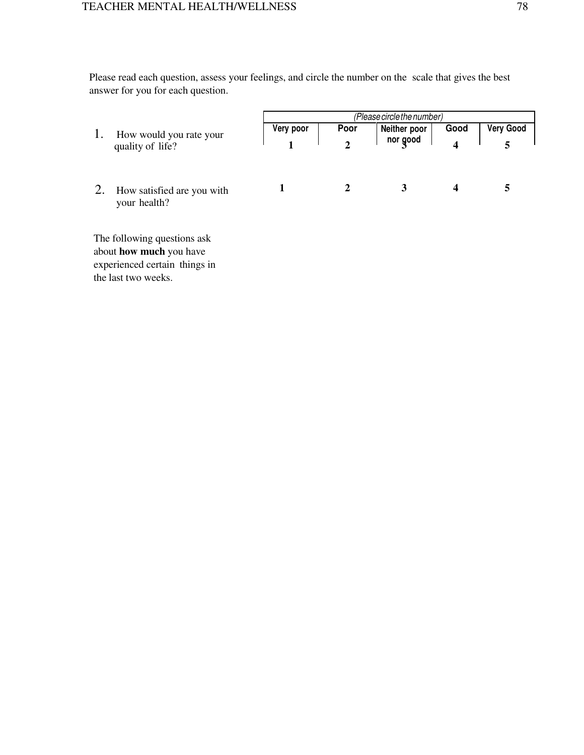Please read each question, assess your feelings, and circle the number on the scale that gives the best answer for you for each question.

|    |                                                        | (Please circle the number) |      |              |      |                  |  |
|----|--------------------------------------------------------|----------------------------|------|--------------|------|------------------|--|
| 1. | How would you rate your                                | Very poor                  | Poor | Neither poor | Good | <b>Very Good</b> |  |
|    | quality of life?                                       |                            |      | nor good     |      |                  |  |
|    | How satisfied are you with<br>your health?             |                            |      | 3            | 4    |                  |  |
|    | The following questions ask<br>about how much you have |                            |      |              |      |                  |  |
|    | experienced certain things in                          |                            |      |              |      |                  |  |
|    | the last two weeks.                                    |                            |      |              |      |                  |  |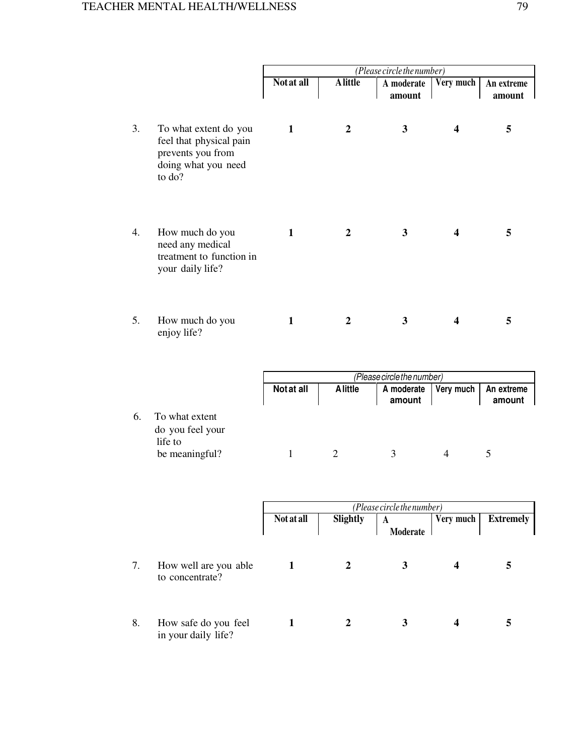|    |                                                                                                        |            | (Please circle the number) |                      |           |                      |  |
|----|--------------------------------------------------------------------------------------------------------|------------|----------------------------|----------------------|-----------|----------------------|--|
|    |                                                                                                        | Not at all | <b>A</b> little            | A moderate<br>amount | Very much | An extreme<br>amount |  |
| 3. | To what extent do you<br>feel that physical pain<br>prevents you from<br>doing what you need<br>to do? | 1          | 2                          | 3                    | 4         | 5                    |  |
| 4. | How much do you<br>need any medical<br>treatment to function in<br>your daily life?                    | 1          | 2                          | 3                    | 4         | 5                    |  |
| 5. | How much do you<br>enjoy life?                                                                         | 1          | 2                          | 3                    | 4         | 5                    |  |

|    |                                                                 |            | (Please circle the number) |                      |           |                      |  |  |
|----|-----------------------------------------------------------------|------------|----------------------------|----------------------|-----------|----------------------|--|--|
|    |                                                                 | Not at all | <b>A</b> little            | A moderate<br>amount | Very much | An extreme<br>amount |  |  |
| 6. | To what extent<br>do you feel your<br>life to<br>be meaningful? |            |                            |                      |           |                      |  |  |

|    |                                             | (Please circle the number) |          |               |           |                  |  |
|----|---------------------------------------------|----------------------------|----------|---------------|-----------|------------------|--|
|    |                                             | <b>Not at all</b>          | Slightly | A<br>Moderate | Very much | <b>Extremely</b> |  |
| 7. | How well are you able<br>to concentrate?    |                            |          |               | 4         |                  |  |
| 8. | How safe do you feel<br>in your daily life? |                            |          | 3             |           | 5                |  |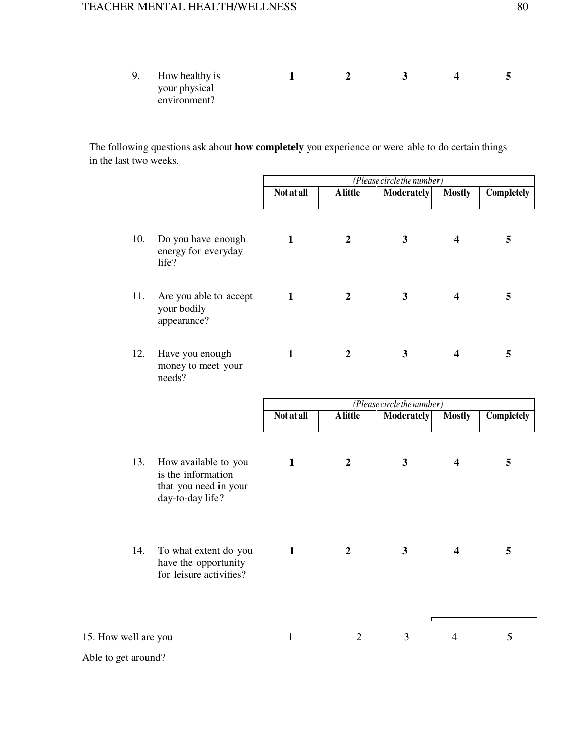| 9. | How healthy is |  |  |  |
|----|----------------|--|--|--|
|    | your physical  |  |  |  |
|    | environment?   |  |  |  |

The following questions ask about **how completely** you experience or were able to do certain things in the last two weeks.

|                      |                                                                                         | (Please circle the number) |                  |                            |                         |                   |
|----------------------|-----------------------------------------------------------------------------------------|----------------------------|------------------|----------------------------|-------------------------|-------------------|
|                      |                                                                                         | <b>Not at all</b>          | <b>A</b> little  | <b>Moderately</b>          | <b>Mostly</b>           | <b>Completely</b> |
| 10.                  | Do you have enough<br>energy for everyday<br>life?                                      | $\mathbf{1}$               | $\overline{2}$   | $\overline{\mathbf{3}}$    | $\overline{\mathbf{4}}$ | 5                 |
| 11.                  | Are you able to accept<br>your bodily<br>appearance?                                    | $\mathbf{1}$               | $\boldsymbol{2}$ | $\overline{\mathbf{3}}$    | $\overline{\mathbf{4}}$ | 5                 |
| 12.                  | Have you enough<br>money to meet your<br>needs?                                         | $\mathbf{1}$               | $\boldsymbol{2}$ | $\mathbf{3}$               | $\overline{\mathbf{4}}$ | 5                 |
|                      |                                                                                         |                            |                  | (Please circle the number) |                         |                   |
|                      |                                                                                         | Not at all                 | <b>A</b> little  | <b>Moderately</b>          | <b>Mostly</b>           | <b>Completely</b> |
| 13.                  | How available to you<br>is the information<br>that you need in your<br>day-to-day life? | $\mathbf{1}$               | $\boldsymbol{2}$ | $\mathbf{3}$               | $\overline{\mathbf{4}}$ | 5                 |
| 14.                  | To what extent do you<br>have the opportunity<br>for leisure activities?                | $\mathbf{1}$               | $\overline{2}$   | 3 <sup>1</sup>             | $\overline{\mathbf{4}}$ | 5                 |
| 15. How well are you |                                                                                         | $\mathbf{1}$               | $\overline{2}$   | $\overline{3}$             | $\overline{4}$          | 5                 |
|                      |                                                                                         |                            |                  |                            |                         |                   |
| Able to get around?  |                                                                                         |                            |                  |                            |                         |                   |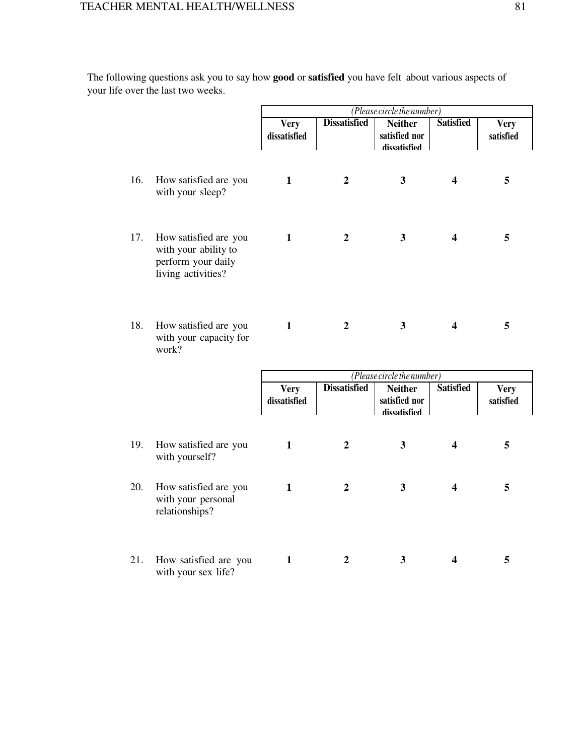The following questions ask you to say how **good** or **satisfied** you have felt about various aspects of your life over the last two weeks.

|     |                                                                                           | (Please circle the number)  |                     |                                                 |                         |                          |
|-----|-------------------------------------------------------------------------------------------|-----------------------------|---------------------|-------------------------------------------------|-------------------------|--------------------------|
|     |                                                                                           | <b>Very</b><br>dissatisfied | <b>Dissatisfied</b> | <b>Neither</b><br>satisfied nor<br>dissatisfied | <b>Satisfied</b>        | <b>Very</b><br>satisfied |
| 16. | How satisfied are you<br>with your sleep?                                                 | $\mathbf{1}$                | $\overline{2}$      | $\mathbf{3}$                                    | $\overline{\mathbf{4}}$ | 5                        |
| 17. | How satisfied are you<br>with your ability to<br>perform your daily<br>living activities? | $\mathbf{1}$                | $\overline{2}$      | $\overline{\mathbf{3}}$                         | $\overline{\mathbf{4}}$ | 5                        |
| 18. | How satisfied are you<br>with your capacity for<br>work?                                  | $\mathbf{1}$                | $\boldsymbol{2}$    | $\mathbf{3}$                                    | $\overline{\mathbf{4}}$ | 5                        |
|     |                                                                                           |                             |                     | (Please circle the number)                      |                         |                          |
|     |                                                                                           | <b>Very</b><br>dissatisfied | <b>Dissatisfied</b> | <b>Neither</b><br>satisfied nor<br>dissatisfied | <b>Satisfied</b>        | <b>Very</b><br>satisfied |
| 19. | How satisfied are you<br>with yourself?                                                   | $\mathbf{1}$                | $\overline{2}$      | $\overline{\mathbf{3}}$                         | 4                       | 5                        |
| 20. | How satisfied are you<br>with your personal<br>relationships?                             | $\mathbf{1}$                | $\boldsymbol{2}$    | $\mathbf{3}$                                    | $\overline{\mathbf{4}}$ | 5                        |
| 21. | How satisfied are you<br>with your sex life?                                              | $\mathbf{1}$                | $\boldsymbol{2}$    | 3                                               | 4                       | 5                        |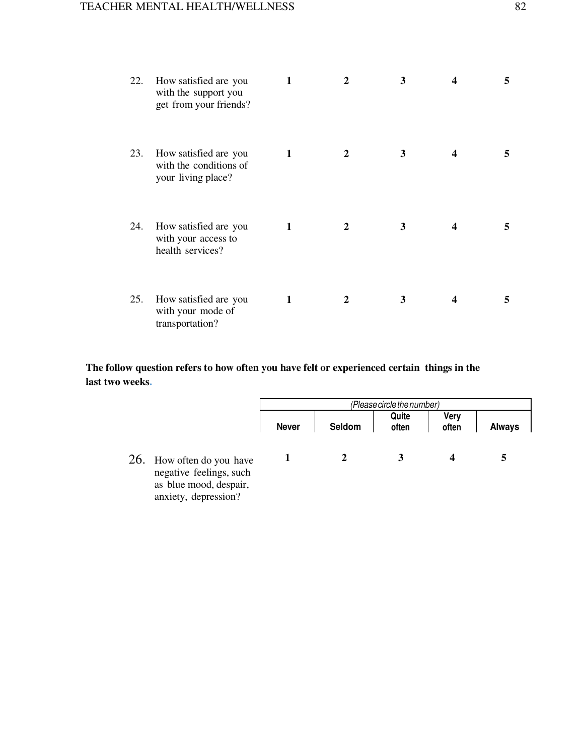| 22. | How satisfied are you<br>with the support you<br>get from your friends? | 1 | $\mathbf{2}$ | 3 | 4 | 5 |
|-----|-------------------------------------------------------------------------|---|--------------|---|---|---|
| 23. | How satisfied are you<br>with the conditions of<br>your living place?   | 1 | 2            | 3 | 4 | 5 |
| 24. | How satisfied are you<br>with your access to<br>health services?        | 1 | 2            | 3 | 4 | 5 |
| 25. | How satisfied are you<br>with your mode of<br>transportation?           | 1 | $\mathbf{2}$ | 3 | 4 | 5 |

**The follow question refers to how often you have felt or experienced certain things in the last two weeks.** 

|                                                                                                        | (Please circle the number) |        |                |               |               |
|--------------------------------------------------------------------------------------------------------|----------------------------|--------|----------------|---------------|---------------|
|                                                                                                        | <b>Never</b>               | Seldom | Quite<br>often | Very<br>often | <b>Always</b> |
| 26. How often do you have<br>negative feelings, such<br>as blue mood, despair,<br>anxiety, depression? |                            |        |                |               |               |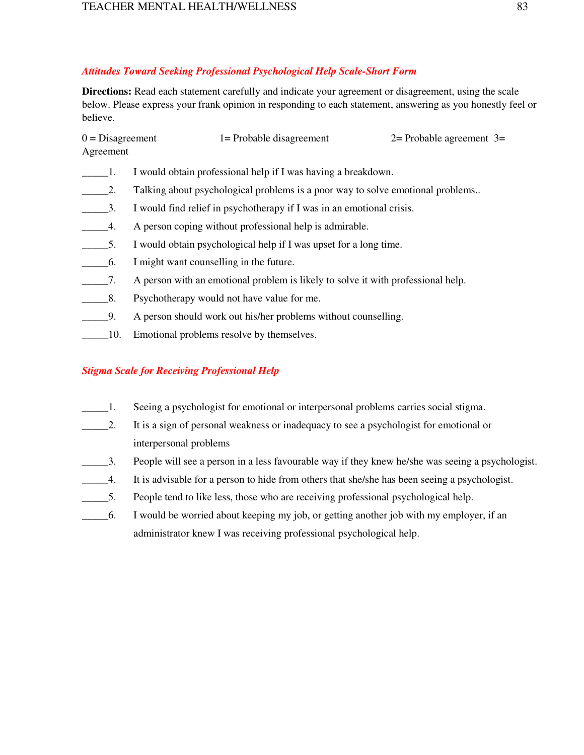## *Attitudes Toward Seeking Professional Psychological Help Scale-Short Form*

**Directions:** Read each statement carefully and indicate your agreement or disagreement, using the scale below. Please express your frank opinion in responding to each statement, answering as you honestly feel or believe.

| $0 = Disagreement$ | 1= Probable disagreement | $2=$ Probable agreement $3=$ |
|--------------------|--------------------------|------------------------------|
| Agreement          |                          |                              |

- \_\_\_\_\_1. I would obtain professional help if I was having a breakdown.
- 2. Talking about psychological problems is a poor way to solve emotional problems..
- \_\_\_\_\_3. I would find relief in psychotherapy if I was in an emotional crisis.
- 4. A person coping without professional help is admirable.
- \_\_\_\_\_5. I would obtain psychological help if I was upset for a long time.
- \_\_\_\_\_6. I might want counselling in the future.
- \_\_\_\_\_7. A person with an emotional problem is likely to solve it with professional help.
- 1. B. Psychotherapy would not have value for me.
- \_\_\_\_\_9. A person should work out his/her problems without counselling.
- **10.** Emotional problems resolve by themselves.

## *Stigma Scale for Receiving Professional Help*

- \_\_\_\_\_1. Seeing a psychologist for emotional or interpersonal problems carries social stigma.
- \_\_\_\_\_2. It is a sign of personal weakness or inadequacy to see a psychologist for emotional or interpersonal problems
- \_\_\_\_\_3. People will see a person in a less favourable way if they knew he/she was seeing a psychologist.
- \_\_\_\_\_4. It is advisable for a person to hide from others that she/she has been seeing a psychologist.
- \_\_\_\_\_5. People tend to like less, those who are receiving professional psychological help.
- \_\_\_\_\_6. I would be worried about keeping my job, or getting another job with my employer, if an administrator knew I was receiving professional psychological help.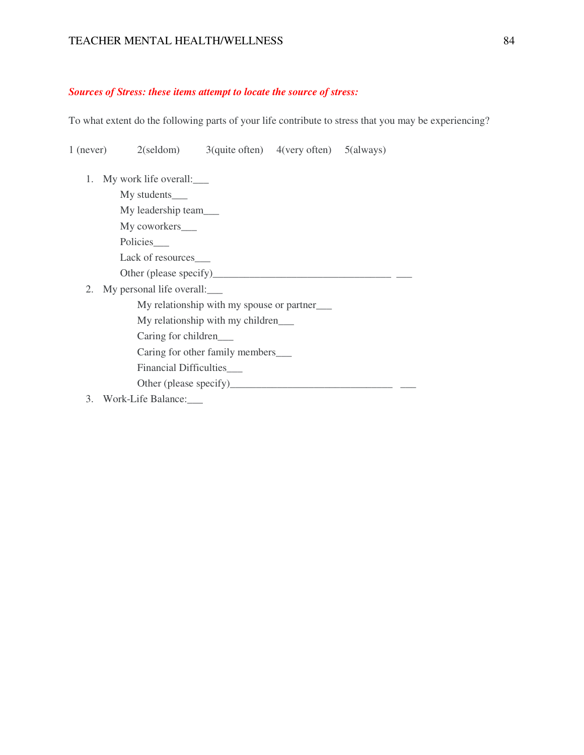#### *Sources of Stress: these items attempt to locate the source of stress:*

To what extent do the following parts of your life contribute to stress that you may be experiencing?

1 (never) 2(seldom) 3(quite often) 4(very often) 5(always)

- 1. My work life overall:\_\_\_
	- My students\_ My leadership team\_\_\_
	- My coworkers\_
	- Policies\_\_\_
	- Lack of resources
	- Other (please specify)\_\_\_\_\_\_\_\_\_\_\_\_\_\_\_\_\_\_\_\_\_\_\_\_\_\_\_\_\_\_\_\_\_\_ \_\_\_
- 2. My personal life overall:\_\_\_
	- My relationship with my spouse or partner\_\_\_
	- My relationship with my children\_\_\_
	- Caring for children\_\_\_
	- Caring for other family members\_\_\_
	- Financial Difficulties\_\_\_
	- Other (please specify)\_\_\_\_\_\_\_\_\_\_\_\_\_\_\_\_\_\_\_\_\_\_\_\_\_\_\_\_\_\_\_ \_\_\_
- 3. Work-Life Balance: